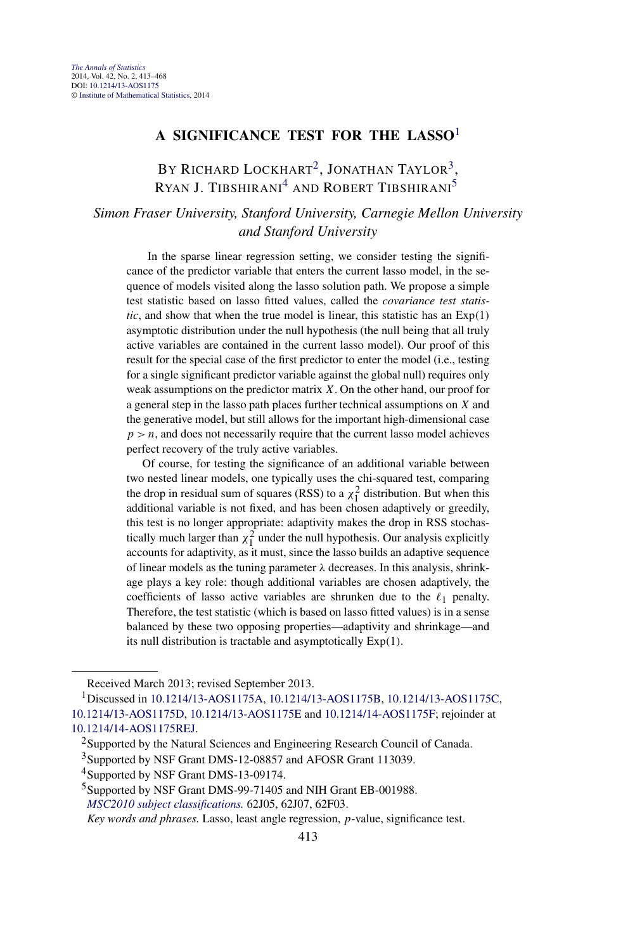# **A SIGNIFICANCE TEST FOR THE LASSO**<sup>1</sup>

# BY RICHARD LOCKHART<sup>2</sup>, JONATHAN TAYLOR<sup>3</sup>, RYAN J. TIBSHIRANI<sup>4</sup> AND ROBERT TIBSHIRANI<sup>5</sup>

# *Simon Fraser University, Stanford University, Carnegie Mellon University and Stanford University*

In the sparse linear regression setting, we consider testing the significance of the predictor variable that enters the current lasso model, in the sequence of models visited along the lasso solution path. We propose a simple test statistic based on lasso fitted values, called the *covariance test statistic*, and show that when the true model is linear, this statistic has an Exp*(*1*)* asymptotic distribution under the null hypothesis (the null being that all truly active variables are contained in the current lasso model). Our proof of this result for the special case of the first predictor to enter the model (i.e., testing for a single significant predictor variable against the global null) requires only weak assumptions on the predictor matrix *X*. On the other hand, our proof for a general step in the lasso path places further technical assumptions on *X* and the generative model, but still allows for the important high-dimensional case  $p > n$ , and does not necessarily require that the current lasso model achieves perfect recovery of the truly active variables.

Of course, for testing the significance of an additional variable between two nested linear models, one typically uses the chi-squared test, comparing the drop in residual sum of squares (RSS) to a  $\chi_1^2$  distribution. But when this additional variable is not fixed, and has been chosen adaptively or greedily, this test is no longer appropriate: adaptivity makes the drop in RSS stochastically much larger than  $\chi_1^2$  under the null hypothesis. Our analysis explicitly accounts for adaptivity, as it must, since the lasso builds an adaptive sequence of linear models as the tuning parameter *λ* decreases. In this analysis, shrinkage plays a key role: though additional variables are chosen adaptively, the coefficients of lasso active variables are shrunken due to the  $\ell_1$  penalty. Therefore, the test statistic (which is based on lasso fitted values) is in a sense balanced by these two opposing properties—adaptivity and shrinkage—and its null distribution is tractable and asymptotically Exp*(*1*)*.

Received March 2013; revised September 2013.

*Key words and phrases.* Lasso, least angle regression, *p*-value, significance test.

<sup>1</sup>Discussed in [10.1214/13-AOS1175A](http://dx.doi.org/10.1214/13-AOS1175A), [10.1214/13-AOS1175B,](http://dx.doi.org/10.1214/13-AOS1175B) [10.1214/13-AOS1175C](http://dx.doi.org/10.1214/13-AOS1175C), [10.1214/13-AOS1175D](http://dx.doi.org/10.1214/13-AOS1175D), [10.1214/13-AOS1175E](http://dx.doi.org/10.1214/13-AOS1175E) and [10.1214/14-AOS1175F;](http://dx.doi.org/10.1214/14-AOS1175F) rejoinder at [10.1214/14-AOS1175REJ.](http://dx.doi.org/10.1214/14-AOS1175REJ)

<sup>&</sup>lt;sup>2</sup>Supported by the Natural Sciences and Engineering Research Council of Canada.

<sup>3</sup>Supported by NSF Grant DMS-12-08857 and AFOSR Grant 113039.

<sup>4</sup>Supported by NSF Grant DMS-13-09174.

<sup>&</sup>lt;sup>5</sup>Supported by NSF Grant DMS-99-71405 and NIH Grant EB-001988. *[MSC2010 subject classifications.](http://www.ams.org/mathscinet/msc/msc2010.html)* 62J05, 62J07, 62F03.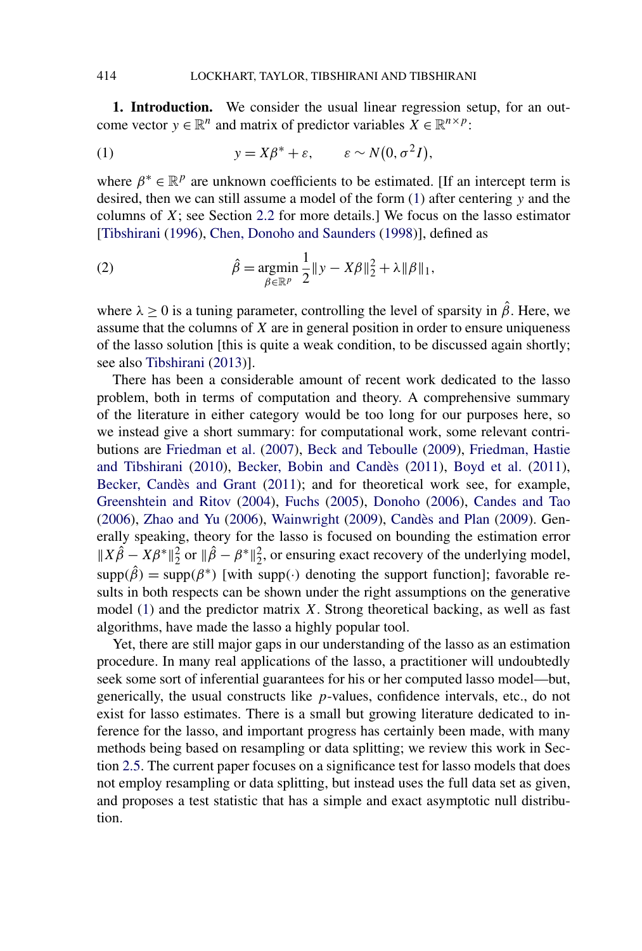<span id="page-1-0"></span>**1. Introduction.** We consider the usual linear regression setup, for an outcome vector  $y \in \mathbb{R}^n$  and matrix of predictor variables  $X \in \mathbb{R}^{n \times p}$ :

(1) 
$$
y = X\beta^* + \varepsilon, \qquad \varepsilon \sim N(0, \sigma^2 I),
$$

where  $\beta^* \in \mathbb{R}^p$  are unknown coefficients to be estimated. [If an intercept term is desired, then we can still assume a model of the form (1) after centering *y* and the columns of *X*; see Section [2.2](#page-6-0) for more details.] We focus on the lasso estimator [\[Tibshirani](#page-55-0) [\(1996\)](#page-55-0), [Chen, Donoho and Saunders](#page-54-0) [\(1998\)](#page-54-0)], defined as

(2) 
$$
\hat{\beta} = \underset{\beta \in \mathbb{R}^p}{\text{argmin}} \frac{1}{2} \|y - X\beta\|_2^2 + \lambda \|\beta\|_1,
$$

where  $\lambda \geq 0$  is a tuning parameter, controlling the level of sparsity in  $\hat{\beta}$ . Here, we assume that the columns of *X* are in general position in order to ensure uniqueness of the lasso solution [this is quite a weak condition, to be discussed again shortly; see also [Tibshirani](#page-55-0) [\(2013\)](#page-55-0)].

There has been a considerable amount of recent work dedicated to the lasso problem, both in terms of computation and theory. A comprehensive summary of the literature in either category would be too long for our purposes here, so we instead give a short summary: for computational work, some relevant contributions are [Friedman et al.](#page-54-0) [\(2007\)](#page-54-0), [Beck and Teboulle](#page-53-0) [\(2009\)](#page-53-0), [Friedman, Hastie](#page-54-0) [and Tibshirani](#page-54-0) [\(2010\)](#page-54-0), [Becker, Bobin and Candès](#page-53-0) [\(2011\)](#page-53-0), [Boyd et al.](#page-54-0) [\(2011\)](#page-54-0), [Becker, Candès and Grant](#page-54-0) [\(2011\)](#page-54-0); and for theoretical work see, for example, [Greenshtein and Ritov](#page-54-0) [\(2004\)](#page-54-0), [Fuchs](#page-54-0) [\(2005\)](#page-54-0), [Donoho](#page-54-0) [\(2006\)](#page-54-0), [Candes and Tao](#page-54-0) [\(2006\)](#page-54-0), [Zhao and Yu](#page-55-0) [\(2006\)](#page-55-0), [Wainwright](#page-55-0) [\(2009\)](#page-55-0), [Candès and Plan](#page-54-0) [\(2009\)](#page-54-0). Generally speaking, theory for the lasso is focused on bounding the estimation error  $||X\hat{\beta} - X\beta^*||_2^2$  or  $||\hat{\beta} - \beta^*||_2^2$ , or ensuring exact recovery of the underlying model,  $\text{supp}(\hat{\beta}) = \text{supp}(\beta^*)$  [with supp(·) denoting the support function]; favorable results in both respects can be shown under the right assumptions on the generative model (1) and the predictor matrix *X*. Strong theoretical backing, as well as fast algorithms, have made the lasso a highly popular tool.

Yet, there are still major gaps in our understanding of the lasso as an estimation procedure. In many real applications of the lasso, a practitioner will undoubtedly seek some sort of inferential guarantees for his or her computed lasso model—but, generically, the usual constructs like *p*-values, confidence intervals, etc., do not exist for lasso estimates. There is a small but growing literature dedicated to inference for the lasso, and important progress has certainly been made, with many methods being based on resampling or data splitting; we review this work in Section [2.5.](#page-11-0) The current paper focuses on a significance test for lasso models that does not employ resampling or data splitting, but instead uses the full data set as given, and proposes a test statistic that has a simple and exact asymptotic null distribution.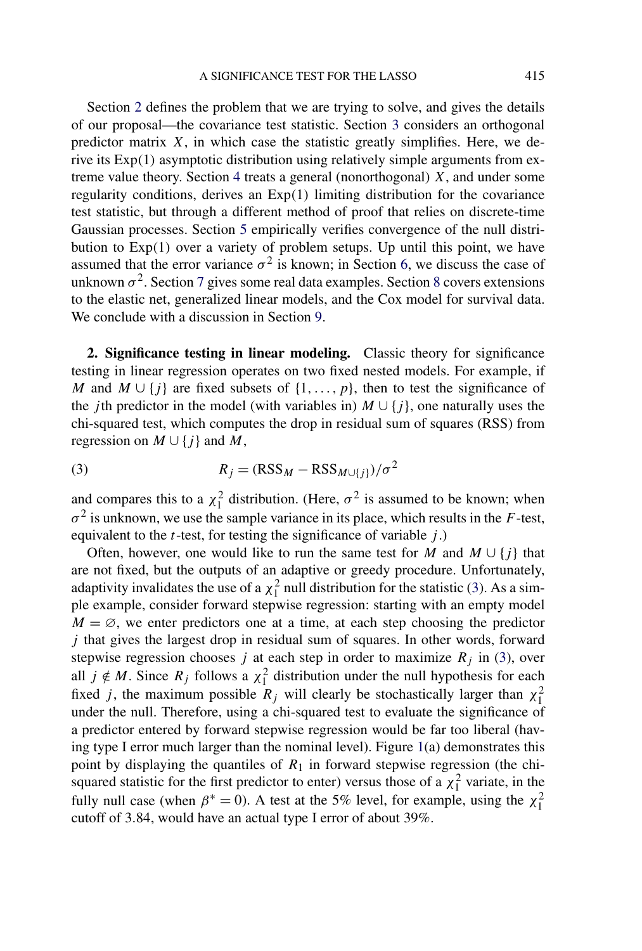<span id="page-2-0"></span>Section 2 defines the problem that we are trying to solve, and gives the details of our proposal—the covariance test statistic. Section [3](#page-12-0) considers an orthogonal predictor matrix  $X$ , in which case the statistic greatly simplifies. Here, we derive its Exp*(*1*)* asymptotic distribution using relatively simple arguments from extreme value theory. Section [4](#page-17-0) treats a general (nonorthogonal) *X*, and under some regularity conditions, derives an Exp*(*1*)* limiting distribution for the covariance test statistic, but through a different method of proof that relies on discrete-time Gaussian processes. Section [5](#page-28-0) empirically verifies convergence of the null distribution to Exp*(*1*)* over a variety of problem setups. Up until this point, we have assumed that the error variance  $\sigma^2$  is known; in Section [6,](#page-31-0) we discuss the case of unknown  $\sigma^2$ . Section [7](#page-33-0) gives some real data examples. Section [8](#page-35-0) covers extensions to the elastic net, generalized linear models, and the Cox model for survival data. We conclude with a discussion in Section [9.](#page-39-0)

**2. Significance testing in linear modeling.** Classic theory for significance testing in linear regression operates on two fixed nested models. For example, if *M* and  $M \cup \{j\}$  are fixed subsets of  $\{1, \ldots, p\}$ , then to test the significance of the *j*th predictor in the model (with variables in)  $M \cup \{j\}$ , one naturally uses the chi-squared test, which computes the drop in residual sum of squares (RSS) from regression on  $M \cup \{i\}$  and  $M$ ,

(3) 
$$
R_j = (\text{RSS}_M - \text{RSS}_{M \cup \{j\}})/\sigma^2
$$

and compares this to a  $\chi_1^2$  distribution. (Here,  $\sigma^2$  is assumed to be known; when  $\sigma^2$  is unknown, we use the sample variance in its place, which results in the *F*-test, equivalent to the *t*-test, for testing the significance of variable *j* .)

Often, however, one would like to run the same test for *M* and  $M \cup \{i\}$  that are not fixed, but the outputs of an adaptive or greedy procedure. Unfortunately, adaptivity invalidates the use of a  $\chi_1^2$  null distribution for the statistic (3). As a simple example, consider forward stepwise regression: starting with an empty model  $M = \emptyset$ , we enter predictors one at a time, at each step choosing the predictor *j* that gives the largest drop in residual sum of squares. In other words, forward stepwise regression chooses  $j$  at each step in order to maximize  $R_j$  in (3), over all  $j \notin M$ . Since  $R_j$  follows a  $\chi_1^2$  distribution under the null hypothesis for each fixed *j*, the maximum possible  $R_j$  will clearly be stochastically larger than  $\chi_1^2$ under the null. Therefore, using a chi-squared test to evaluate the significance of a predictor entered by forward stepwise regression would be far too liberal (having type I error much larger than the nominal level). Figure  $1(a)$  $1(a)$  demonstrates this point by displaying the quantiles of  $R_1$  in forward stepwise regression (the chisquared statistic for the first predictor to enter) versus those of a  $\chi_1^2$  variate, in the fully null case (when  $\beta^* = 0$ ). A test at the 5% level, for example, using the  $\chi_1^2$ cutoff of 3*.*84, would have an actual type I error of about 39%.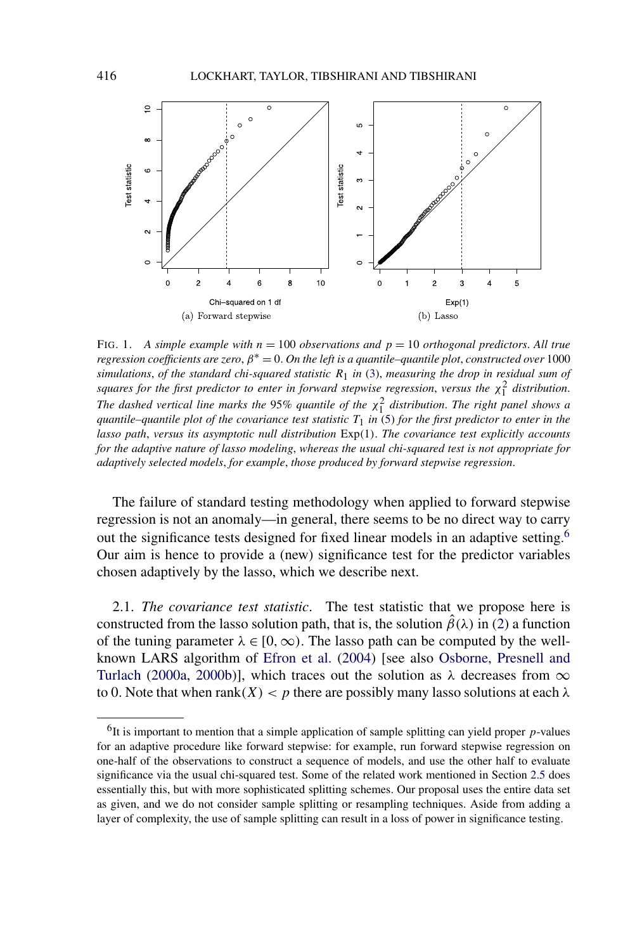<span id="page-3-0"></span>

FIG. 1. *A simple example with n* = 100 *observations and p* = 10 *orthogonal predictors*. *All true regression coefficients are zero,*  $\beta^* = 0$ . *On the left is a quantile–quantile plot, constructed over* 1000 *simulations*, *of the standard chi-squared statistic R*1 *in* [\(3\)](#page-2-0), *measuring the drop in residual sum of squares for the first predictor to enter in forward stepwise regression, versus the*  $\chi_1^2$  *distribution. The dashed vertical line marks the* 95% quantile of the  $\chi_1^2$  distribution. The right panel shows a *quantile–quantile plot of the covariance test statistic*  $T_1$  *in* [\(5\)](#page-5-0) *for the first predictor to enter in the lasso path*, *versus its asymptotic null distribution* Exp*(*1*)*. *The covariance test explicitly accounts for the adaptive nature of lasso modeling*, *whereas the usual chi-squared test is not appropriate for adaptively selected models*, *for example*, *those produced by forward stepwise regression*.

The failure of standard testing methodology when applied to forward stepwise regression is not an anomaly—in general, there seems to be no direct way to carry out the significance tests designed for fixed linear models in an adaptive setting.<sup>6</sup> Our aim is hence to provide a (new) significance test for the predictor variables chosen adaptively by the lasso, which we describe next.

2.1. *The covariance test statistic*. The test statistic that we propose here is constructed from the lasso solution path, that is, the solution  $\hat{\beta}(\lambda)$  in [\(2\)](#page-1-0) a function of the tuning parameter  $\lambda \in [0, \infty)$ . The lasso path can be computed by the wellknown LARS algorithm of [Efron et al.](#page-54-0) [\(2004\)](#page-54-0) [see also [Osborne, Presnell and](#page-54-0) [Turlach](#page-54-0) [\(2000a,](#page-54-0) [2000b\)](#page-55-0)], which traces out the solution as  $\lambda$  decreases from  $\infty$ to 0. Note that when rank $(X) < p$  there are possibly many lasso solutions at each  $\lambda$ 

 $<sup>6</sup>$ It is important to mention that a simple application of sample splitting can yield proper  $p$ -values</sup> for an adaptive procedure like forward stepwise: for example, run forward stepwise regression on one-half of the observations to construct a sequence of models, and use the other half to evaluate significance via the usual chi-squared test. Some of the related work mentioned in Section [2.5](#page-11-0) does essentially this, but with more sophisticated splitting schemes. Our proposal uses the entire data set as given, and we do not consider sample splitting or resampling techniques. Aside from adding a layer of complexity, the use of sample splitting can result in a loss of power in significance testing.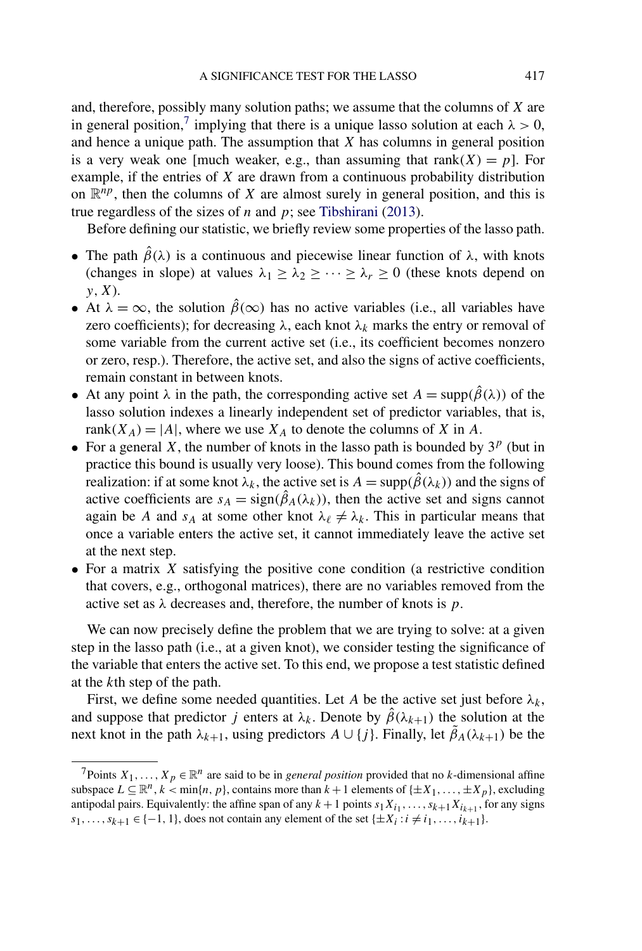and, therefore, possibly many solution paths; we assume that the columns of *X* are in general position,<sup>7</sup> implying that there is a unique lasso solution at each  $\lambda > 0$ , and hence a unique path. The assumption that *X* has columns in general position is a very weak one [much weaker, e.g., than assuming that  $rank(X) = p$ ]. For example, if the entries of *X* are drawn from a continuous probability distribution on  $\mathbb{R}^{np}$ , then the columns of *X* are almost surely in general position, and this is true regardless of the sizes of *n* and *p*; see [Tibshirani](#page-55-0) [\(2013\)](#page-55-0).

Before defining our statistic, we briefly review some properties of the lasso path.

- The path  $\hat{\beta}(\lambda)$  is a continuous and piecewise linear function of  $\lambda$ , with knots (changes in slope) at values  $\lambda_1 \geq \lambda_2 \geq \cdots \geq \lambda_r \geq 0$  (these knots depend on *y,X*).
- At  $\lambda = \infty$ , the solution  $\hat{\beta}(\infty)$  has no active variables (i.e., all variables have zero coefficients); for decreasing  $\lambda$ , each knot  $\lambda_k$  marks the entry or removal of some variable from the current active set (i.e., its coefficient becomes nonzero or zero, resp.). Therefore, the active set, and also the signs of active coefficients, remain constant in between knots.
- At any point  $\lambda$  in the path, the corresponding active set  $A = \text{supp}(\hat{\beta}(\lambda))$  of the lasso solution indexes a linearly independent set of predictor variables, that is, rank $(X_A) = |A|$ , where we use  $X_A$  to denote the columns of X in A.
- For a general *X*, the number of knots in the lasso path is bounded by  $3^p$  (but in practice this bound is usually very loose). This bound comes from the following realization: if at some knot  $\lambda_k$ , the active set is  $A = \text{supp}(\hat{\beta}(\lambda_k))$  and the signs of active coefficients are  $s_A = sign(\hat{\beta}_A(\lambda_k))$ , then the active set and signs cannot again be *A* and  $s_A$  at some other knot  $\lambda_\ell \neq \lambda_k$ . This in particular means that once a variable enters the active set, it cannot immediately leave the active set at the next step.
- For a matrix *X* satisfying the positive cone condition (a restrictive condition that covers, e.g., orthogonal matrices), there are no variables removed from the active set as *λ* decreases and, therefore, the number of knots is *p*.

We can now precisely define the problem that we are trying to solve: at a given step in the lasso path (i.e., at a given knot), we consider testing the significance of the variable that enters the active set. To this end, we propose a test statistic defined at the *k*th step of the path.

First, we define some needed quantities. Let *A* be the active set just before  $\lambda_k$ , and suppose that predictor *j* enters at  $\lambda_k$ . Denote by  $\hat{\beta}(\lambda_{k+1})$  the solution at the next knot in the path  $\lambda_{k+1}$ , using predictors  $A \cup \{j\}$ . Finally, let  $\tilde{\beta}_A(\lambda_{k+1})$  be the

<sup>&</sup>lt;sup>7</sup>Points  $X_1, \ldots, X_p \in \mathbb{R}^n$  are said to be in *general position* provided that no *k*-dimensional affine subspace  $L \subseteq \mathbb{R}^n$ ,  $k < \min\{n, p\}$ , contains more than  $k + 1$  elements of  $\{\pm X_1, \ldots, \pm X_p\}$ , excluding antipodal pairs. Equivalently: the affine span of any  $k + 1$  points  $s_1 X_{i_1}, \ldots, s_{k+1} X_{i_{k+1}}$ , for any signs *s*<sub>1</sub>*,...,s*<sub>*k*+1</sub> ∈ {−1*,* 1}, does not contain any element of the set { $\pm X_i$  :  $i \neq i_1, ..., i_{k+1}$ }.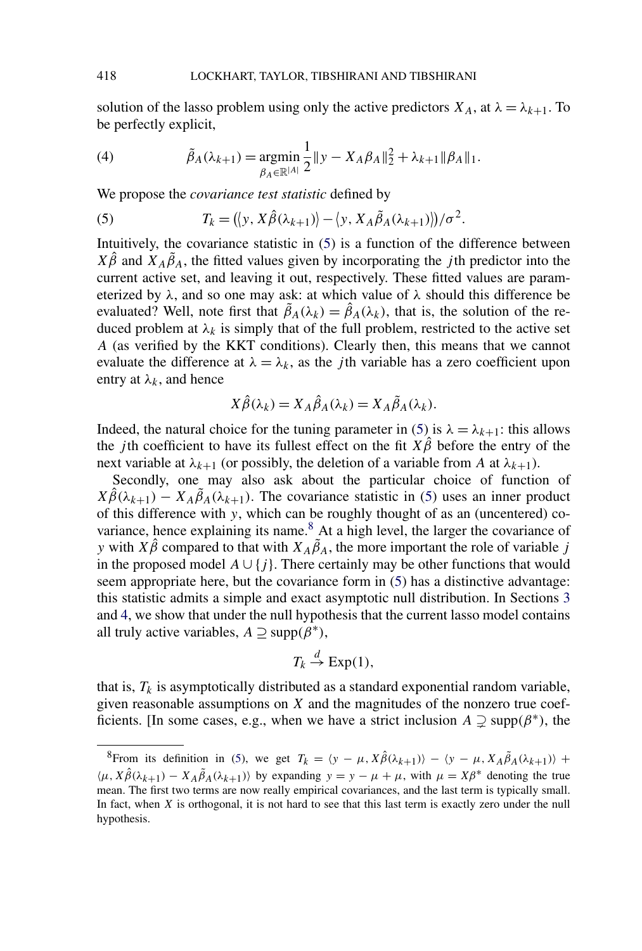<span id="page-5-0"></span>solution of the lasso problem using only the active predictors  $X_A$ , at  $\lambda = \lambda_{k+1}$ . To be perfectly explicit,

(4) 
$$
\tilde{\beta}_A(\lambda_{k+1}) = \underset{\beta_A \in \mathbb{R}^{|A|}}{\text{argmin}} \frac{1}{2} \|y - X_A \beta_A\|_2^2 + \lambda_{k+1} \|\beta_A\|_1.
$$

We propose the *covariance test statistic* defined by

(5) 
$$
T_k = (\langle y, X\hat{\beta}(\lambda_{k+1})\rangle - \langle y, X_A\tilde{\beta}_A(\lambda_{k+1})\rangle)/\sigma^2.
$$

Intuitively, the covariance statistic in (5) is a function of the difference between  $X\hat{\beta}$  and  $X_A\tilde{\beta}_A$ , the fitted values given by incorporating the *j*th predictor into the current active set, and leaving it out, respectively. These fitted values are parameterized by  $\lambda$ , and so one may ask: at which value of  $\lambda$  should this difference be evaluated? Well, note first that  $\tilde{\beta}_A(\lambda_k) = \hat{\beta}_A(\lambda_k)$ , that is, the solution of the reduced problem at  $\lambda_k$  is simply that of the full problem, restricted to the active set *A* (as verified by the KKT conditions). Clearly then, this means that we cannot evaluate the difference at  $\lambda = \lambda_k$ , as the *j*th variable has a zero coefficient upon entry at  $\lambda_k$ , and hence

$$
X\hat{\beta}(\lambda_k) = X_A\hat{\beta}_A(\lambda_k) = X_A\tilde{\beta}_A(\lambda_k).
$$

Indeed, the natural choice for the tuning parameter in (5) is  $\lambda = \lambda_{k+1}$ : this allows the *j*th coefficient to have its fullest effect on the fit  $X\hat{\beta}$  before the entry of the next variable at  $\lambda_{k+1}$  (or possibly, the deletion of a variable from *A* at  $\lambda_{k+1}$ ).

Secondly, one may also ask about the particular choice of function of  $X\hat{\beta}(\lambda_{k+1}) - X_A\tilde{\beta}_A(\lambda_{k+1})$ . The covariance statistic in (5) uses an inner product of this difference with *y*, which can be roughly thought of as an (uncentered) covariance, hence explaining its name.<sup>8</sup> At a high level, the larger the covariance of *y* with  $X\hat{\beta}$  compared to that with  $X_A\tilde{\beta}_A$ , the more important the role of variable *j* in the proposed model  $A \cup \{j\}$ . There certainly may be other functions that would seem appropriate here, but the covariance form in (5) has a distinctive advantage: this statistic admits a simple and exact asymptotic null distribution. In Sections [3](#page-12-0) and [4,](#page-17-0) we show that under the null hypothesis that the current lasso model contains all truly active variables,  $A \supseteq \text{supp}(\beta^*)$ ,

$$
T_k \stackrel{d}{\to} \text{Exp}(1),
$$

that is,  $T_k$  is asymptotically distributed as a standard exponential random variable, given reasonable assumptions on *X* and the magnitudes of the nonzero true coefficients. [In some cases, e.g., when we have a strict inclusion  $A \supsetneq \text{supp}(\beta^*)$ , the

<sup>8</sup>From its definition in (5), we get  $T_k = \langle y - \mu, X \hat{\beta}(\lambda_{k+1}) \rangle - \langle y - \mu, X_A \tilde{\beta}_A(\lambda_{k+1}) \rangle +$  $\langle \mu, X \hat{\beta}(\lambda_{k+1}) - X_A \tilde{\beta}_A(\lambda_{k+1}) \rangle$  by expanding  $y = y - \mu + \mu$ , with  $\mu = X\beta^*$  denoting the true mean. The first two terms are now really empirical covariances, and the last term is typically small. In fact, when *X* is orthogonal, it is not hard to see that this last term is exactly zero under the null hypothesis.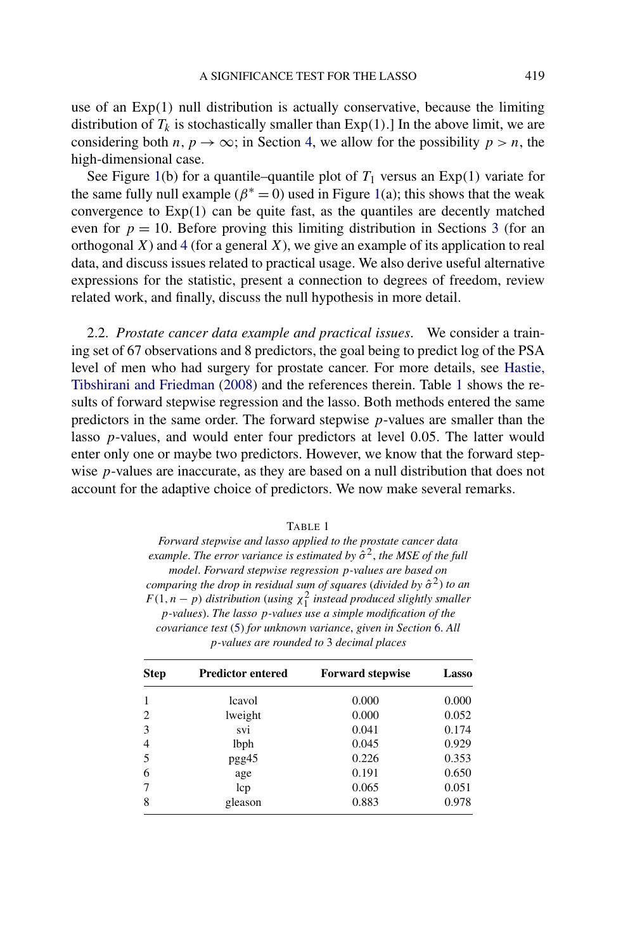<span id="page-6-0"></span>use of an Exp*(*1*)* null distribution is actually conservative, because the limiting distribution of  $T_k$  is stochastically smaller than  $Exp(1)$ . In the above limit, we are considering both *n*,  $p \rightarrow \infty$ ; in Section [4,](#page-17-0) we allow for the possibility  $p > n$ , the high-dimensional case.

See Figure [1\(](#page-3-0)b) for a quantile–quantile plot of  $T_1$  versus an  $Exp(1)$  variate for the same fully null example ( $\beta^* = 0$ ) used in Figure [1\(](#page-3-0)a); this shows that the weak convergence to Exp*(*1*)* can be quite fast, as the quantiles are decently matched even for  $p = 10$ . Before proving this limiting distribution in Sections [3](#page-12-0) (for an orthogonal *X*) and [4](#page-17-0) (for a general *X*), we give an example of its application to real data, and discuss issues related to practical usage. We also derive useful alternative expressions for the statistic, present a connection to degrees of freedom, review related work, and finally, discuss the null hypothesis in more detail.

2.2. *Prostate cancer data example and practical issues*. We consider a training set of 67 observations and 8 predictors, the goal being to predict log of the PSA level of men who had surgery for prostate cancer. For more details, see [Hastie,](#page-54-0) [Tibshirani and Friedman](#page-54-0) [\(2008\)](#page-54-0) and the references therein. Table 1 shows the results of forward stepwise regression and the lasso. Both methods entered the same predictors in the same order. The forward stepwise *p*-values are smaller than the lasso *p*-values, and would enter four predictors at level 0*.*05. The latter would enter only one or maybe two predictors. However, we know that the forward stepwise *p*-values are inaccurate, as they are based on a null distribution that does not account for the adaptive choice of predictors. We now make several remarks.

| Forward stepwise and lasso applied to the prostate cancer data                     |  |
|------------------------------------------------------------------------------------|--|
| example. The error variance is estimated by $\hat{\sigma}^2$ , the MSE of the full |  |
| model. Forward stepwise regression p-values are based on                           |  |
| comparing the drop in residual sum of squares (divided by $\hat{\sigma}^2$ ) to an |  |
| $F(1, n-p)$ distribution (using $\chi_1^2$ instead produced slightly smaller       |  |
| p-values). The lasso p-values use a simple modification of the                     |  |
| covariance test (5) for unknown variance, given in Section 6. All                  |  |
| p-values are rounded to 3 decimal places                                           |  |

|--|--|

| <b>Step</b>    | <b>Predictor entered</b> | <b>Forward stepwise</b> | Lasso |  |
|----------------|--------------------------|-------------------------|-------|--|
| 1              | lcavol                   | 0.000                   | 0.000 |  |
| $\overline{2}$ | lweight                  | 0.000                   | 0.052 |  |
| 3              | svi                      | 0.041                   | 0.174 |  |
| $\overline{4}$ | lbph                     | 0.045                   | 0.929 |  |
| 5              | pgg45                    | 0.226                   | 0.353 |  |
| 6              | age                      | 0.191                   | 0.650 |  |
| 7              | lcp                      | 0.065                   | 0.051 |  |
| 8              | gleason                  | 0.883                   | 0.978 |  |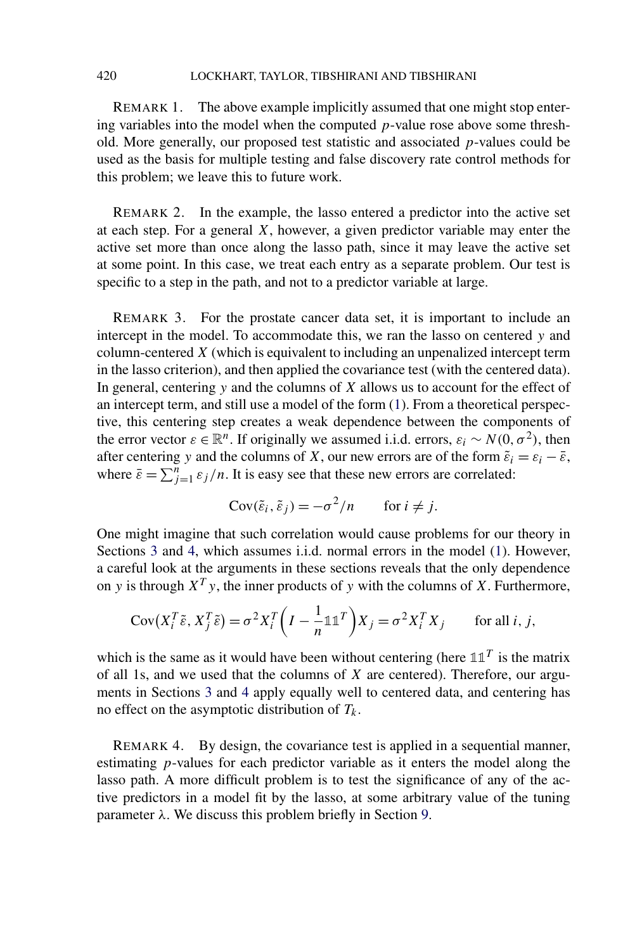REMARK 1. The above example implicitly assumed that one might stop entering variables into the model when the computed *p*-value rose above some threshold. More generally, our proposed test statistic and associated *p*-values could be used as the basis for multiple testing and false discovery rate control methods for this problem; we leave this to future work.

REMARK 2. In the example, the lasso entered a predictor into the active set at each step. For a general *X*, however, a given predictor variable may enter the active set more than once along the lasso path, since it may leave the active set at some point. In this case, we treat each entry as a separate problem. Our test is specific to a step in the path, and not to a predictor variable at large.

REMARK 3. For the prostate cancer data set, it is important to include an intercept in the model. To accommodate this, we ran the lasso on centered *y* and column-centered *X* (which is equivalent to including an unpenalized intercept term in the lasso criterion), and then applied the covariance test (with the centered data). In general, centering *y* and the columns of *X* allows us to account for the effect of an intercept term, and still use a model of the form [\(1\)](#page-1-0). From a theoretical perspective, this centering step creates a weak dependence between the components of the error vector  $\varepsilon \in \mathbb{R}^n$ . If originally we assumed i.i.d. errors,  $\varepsilon_i \sim N(0, \sigma^2)$ , then after centering *y* and the columns of *X*, our new errors are of the form  $\tilde{\varepsilon}_i = \varepsilon_i - \bar{\varepsilon}$ , where  $\bar{\varepsilon} = \sum_{j=1}^{n} \varepsilon_j / n$ . It is easy see that these new errors are correlated:

$$
Cov(\tilde{\varepsilon}_i, \tilde{\varepsilon}_j) = -\sigma^2/n \quad \text{for } i \neq j.
$$

One might imagine that such correlation would cause problems for our theory in Sections [3](#page-12-0) and [4,](#page-17-0) which assumes i.i.d. normal errors in the model [\(1\)](#page-1-0). However, a careful look at the arguments in these sections reveals that the only dependence on *y* is through  $X^T y$ , the inner products of *y* with the columns of *X*. Furthermore,

$$
Cov(X_i^T \tilde{\varepsilon}, X_j^T \tilde{\varepsilon}) = \sigma^2 X_i^T \left(I - \frac{1}{n} \mathbb{1} \mathbb{1}^T\right) X_j = \sigma^2 X_i^T X_j \quad \text{for all } i, j,
$$

which is the same as it would have been without centering (here  $\mathbb{1} \mathbb{1}^T$  is the matrix of all 1s, and we used that the columns of *X* are centered). Therefore, our arguments in Sections [3](#page-12-0) and [4](#page-17-0) apply equally well to centered data, and centering has no effect on the asymptotic distribution of  $T_k$ .

REMARK 4. By design, the covariance test is applied in a sequential manner, estimating *p*-values for each predictor variable as it enters the model along the lasso path. A more difficult problem is to test the significance of any of the active predictors in a model fit by the lasso, at some arbitrary value of the tuning parameter *λ*. We discuss this problem briefly in Section [9.](#page-39-0)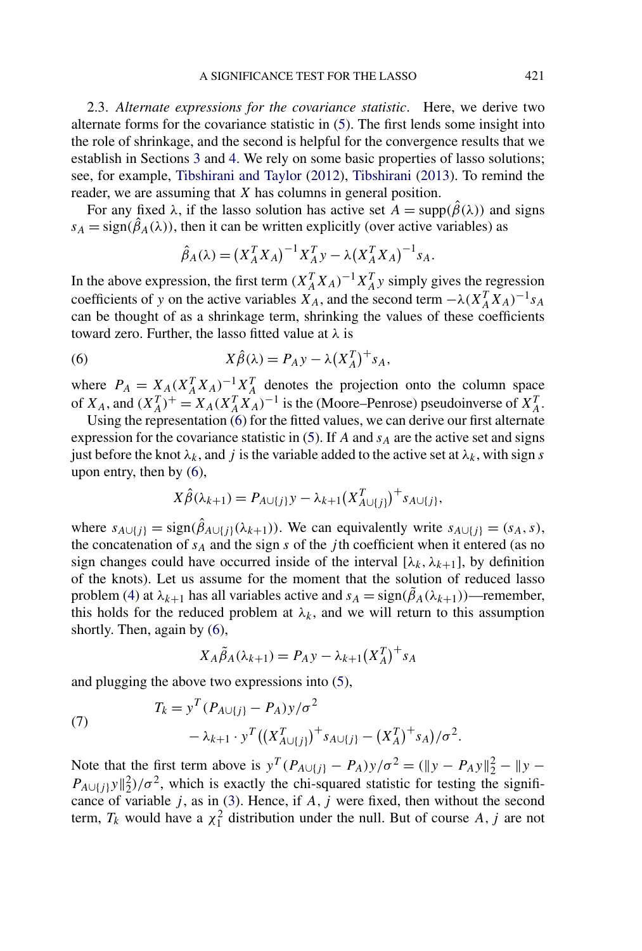<span id="page-8-0"></span>2.3. *Alternate expressions for the covariance statistic*. Here, we derive two alternate forms for the covariance statistic in [\(5\)](#page-5-0). The first lends some insight into the role of shrinkage, and the second is helpful for the convergence results that we establish in Sections [3](#page-12-0) and [4.](#page-17-0) We rely on some basic properties of lasso solutions; see, for example, [Tibshirani and Taylor](#page-55-0) [\(2012\)](#page-55-0), [Tibshirani](#page-55-0) [\(2013\)](#page-55-0). To remind the reader, we are assuming that *X* has columns in general position.

For any fixed  $\lambda$ , if the lasso solution has active set  $A = \text{supp}(\hat{\beta}(\lambda))$  and signs  $s_A = sign(\hat{\beta}_A(\lambda))$ , then it can be written explicitly (over active variables) as

$$
\hat{\beta}_A(\lambda) = (X_A^T X_A)^{-1} X_A^T y - \lambda (X_A^T X_A)^{-1} s_A.
$$

In the above expression, the first term  $(X_A^T X_A)^{-1} X_A^T y$  simply gives the regression coefficients of *y* on the active variables  $X_A$ , and the second term  $-\lambda (X_A^T X_A)^{-1} s_A$ can be thought of as a shrinkage term, shrinking the values of these coefficients toward zero. Further, the lasso fitted value at *λ* is

(6) 
$$
X\hat{\beta}(\lambda) = P_A y - \lambda (X_A^T)^{+} s_A,
$$

where  $P_A = X_A (X_A^T X_A)^{-1} X_A^T$  denotes the projection onto the column space of  $X_A$ , and  $(X_A^T)^+ = X_A(X_A^T X_A)^{-1}$  is the (Moore–Penrose) pseudoinverse of  $X_A^T$ .

Using the representation  $\hat{r}(6)$  for the fitted values, we can derive our first alternate expression for the covariance statistic in  $(5)$ . If *A* and  $s_A$  are the active set and signs just before the knot  $\lambda_k$ , and *j* is the variable added to the active set at  $\lambda_k$ , with sign *s* upon entry, then by (6),

$$
X\hat{\beta}(\lambda_{k+1}) = P_{A\cup\{j\}}y - \lambda_{k+1}(X_{A\cup\{j\}}^T)^{+} s_{A\cup\{j\}},
$$

where  $s_{A \cup \{j\}} = \text{sign}(\hat{\beta}_{A \cup \{j\}}(\lambda_{k+1}))$ . We can equivalently write  $s_{A \cup \{j\}} = (s_A, s)$ , the concatenation of *sA* and the sign *s* of the *j* th coefficient when it entered (as no sign changes could have occurred inside of the interval  $[\lambda_k, \lambda_{k+1}]$ , by definition of the knots). Let us assume for the moment that the solution of reduced lasso problem [\(4\)](#page-5-0) at  $\lambda_{k+1}$  has all variables active and  $s_A = sign(\tilde{\beta}_A(\lambda_{k+1}))$ —remember, this holds for the reduced problem at  $\lambda_k$ , and we will return to this assumption shortly. Then, again by (6),

$$
X_A \tilde{\beta}_A(\lambda_{k+1}) = P_A y - \lambda_{k+1} (X_A^T)^{+} s_A
$$

and plugging the above two expressions into [\(5\)](#page-5-0),

(7) 
$$
T_{k} = y^{T} (P_{A \cup \{j\}} - P_{A}) y / \sigma^{2} - \lambda_{k+1} \cdot y^{T} ((X_{A \cup \{j\}}^{T})^{+} s_{A \cup \{j\}} - (X_{A}^{T})^{+} s_{A}) / \sigma^{2}.
$$

Note that the first term above is  $y^T (P_{A \cup \{j\}} - P_A) y / \sigma^2 = (\|y - P_A y\|_2^2 - \|y - P_A y\|_2^2)$  $P_{A\cup\{j\}}y\|_2^2/\sigma^2$ , which is exactly the chi-squared statistic for testing the significance of variable  $j$ , as in [\(3\)](#page-2-0). Hence, if  $A$ ,  $j$  were fixed, then without the second term,  $T_k$  would have a  $\chi_1^2$  distribution under the null. But of course A, j are not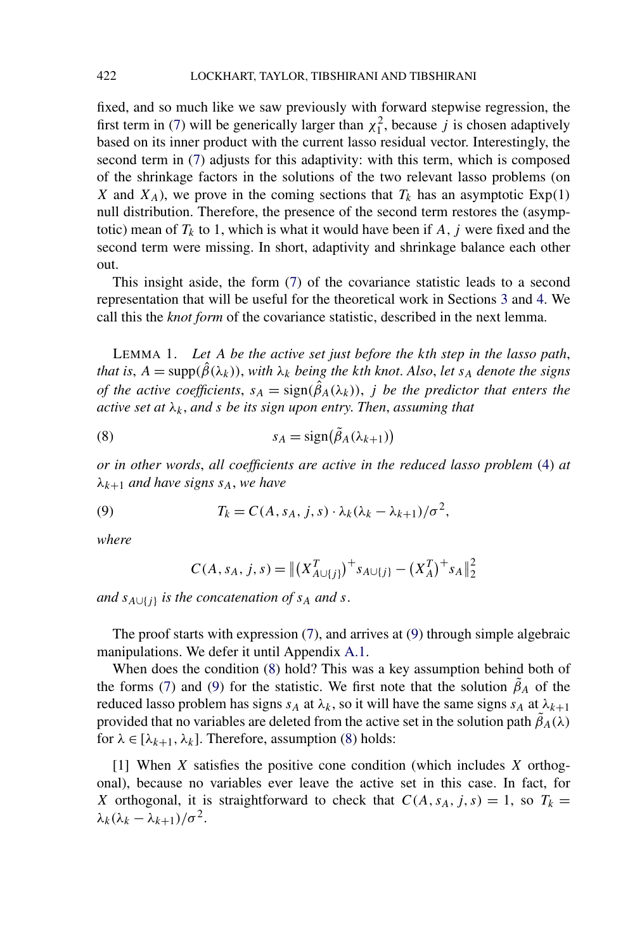<span id="page-9-0"></span>fixed, and so much like we saw previously with forward stepwise regression, the first term in [\(7\)](#page-8-0) will be generically larger than  $\chi_1^2$ , because *j* is chosen adaptively based on its inner product with the current lasso residual vector. Interestingly, the second term in [\(7\)](#page-8-0) adjusts for this adaptivity: with this term, which is composed of the shrinkage factors in the solutions of the two relevant lasso problems (on *X* and  $X_A$ ), we prove in the coming sections that  $T_k$  has an asymptotic Exp(1) null distribution. Therefore, the presence of the second term restores the (asymptotic) mean of  $T_k$  to 1, which is what it would have been if  $A$ ,  $j$  were fixed and the second term were missing. In short, adaptivity and shrinkage balance each other out.

This insight aside, the form [\(7\)](#page-8-0) of the covariance statistic leads to a second representation that will be useful for the theoretical work in Sections [3](#page-12-0) and [4.](#page-17-0) We call this the *knot form* of the covariance statistic, described in the next lemma.

LEMMA 1. *Let A be the active set just before the kth step in the lasso path*, *that is*,  $A = \text{supp}(\hat{\beta}(\lambda_k))$ , *with*  $\lambda_k$  *being the kth knot. Also, let s<sub>A</sub> denote the signs of the active coefficients,*  $s_A = sign(\hat{\beta}_A(\lambda_k))$ , *j be the predictor that enters the active set at λk*, *and s be its sign upon entry*. *Then*, *assuming that*

(8) 
$$
s_A = sign(\tilde{\beta}_A(\lambda_{k+1}))
$$

*or in other words*, *all coefficients are active in the reduced lasso problem* [\(4\)](#page-5-0) *at λk*<sup>+</sup><sup>1</sup> *and have signs sA*, *we have*

(9) 
$$
T_k = C(A, s_A, j, s) \cdot \lambda_k (\lambda_k - \lambda_{k+1}) / \sigma^2,
$$

*where*

$$
C(A, s_A, j, s) = ||(X_{A \cup \{j\}}^T)^{+} s_{A \cup \{j\}} - (X_A^T)^{+} s_A||_2^2
$$

*and*  $s_{A \cup \{j\}}$  *is the concatenation of*  $s_A$  *and*  $s$ .

The proof starts with expression  $(7)$ , and arrives at  $(9)$  through simple algebraic manipulations. We defer it until Appendix [A.1.](#page-41-0)

When does the condition (8) hold? This was a key assumption behind both of the forms [\(7\)](#page-8-0) and (9) for the statistic. We first note that the solution  $\tilde{\beta}_A$  of the reduced lasso problem has signs  $s_A$  at  $\lambda_k$ , so it will have the same signs  $s_A$  at  $\lambda_{k+1}$ provided that no variables are deleted from the active set in the solution path  $\tilde{\beta}_A(\lambda)$ for  $\lambda \in [\lambda_{k+1}, \lambda_k]$ . Therefore, assumption (8) holds:

[1] When *X* satisfies the positive cone condition (which includes *X* orthogonal), because no variables ever leave the active set in this case. In fact, for *X* orthogonal, it is straightforward to check that  $C(A, s_A, j, s) = 1$ , so  $T_k =$  $\lambda_k(\lambda_k - \lambda_{k+1})/\sigma^2$ .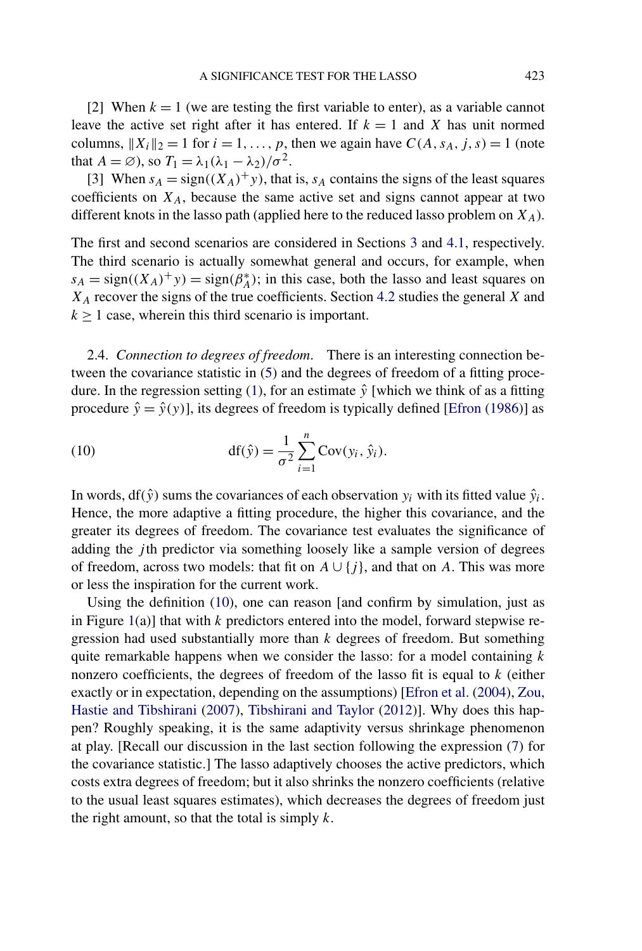<span id="page-10-0"></span>[2] When  $k = 1$  (we are testing the first variable to enter), as a variable cannot leave the active set right after it has entered. If  $k = 1$  and *X* has unit normed columns,  $||X_i||_2 = 1$  for  $i = 1, \ldots, p$ , then we again have  $C(A, s_A, j, s) = 1$  (note that  $A = \emptyset$ , so  $T_1 = \lambda_1(\lambda_1 - \lambda_2)/\sigma^2$ .

[3] When  $s_A = sign((X_A)^+ y)$ , that is,  $s_A$  contains the signs of the least squares coefficients on  $X_A$ , because the same active set and signs cannot appear at two different knots in the lasso path (applied here to the reduced lasso problem on  $X_A$ ).

The first and second scenarios are considered in Sections [3](#page-12-0) and [4.1,](#page-18-0) respectively. The third scenario is actually somewhat general and occurs, for example, when  $s_A = \text{sign}((X_A)^+ y) = \text{sign}(\beta_A^*)$ ; in this case, both the lasso and least squares on *XA* recover the signs of the true coefficients. Section [4.2](#page-22-0) studies the general *X* and  $k \geq 1$  case, wherein this third scenario is important.

2.4. *Connection to degrees of freedom*. There is an interesting connection between the covariance statistic in [\(5\)](#page-5-0) and the degrees of freedom of a fitting proce-dure. In the regression setting [\(1\)](#page-1-0), for an estimate  $\hat{y}$  [which we think of as a fitting procedure  $\hat{y} = \hat{y}(y)$ , its degrees of freedom is typically defined [\[Efron](#page-54-0) [\(1986\)](#page-54-0)] as

(10) 
$$
df(\hat{y}) = \frac{1}{\sigma^2} \sum_{i=1}^{n} Cov(y_i, \hat{y}_i).
$$

In words, df( $\hat{y}$ ) sums the covariances of each observation  $y_i$  with its fitted value  $\hat{y}_i$ . Hence, the more adaptive a fitting procedure, the higher this covariance, and the greater its degrees of freedom. The covariance test evaluates the significance of adding the *j* th predictor via something loosely like a sample version of degrees of freedom, across two models: that fit on  $A \cup \{j\}$ , and that on *A*. This was more or less the inspiration for the current work.

Using the definition (10), one can reason [and confirm by simulation, just as in Figure [1\(](#page-3-0)a)] that with *k* predictors entered into the model, forward stepwise regression had used substantially more than *k* degrees of freedom. But something quite remarkable happens when we consider the lasso: for a model containing *k* nonzero coefficients, the degrees of freedom of the lasso fit is equal to *k* (either exactly or in expectation, depending on the assumptions) [\[Efron et al.](#page-54-0) [\(2004\)](#page-54-0), [Zou,](#page-55-0) [Hastie and Tibshirani](#page-55-0) [\(2007\)](#page-55-0), [Tibshirani and Taylor](#page-55-0) [\(2012\)](#page-55-0)]. Why does this happen? Roughly speaking, it is the same adaptivity versus shrinkage phenomenon at play. [Recall our discussion in the last section following the expression [\(7\)](#page-8-0) for the covariance statistic.] The lasso adaptively chooses the active predictors, which costs extra degrees of freedom; but it also shrinks the nonzero coefficients (relative to the usual least squares estimates), which decreases the degrees of freedom just the right amount, so that the total is simply *k*.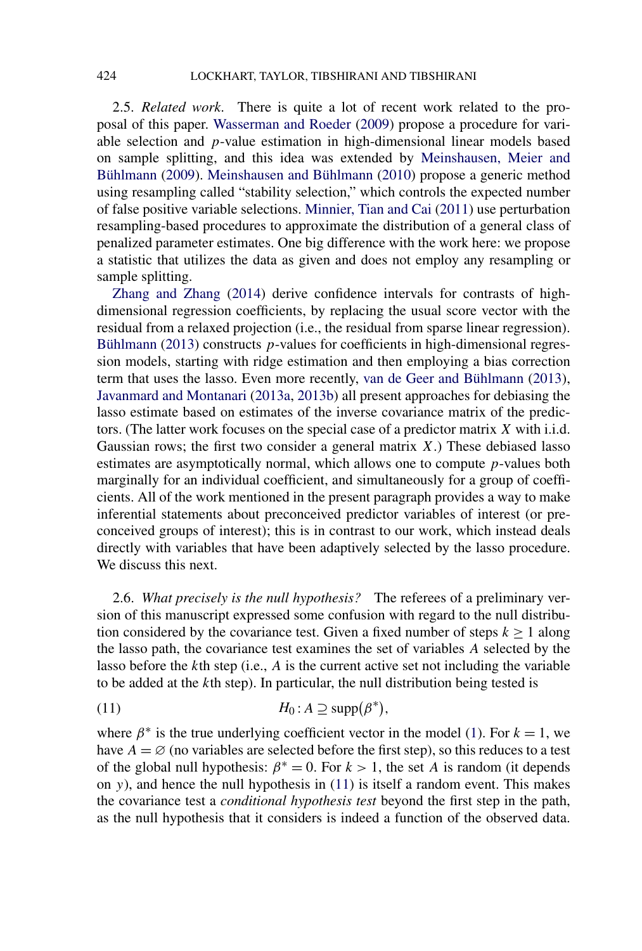<span id="page-11-0"></span>2.5. *Related work*. There is quite a lot of recent work related to the proposal of this paper. [Wasserman and Roeder](#page-55-0) [\(2009\)](#page-55-0) propose a procedure for variable selection and *p*-value estimation in high-dimensional linear models based on sample splitting, and this idea was extended by [Meinshausen, Meier and](#page-54-0) [Bühlmann](#page-54-0) [\(2009\)](#page-54-0). [Meinshausen and Bühlmann](#page-54-0) [\(2010\)](#page-54-0) propose a generic method using resampling called "stability selection," which controls the expected number of false positive variable selections. [Minnier, Tian and Cai](#page-54-0) [\(2011\)](#page-54-0) use perturbation resampling-based procedures to approximate the distribution of a general class of penalized parameter estimates. One big difference with the work here: we propose a statistic that utilizes the data as given and does not employ any resampling or sample splitting.

[Zhang and Zhang](#page-55-0) [\(2014\)](#page-55-0) derive confidence intervals for contrasts of highdimensional regression coefficients, by replacing the usual score vector with the residual from a relaxed projection (i.e., the residual from sparse linear regression). [Bühlmann](#page-54-0) [\(2013\)](#page-54-0) constructs *p*-values for coefficients in high-dimensional regression models, starting with ridge estimation and then employing a bias correction term that uses the lasso. Even more recently, [van de Geer and Bühlmann](#page-55-0) [\(2013\)](#page-55-0), [Javanmard and Montanari](#page-54-0) [\(2013a,](#page-54-0) [2013b\)](#page-54-0) all present approaches for debiasing the lasso estimate based on estimates of the inverse covariance matrix of the predictors. (The latter work focuses on the special case of a predictor matrix *X* with i.i.d. Gaussian rows; the first two consider a general matrix *X*.) These debiased lasso estimates are asymptotically normal, which allows one to compute *p*-values both marginally for an individual coefficient, and simultaneously for a group of coefficients. All of the work mentioned in the present paragraph provides a way to make inferential statements about preconceived predictor variables of interest (or preconceived groups of interest); this is in contrast to our work, which instead deals directly with variables that have been adaptively selected by the lasso procedure. We discuss this next.

2.6. *What precisely is the null hypothesis?* The referees of a preliminary version of this manuscript expressed some confusion with regard to the null distribution considered by the covariance test. Given a fixed number of steps  $k \ge 1$  along the lasso path, the covariance test examines the set of variables *A* selected by the lasso before the *k*th step (i.e., *A* is the current active set not including the variable to be added at the *k*th step). In particular, the null distribution being tested is

(11) 
$$
H_0: A \supseteq \text{supp}(\beta^*),
$$

where  $\beta^*$  is the true underlying coefficient vector in the model [\(1\)](#page-1-0). For  $k = 1$ , we have  $A = \emptyset$  (no variables are selected before the first step), so this reduces to a test of the global null hypothesis:  $\beta^* = 0$ . For  $k > 1$ , the set *A* is random (it depends on *y*), and hence the null hypothesis in (11) is itself a random event. This makes the covariance test a *conditional hypothesis test* beyond the first step in the path, as the null hypothesis that it considers is indeed a function of the observed data.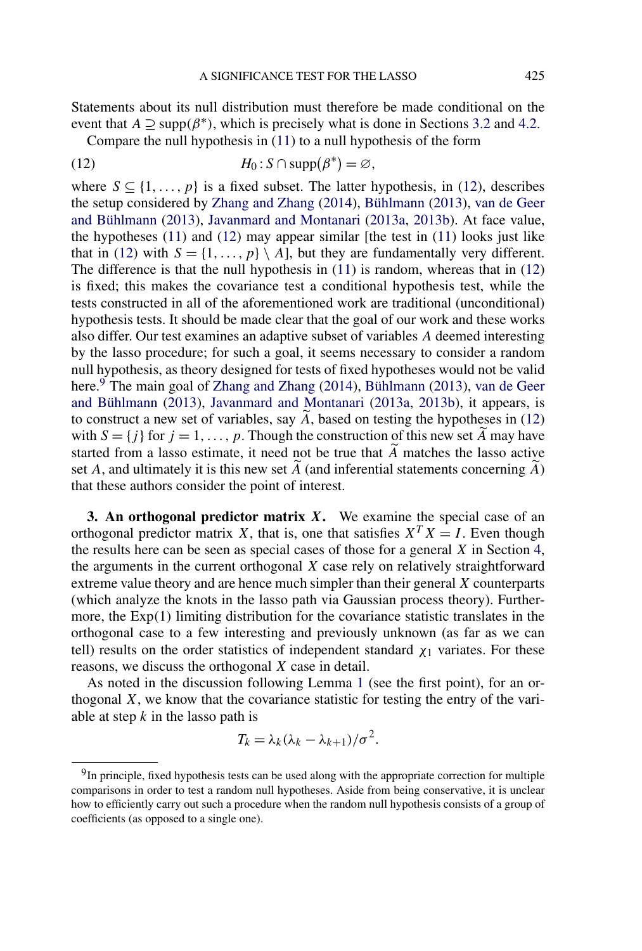<span id="page-12-0"></span>Statements about its null distribution must therefore be made conditional on the event that  $A \supseteq supp(\beta^*)$ , which is precisely what is done in Sections [3.2](#page-15-0) and [4.2.](#page-22-0)

Compare the null hypothesis in [\(11\)](#page-11-0) to a null hypothesis of the form

(12) 
$$
H_0: S \cap \mathrm{supp}(\beta^*) = \varnothing,
$$

where  $S \subseteq \{1, ..., p\}$  is a fixed subset. The latter hypothesis, in (12), describes the setup considered by [Zhang and Zhang](#page-55-0) [\(2014\)](#page-55-0), [Bühlmann](#page-54-0) [\(2013\)](#page-54-0), [van de Geer](#page-55-0) [and Bühlmann](#page-55-0) [\(2013\)](#page-55-0), [Javanmard and Montanari](#page-54-0) [\(2013a,](#page-54-0) [2013b\)](#page-54-0). At face value, the hypotheses  $(11)$  and  $(12)$  may appear similar [the test in  $(11)$  looks just like that in (12) with  $S = \{1, \ldots, p\} \setminus A$ , but they are fundamentally very different. The difference is that the null hypothesis in [\(11\)](#page-11-0) is random, whereas that in (12) is fixed; this makes the covariance test a conditional hypothesis test, while the tests constructed in all of the aforementioned work are traditional (unconditional) hypothesis tests. It should be made clear that the goal of our work and these works also differ. Our test examines an adaptive subset of variables *A* deemed interesting by the lasso procedure; for such a goal, it seems necessary to consider a random null hypothesis, as theory designed for tests of fixed hypotheses would not be valid here.<sup>9</sup> The main goal of [Zhang and Zhang](#page-55-0) [\(2014\)](#page-55-0), [Bühlmann](#page-54-0) [\(2013\)](#page-54-0), [van de Geer](#page-55-0) [and Bühlmann](#page-55-0) [\(2013\)](#page-55-0), [Javanmard and Montanari](#page-54-0) [\(2013a,](#page-54-0) [2013b\)](#page-54-0), it appears, is to construct a new set of variables, say  $\overline{A}$ , based on testing the hypotheses in (12) with  $S = \{j\}$  for  $j = 1, ..., p$ . Though the construction of this new set *A* may have started from a lasso estimate, it need not be true that  $\overline{A}$  matches the lasso active set *A*, and ultimately it is this new set *A* (and inferential statements concerning *A* ) that these authors consider the point of interest.

**3. An orthogonal predictor matrix** *X***.** We examine the special case of an orthogonal predictor matrix *X*, that is, one that satisfies  $X^T X = I$ . Even though the results here can be seen as special cases of those for a general *X* in Section [4,](#page-17-0) the arguments in the current orthogonal *X* case rely on relatively straightforward extreme value theory and are hence much simpler than their general *X* counterparts (which analyze the knots in the lasso path via Gaussian process theory). Furthermore, the Exp*(*1*)* limiting distribution for the covariance statistic translates in the orthogonal case to a few interesting and previously unknown (as far as we can tell) results on the order statistics of independent standard  $\chi_1$  variates. For these reasons, we discuss the orthogonal *X* case in detail.

As noted in the discussion following Lemma [1](#page-9-0) (see the first point), for an orthogonal *X*, we know that the covariance statistic for testing the entry of the variable at step *k* in the lasso path is

$$
T_k = \lambda_k (\lambda_k - \lambda_{k+1})/\sigma^2.
$$

<sup>&</sup>lt;sup>9</sup>In principle, fixed hypothesis tests can be used along with the appropriate correction for multiple comparisons in order to test a random null hypotheses. Aside from being conservative, it is unclear how to efficiently carry out such a procedure when the random null hypothesis consists of a group of coefficients (as opposed to a single one).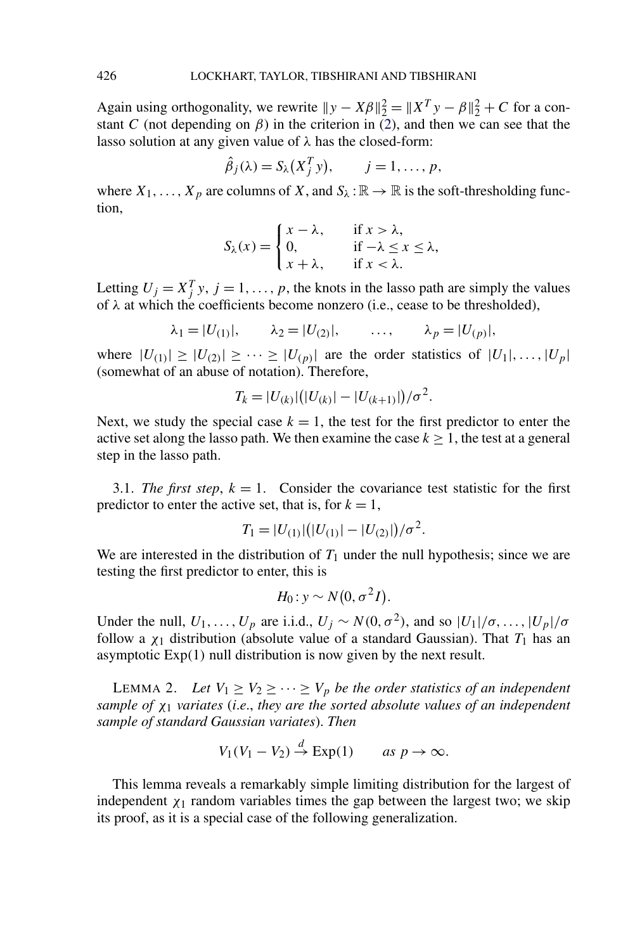Again using orthogonality, we rewrite  $||y - X\beta||_2^2 = ||X^T y - \beta||_2^2 + C$  for a constant *C* (not depending on  $\beta$ ) in the criterion in [\(2\)](#page-1-0), and then we can see that the lasso solution at any given value of *λ* has the closed-form:

$$
\hat{\beta}_j(\lambda) = S_{\lambda}(X_j^T y), \qquad j = 1, \ldots, p,
$$

where  $X_1, \ldots, X_p$  are columns of *X*, and  $S_\lambda : \mathbb{R} \to \mathbb{R}$  is the soft-thresholding function,

$$
S_{\lambda}(x) = \begin{cases} x - \lambda, & \text{if } x > \lambda, \\ 0, & \text{if } -\lambda \le x \le \lambda, \\ x + \lambda, & \text{if } x < \lambda. \end{cases}
$$

Letting  $U_j = X_j^T y$ ,  $j = 1, ..., p$ , the knots in the lasso path are simply the values of *λ* at which the coefficients become nonzero (i.e., cease to be thresholded),

$$
\lambda_1 = |U_{(1)}|, \quad \lambda_2 = |U_{(2)}|, \quad \ldots, \quad \lambda_p = |U_{(p)}|,
$$

where  $|U_{(1)}| \geq |U_{(2)}| \geq \cdots \geq |U_{(p)}|$  are the order statistics of  $|U_1|, \ldots, |U_p|$ (somewhat of an abuse of notation). Therefore,

$$
T_k = |U_{(k)}| (|U_{(k)}| - |U_{(k+1)}|)/\sigma^2.
$$

Next, we study the special case  $k = 1$ , the test for the first predictor to enter the active set along the lasso path. We then examine the case  $k > 1$ , the test at a general step in the lasso path.

3.1. *The first step*,  $k = 1$ . Consider the covariance test statistic for the first predictor to enter the active set, that is, for  $k = 1$ ,

$$
T_1 = |U_{(1)}| (|U_{(1)}| - |U_{(2)}|) / \sigma^2.
$$

We are interested in the distribution of  $T_1$  under the null hypothesis; since we are testing the first predictor to enter, this is

$$
H_0: y \sim N(0, \sigma^2 I).
$$

Under the null,  $U_1, \ldots, U_p$  are i.i.d.,  $U_j \sim N(0, \sigma^2)$ , and so  $|U_1|/\sigma, \ldots, |U_p|/\sigma$ follow a  $\chi_1$  distribution (absolute value of a standard Gaussian). That  $T_1$  has an asymptotic Exp*(*1*)* null distribution is now given by the next result.

LEMMA 2. Let  $V_1 \geq V_2 \geq \cdots \geq V_p$  be the order statistics of an independent *sample of χ*<sup>1</sup> *variates* (*i*.*e*., *they are the sorted absolute values of an independent sample of standard Gaussian variates*). *Then*

$$
V_1(V_1 - V_2) \stackrel{d}{\to} \operatorname{Exp}(1) \qquad \text{as } p \to \infty.
$$

This lemma reveals a remarkably simple limiting distribution for the largest of independent  $\chi_1$  random variables times the gap between the largest two; we skip its proof, as it is a special case of the following generalization.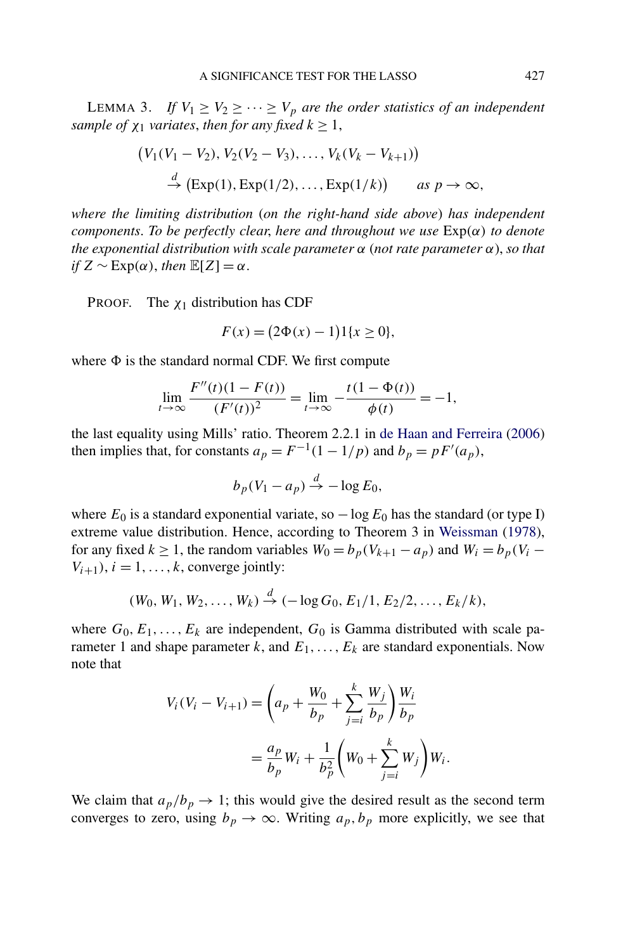<span id="page-14-0"></span>LEMMA 3. *If*  $V_1 \ge V_2 \ge \cdots \ge V_p$  *are the order statistics of an independent sample of*  $\chi_1$  *variates, then for any fixed*  $k \geq 1$ *,* 

$$
(V_1(V_1 - V_2), V_2(V_2 - V_3), ..., V_k(V_k - V_{k+1}))
$$
  
\n $\stackrel{d}{\rightarrow}$  (Exp(1), Exp(1/2), ..., Exp(1/k)) as  $p \to \infty$ ,

*where the limiting distribution* (*on the right-hand side above*) *has independent components*. *To be perfectly clear*, *here and throughout we use* Exp*(α) to denote the exponential distribution with scale parameter α* (*not rate parameter α*), *so that if*  $Z \sim \text{Exp}(\alpha)$ *, then*  $\mathbb{E}[Z] = \alpha$ *.* 

PROOF. The *χ*<sup>1</sup> distribution has CDF

$$
F(x) = (2\Phi(x) - 1)1\{x \ge 0\},\
$$

where  $\Phi$  is the standard normal CDF. We first compute

$$
\lim_{t \to \infty} \frac{F''(t)(1 - F(t))}{(F'(t))^2} = \lim_{t \to \infty} -\frac{t(1 - \Phi(t))}{\phi(t)} = -1,
$$

the last equality using Mills' ratio. Theorem 2.2.1 in [de Haan and Ferreira](#page-54-0) [\(2006\)](#page-54-0) then implies that, for constants  $a_p = F^{-1}(1 - 1/p)$  and  $b_p = pF'(a_p)$ ,

$$
b_p(V_1 - a_p) \xrightarrow{d} -\log E_0,
$$

where  $E_0$  is a standard exponential variate, so  $-\log E_0$  has the standard (or type I) extreme value distribution. Hence, according to Theorem 3 in [Weissman](#page-55-0) [\(1978\)](#page-55-0), for any fixed  $k \ge 1$ , the random variables  $W_0 = b_p(V_{k+1} - a_p)$  and  $W_i = b_p(V_i - a_p)$  $V_{i+1}$ ,  $i = 1, \ldots, k$ , converge jointly:

$$
(W_0, W_1, W_2, \ldots, W_k) \stackrel{d}{\to} (-\log G_0, E_1/1, E_2/2, \ldots, E_k/k),
$$

where  $G_0, E_1, \ldots, E_k$  are independent,  $G_0$  is Gamma distributed with scale parameter 1 and shape parameter  $k$ , and  $E_1, \ldots, E_k$  are standard exponentials. Now note that

$$
V_i(V_i - V_{i+1}) = \left(a_p + \frac{W_0}{b_p} + \sum_{j=i}^k \frac{W_j}{b_p}\right) \frac{W_i}{b_p}
$$
  
=  $\frac{a_p}{b_p} W_i + \frac{1}{b_p^2} \left(W_0 + \sum_{j=i}^k W_j\right) W_i.$ 

We claim that  $a_p/b_p \rightarrow 1$ ; this would give the desired result as the second term converges to zero, using  $b_p \to \infty$ . Writing  $a_p, b_p$  more explicitly, we see that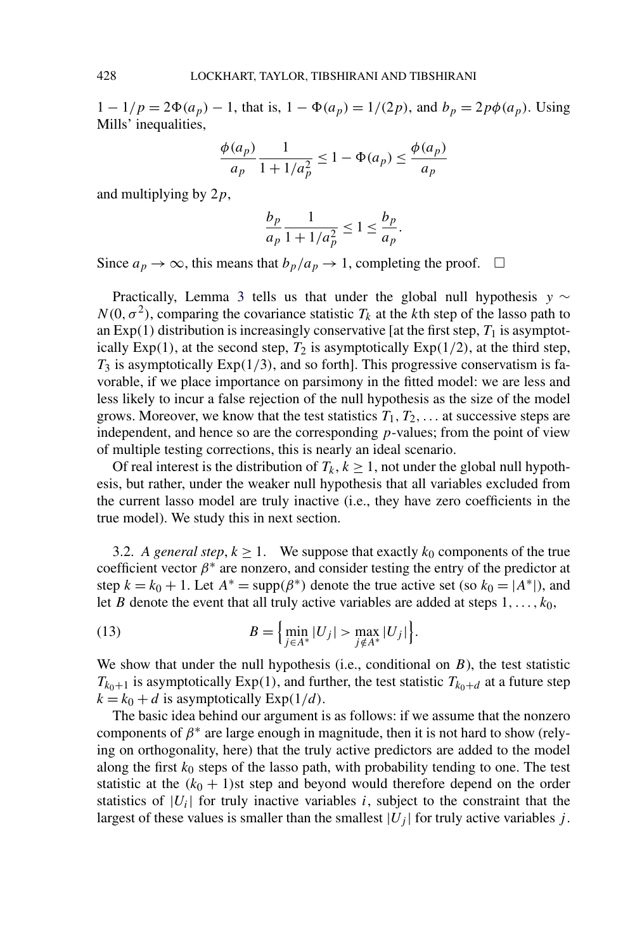$1 - 1/p = 2\Phi(a_p) - 1$ , that is,  $1 - \Phi(a_p) = 1/(2p)$ , and  $b_p = 2p\phi(a_p)$ . Using Mills' inequalities,

$$
\frac{\phi(a_p)}{a_p} \frac{1}{1 + 1/a_p^2} \le 1 - \Phi(a_p) \le \frac{\phi(a_p)}{a_p}
$$

and multiplying by 2*p*,

$$
\frac{b_p}{a_p} \frac{1}{1 + 1/a_p^2} \le 1 \le \frac{b_p}{a_p}.
$$

Since  $a_p \to \infty$ , this means that  $b_p/a_p \to 1$ , completing the proof.  $\Box$ 

Practically, Lemma [3](#page-14-0) tells us that under the global null hypothesis *y* ∼  $N(0, \sigma^2)$ , comparing the covariance statistic  $T_k$  at the *k*th step of the lasso path to an Exp(1) distribution is increasingly conservative [at the first step,  $T_1$  is asymptotically  $Exp(1)$ , at the second step,  $T_2$  is asymptotically  $Exp(1/2)$ , at the third step, *T*<sup>3</sup> is asymptotically Exp*(*1*/*3*)*, and so forth]. This progressive conservatism is favorable, if we place importance on parsimony in the fitted model: we are less and less likely to incur a false rejection of the null hypothesis as the size of the model grows. Moreover, we know that the test statistics  $T_1, T_2, \ldots$  at successive steps are independent, and hence so are the corresponding *p*-values; from the point of view of multiple testing corrections, this is nearly an ideal scenario.

Of real interest is the distribution of  $T_k$ ,  $k \geq 1$ , not under the global null hypothesis, but rather, under the weaker null hypothesis that all variables excluded from the current lasso model are truly inactive (i.e., they have zero coefficients in the true model). We study this in next section.

3.2. *A general step,*  $k \ge 1$ . We suppose that exactly  $k_0$  components of the true coefficient vector  $\beta^*$  are nonzero, and consider testing the entry of the predictor at step  $k = k_0 + 1$ . Let  $A^* = \text{supp}(\beta^*)$  denote the true active set (so  $k_0 = |A^*|$ ), and let *B* denote the event that all truly active variables are added at steps 1*,...,k*0,

(13) 
$$
B = \left\{ \min_{j \in A^*} |U_j| > \max_{j \notin A^*} |U_j| \right\}.
$$

We show that under the null hypothesis (i.e., conditional on *B*), the test statistic  $T_{k_0+1}$  is asymptotically Exp(1), and further, the test statistic  $T_{k_0+d}$  at a future step  $k = k_0 + d$  is asymptotically  $Exp(1/d)$ .

The basic idea behind our argument is as follows: if we assume that the nonzero components of  $\beta^*$  are large enough in magnitude, then it is not hard to show (relying on orthogonality, here) that the truly active predictors are added to the model along the first  $k_0$  steps of the lasso path, with probability tending to one. The test statistic at the  $(k_0 + 1)$ st step and beyond would therefore depend on the order statistics of  $|U_i|$  for truly inactive variables *i*, subject to the constraint that the largest of these values is smaller than the smallest  $|U_j|$  for truly active variables *j*.

<span id="page-15-0"></span>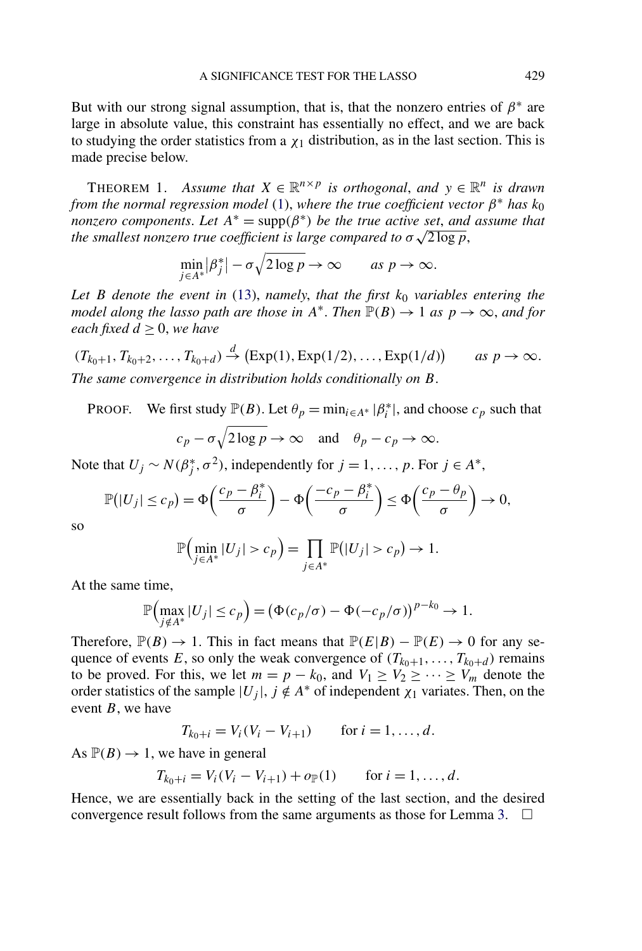<span id="page-16-0"></span>But with our strong signal assumption, that is, that the nonzero entries of  $\beta^*$  are large in absolute value, this constraint has essentially no effect, and we are back to studying the order statistics from a  $\chi_1$  distribution, as in the last section. This is made precise below.

THEOREM 1. *Assume that*  $X \in \mathbb{R}^{n \times p}$  *is orthogonal, and*  $y \in \mathbb{R}^n$  *is drawn from the normal regression model* [\(1\)](#page-1-0), *where the true coefficient vector*  $\beta^*$  *has*  $k_0$ *nonzero components. Let*  $A^* = \text{supp}(\beta^*)$  *be the true active set, and assume that the smallest nonzero true A* = supp(*p c*) *be the true active set, and the smallest nonzero true coefficient is large compared to σ* √ 2 log *p*,

$$
\min_{j\in A^*} |\beta_j^*| - \sigma \sqrt{2\log p} \to \infty \quad \text{as } p \to \infty.
$$

Let *B* denote the event in [\(13\)](#page-15-0), namely, that the first  $k_0$  variables entering the *model along the lasso path are those in*  $A^*$ . *Then*  $\mathbb{P}(B) \to 1$  *as*  $p \to \infty$ *, and for each fixed*  $d \geq 0$ *, we have* 

$$
(T_{k_0+1}, T_{k_0+2}, \ldots, T_{k_0+d}) \stackrel{d}{\rightarrow} (\text{Exp}(1), \text{Exp}(1/2), \ldots, \text{Exp}(1/d)) \quad \text{as } p \rightarrow \infty.
$$
  
The same convergence in distribution holds conditionally on B.

PROOF. We first study  $\mathbb{P}(B)$ . Let  $\theta_p = \min_{i \in A^*} |\beta_i^*|$ , and choose  $c_p$  such that  $\overline{\phantom{a}}$ 

$$
c_p - \sigma \sqrt{2 \log p} \to \infty
$$
 and  $\theta_p - c_p \to \infty$ .

Note that  $U_j \sim N(\beta_j^*, \sigma^2)$ , independently for  $j = 1, \ldots, p$ . For  $j \in A^*$ ,

$$
\mathbb{P}(|U_j| \leq c_p) = \Phi\left(\frac{c_p - \beta_i^*}{\sigma}\right) - \Phi\left(\frac{-c_p - \beta_i^*}{\sigma}\right) \leq \Phi\left(\frac{c_p - \theta_p}{\sigma}\right) \to 0,
$$

so

$$
\mathbb{P}\Big(\min_{j\in A^*} |U_j| > c_p\Big) = \prod_{j\in A^*} \mathbb{P}\big(|U_j| > c_p\big) \to 1.
$$

At the same time,

$$
\mathbb{P}\Big(\max_{j \notin A^*} |U_j| \leq c_p\Big) = \big(\Phi(c_p/\sigma) - \Phi(-c_p/\sigma)\big)^{p-k_0} \to 1.
$$

Therefore,  $\mathbb{P}(B) \to 1$ . This in fact means that  $\mathbb{P}(E|B) - \mathbb{P}(E) \to 0$  for any sequence of events *E*, so only the weak convergence of  $(T_{k_0+1},...,T_{k_0+d})$  remains to be proved. For this, we let  $m = p - k_0$ , and  $V_1 \ge V_2 \ge \cdots \ge V_m$  denote the order statistics of the sample  $|U_j|$ ,  $j \notin A^*$  of independent  $\chi_1$  variates. Then, on the event *B*, we have

$$
T_{k_0+i} = V_i(V_i - V_{i+1})
$$
 for  $i = 1, ..., d$ .

As  $\mathbb{P}(B) \to 1$ , we have in general

$$
T_{k_0+i} = V_i(V_i - V_{i+1}) + o_{\mathbb{P}}(1) \quad \text{for } i = 1, ..., d.
$$

Hence, we are essentially back in the setting of the last section, and the desired convergence result follows from the same arguments as those for Lemma [3.](#page-14-0)  $\Box$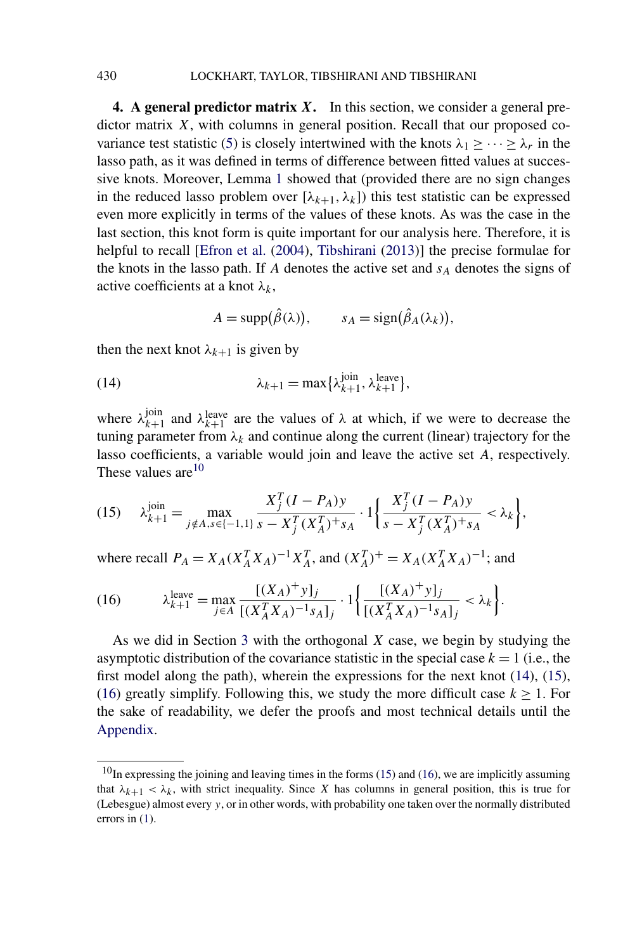**4. A general predictor matrix** *X***.** In this section, we consider a general predictor matrix *X*, with columns in general position. Recall that our proposed co-variance test statistic [\(5\)](#page-5-0) is closely intertwined with the knots  $\lambda_1 \geq \cdots \geq \lambda_r$  in the lasso path, as it was defined in terms of difference between fitted values at successive knots. Moreover, Lemma [1](#page-9-0) showed that (provided there are no sign changes in the reduced lasso problem over  $[\lambda_{k+1}, \lambda_k]$  this test statistic can be expressed even more explicitly in terms of the values of these knots. As was the case in the last section, this knot form is quite important for our analysis here. Therefore, it is helpful to recall [\[Efron et al.](#page-54-0) [\(2004\)](#page-54-0), [Tibshirani](#page-55-0) [\(2013\)](#page-55-0)] the precise formulae for the knots in the lasso path. If  $A$  denotes the active set and  $s_A$  denotes the signs of active coefficients at a knot  $\lambda_k$ ,

$$
A = \text{supp}(\hat{\beta}(\lambda)), \qquad s_A = \text{sign}(\hat{\beta}_A(\lambda_k)),
$$

then the next knot  $\lambda_{k+1}$  is given by

(14) 
$$
\lambda_{k+1} = \max\{\lambda_{k+1}^{\text{join}}, \lambda_{k+1}^{\text{leave}}\},
$$

where  $\lambda_{k+1}^{\text{join}}$  and  $\lambda_{k+1}^{\text{leave}}$  are the values of  $\lambda$  at which, if we were to decrease the tuning parameter from  $\lambda_k$  and continue along the current (linear) trajectory for the lasso coefficients, a variable would join and leave the active set *A*, respectively. These values are $10$ 

$$
(15) \quad \lambda_{k+1}^{\text{join}} = \max_{j \notin A, s \in \{-1, 1\}} \frac{X_j^T (I - P_A) y}{s - X_j^T (X_A^T)^+ s_A} \cdot 1 \bigg\{ \frac{X_j^T (I - P_A) y}{s - X_j^T (X_A^T)^+ s_A} < \lambda_k \bigg\},
$$

where recall  $P_A = X_A (X_A^T X_A)^{-1} X_A^T$ , and  $(X_A^T)^+ = X_A (X_A^T X_A)^{-1}$ ; and

(16) 
$$
\lambda_{k+1}^{\text{leave}} = \max_{j \in A} \frac{[(X_A)^+ y]_j}{[(X_A^T X_A)^{-1} s_A]_j} \cdot 1 \left\{ \frac{[(X_A)^+ y]_j}{[(X_A^T X_A)^{-1} s_A]_j} < \lambda_k \right\}.
$$

As we did in Section [3](#page-12-0) with the orthogonal *X* case, we begin by studying the asymptotic distribution of the covariance statistic in the special case  $k = 1$  (i.e., the first model along the path), wherein the expressions for the next knot (14), (15), (16) greatly simplify. Following this, we study the more difficult case  $k \ge 1$ . For the sake of readability, we defer the proofs and most technical details until the [Appendix.](#page-41-0)

<span id="page-17-0"></span>

 $10$ In expressing the joining and leaving times in the forms (15) and (16), we are implicitly assuming that  $\lambda_{k+1} < \lambda_k$ , with strict inequality. Since *X* has columns in general position, this is true for (Lebesgue) almost every *y*, or in other words, with probability one taken over the normally distributed errors in [\(1\)](#page-1-0).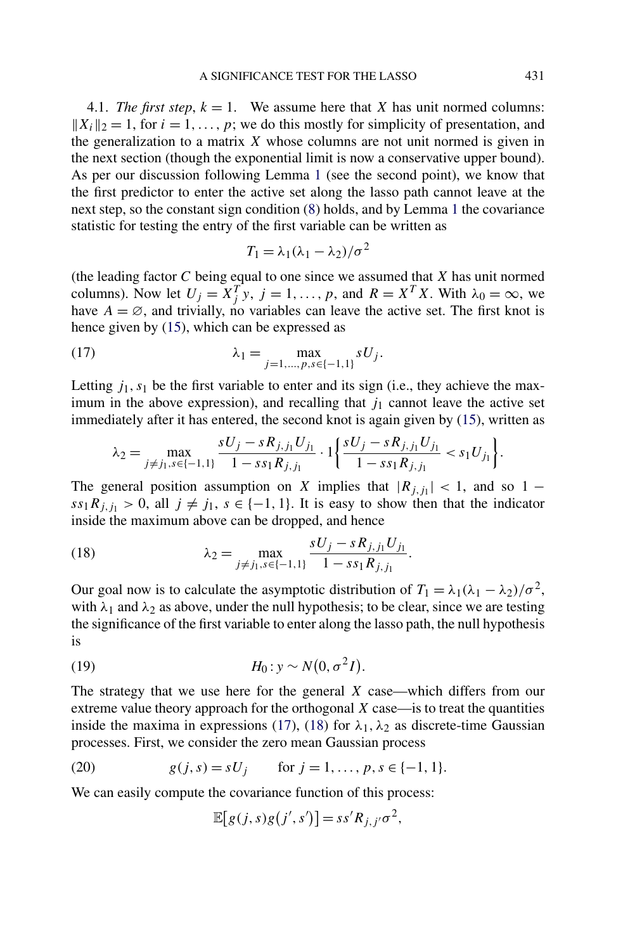<span id="page-18-0"></span>4.1. *The first step*,  $k = 1$ . We assume here that *X* has unit normed columns:  $||X_i||_2 = 1$ , for  $i = 1, \ldots, p$ ; we do this mostly for simplicity of presentation, and the generalization to a matrix *X* whose columns are not unit normed is given in the next section (though the exponential limit is now a conservative upper bound). As per our discussion following Lemma [1](#page-9-0) (see the second point), we know that the first predictor to enter the active set along the lasso path cannot leave at the next step, so the constant sign condition [\(8\)](#page-9-0) holds, and by Lemma [1](#page-9-0) the covariance statistic for testing the entry of the first variable can be written as

$$
T_1 = \lambda_1(\lambda_1 - \lambda_2)/\sigma^2
$$

(the leading factor *C* being equal to one since we assumed that *X* has unit normed columns). Now let  $U_j = X_j^T y$ ,  $j = 1, ..., p$ , and  $R = X^T X$ . With  $\lambda_0 = \infty$ , we have  $A = \emptyset$ , and trivially, no variables can leave the active set. The first knot is hence given by [\(15\)](#page-17-0), which can be expressed as

(17) 
$$
\lambda_1 = \max_{j=1,\dots,p,s \in \{-1,1\}} sU_j.
$$

Letting  $j_1, s_1$  be the first variable to enter and its sign (i.e., they achieve the maximum in the above expression), and recalling that  $j_1$  cannot leave the active set immediately after it has entered, the second knot is again given by [\(15\)](#page-17-0), written as

$$
\lambda_2 = \max_{j \neq j_1, s \in \{-1, 1\}} \frac{sU_j - sR_{j, j_1} U_{j_1}}{1 - s s_1 R_{j, j_1}} \cdot 1 \bigg\{ \frac{sU_j - sR_{j, j_1} U_{j_1}}{1 - s s_1 R_{j, j_1}} < s_1 U_{j_1} \bigg\}.
$$

The general position assumption on *X* implies that  $|R_{j,j_1}| < 1$ , and so 1 −  $ss_1R_{i,j_1} > 0$ , all  $j \neq j_1$ ,  $s \in \{-1, 1\}$ . It is easy to show then that the indicator inside the maximum above can be dropped, and hence

(18) 
$$
\lambda_2 = \max_{j \neq j_1, s \in \{-1, 1\}} \frac{sU_j - sR_{j, j_1}U_{j_1}}{1 - s s_1 R_{j, j_1}}.
$$

Our goal now is to calculate the asymptotic distribution of  $T_1 = \lambda_1(\lambda_1 - \lambda_2)/\sigma^2$ , with  $\lambda_1$  and  $\lambda_2$  as above, under the null hypothesis; to be clear, since we are testing the significance of the first variable to enter along the lasso path, the null hypothesis is

$$
(19) \t\t\t H_0: y \sim N(0, \sigma^2 I).
$$

The strategy that we use here for the general *X* case—which differs from our extreme value theory approach for the orthogonal *X* case—is to treat the quantities inside the maxima in expressions (17), (18) for  $\lambda_1, \lambda_2$  as discrete-time Gaussian processes. First, we consider the zero mean Gaussian process

(20) 
$$
g(j, s) = sU_j
$$
 for  $j = 1, ..., p, s \in \{-1, 1\}.$ 

We can easily compute the covariance function of this process:

$$
\mathbb{E}[g(j,s)g(j',s')] = ss'R_{j,j'}\sigma^2,
$$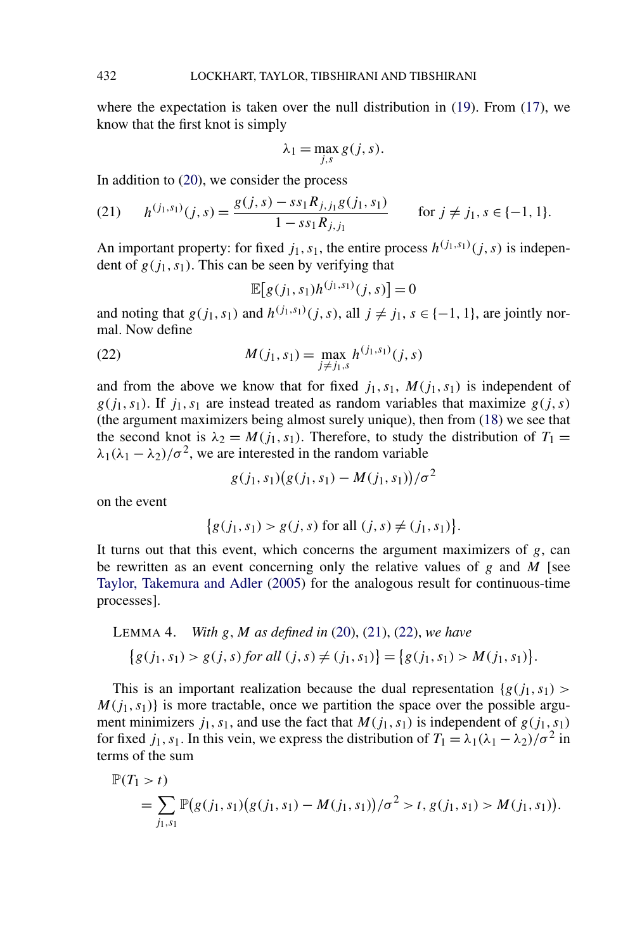<span id="page-19-0"></span>where the expectation is taken over the null distribution in [\(19\)](#page-18-0). From [\(17\)](#page-18-0), we know that the first knot is simply

$$
\lambda_1 = \max_{j,s} g(j,s).
$$

In addition to [\(20\)](#page-18-0), we consider the process

(21) 
$$
h^{(j_1, s_1)}(j, s) = \frac{g(j, s) - ss_1 R_{j, j_1} g(j_1, s_1)}{1 - ss_1 R_{j, j_1}} \quad \text{for } j \neq j_1, s \in \{-1, 1\}.
$$

An important property: for fixed  $j_1$ ,  $s_1$ , the entire process  $h^{(j_1, s_1)}(j, s)$  is independent of  $g(j_1, s_1)$ . This can be seen by verifying that

$$
\mathbb{E}[g(j_1, s_1)h^{(j_1, s_1)}(j, s)] = 0
$$

and noting that  $g(j_1, s_1)$  and  $h^{(j_1, s_1)}(j, s)$ , all  $j \neq j_1, s \in \{-1, 1\}$ , are jointly normal. Now define

(22) 
$$
M(j_1, s_1) = \max_{j \neq j_1, s} h^{(j_1, s_1)}(j, s)
$$

and from the above we know that for fixed  $j_1, s_1, M(j_1, s_1)$  is independent of  $g(j_1, s_1)$ . If  $j_1, s_1$  are instead treated as random variables that maximize  $g(j, s)$ (the argument maximizers being almost surely unique), then from [\(18\)](#page-18-0) we see that the second knot is  $\lambda_2 = M(j_1, s_1)$ . Therefore, to study the distribution of  $T_1 =$  $\lambda_1(\lambda_1 - \lambda_2)/\sigma^2$ , we are interested in the random variable

 $g(j_1, s_1)(g(j_1, s_1) - M(j_1, s_1))/\sigma^2$ 

on the event

$$
\{g(j_1, s_1) > g(j, s) \text{ for all } (j, s) \neq (j_1, s_1)\}.
$$

It turns out that this event, which concerns the argument maximizers of *g*, can be rewritten as an event concerning only the relative values of *g* and *M* [see [Taylor, Takemura and Adler](#page-55-0) [\(2005\)](#page-55-0) for the analogous result for continuous-time processes].

LEMMA 4. With *g*, *M* as defined in (20), (21), (22), we have  
\n
$$
\{g(j_1, s_1) > g(j, s) \text{ for all } (j, s) \neq (j_1, s_1) \} = \{g(j_1, s_1) > M(j_1, s_1) \}.
$$

This is an important realization because the dual representation  ${g(j_1, s_1) >$  $M(j_1, s_1)$  is more tractable, once we partition the space over the possible argument minimizers  $j_1$ ,  $s_1$ , and use the fact that  $M(j_1, s_1)$  is independent of  $g(j_1, s_1)$ for fixed *j*<sub>1</sub>*, s*<sub>1</sub>. In this vein, we express the distribution of  $T_1 = \lambda_1(\lambda_1 - \lambda_2)/\sigma^2$  in terms of the sum

$$
\mathbb{P}(T_1 > t)
$$
  
=  $\sum_{j_1, s_1} \mathbb{P}(g(j_1, s_1)(g(j_1, s_1) - M(j_1, s_1))/\sigma^2 > t, g(j_1, s_1) > M(j_1, s_1)).$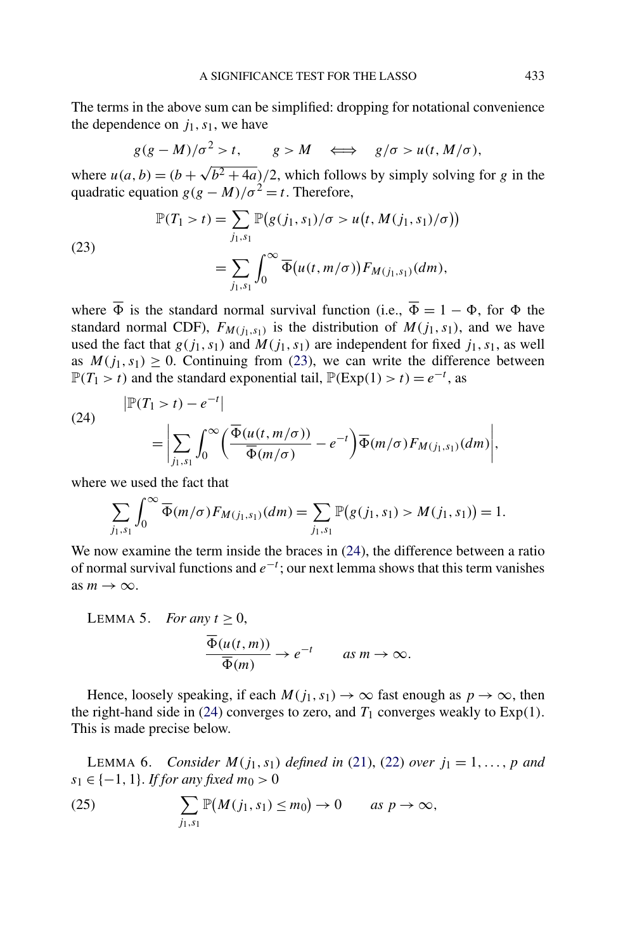<span id="page-20-0"></span>The terms in the above sum can be simplified: dropping for notational convenience the dependence on  $j_1$ ,  $s_1$ , we have

$$
g(g-M)/\sigma^2 > t
$$
,  $g > M$   $\iff$   $g/\sigma > u(t, M/\sigma)$ ,

where  $u(a, b) = (b + \sqrt{b^2 + 4a})/2$ , which follows by simply solving for *g* in the quadratic equation  $g(g - M)/\sigma^2 = t$ . Therefore,

(23)  
\n
$$
\mathbb{P}(T_1 > t) = \sum_{j_1, s_1} \mathbb{P}(g(j_1, s_1)/\sigma > u(t, M(j_1, s_1)/\sigma))
$$
\n
$$
= \sum_{j_1, s_1} \int_0^\infty \overline{\Phi}(u(t, m/\sigma)) F_{M(j_1, s_1)}(dm),
$$

where  $\overline{\Phi}$  is the standard normal survival function (i.e.,  $\overline{\Phi} = 1 - \Phi$ , for  $\Phi$  the standard normal CDF),  $F_{M(j_1, s_1)}$  is the distribution of  $M(j_1, s_1)$ , and we have used the fact that  $g(j_1, s_1)$  and  $M(j_1, s_1)$  are independent for fixed  $j_1, s_1$ , as well as  $M(j_1, s_1) \geq 0$ . Continuing from (23), we can write the difference between  $\mathbb{P}(T_1 > t)$  and the standard exponential tail,  $\mathbb{P}(\text{Exp}(1) > t) = e^{-t}$ , as

(24)  

$$
\begin{aligned}\n| \mathbb{P}(T_1 > t) - e^{-t} | \\
&= \left| \sum_{j_1, s_1} \int_0^\infty \left( \frac{\overline{\Phi}(u(t, m/\sigma))}{\overline{\Phi}(m/\sigma)} - e^{-t} \right) \overline{\Phi}(m/\sigma) F_{M(j_1, s_1)}(dm) \right|,\n\end{aligned}
$$

where we used the fact that

$$
\sum_{j_1,s_1} \int_0^\infty \overline{\Phi}(m/\sigma) F_{M(j_1,s_1)}(dm) = \sum_{j_1,s_1} \mathbb{P}(g(j_1,s_1) > M(j_1,s_1)) = 1.
$$

We now examine the term inside the braces in  $(24)$ , the difference between a ratio of normal survival functions and *e*−*<sup>t</sup>* ; our next lemma shows that this term vanishes as  $m \to \infty$ .

LEMMA 5. For any 
$$
t \ge 0
$$
,  
\n
$$
\frac{\overline{\Phi}(u(t, m))}{\overline{\Phi}(m)} \to e^{-t} \quad as \ m \to \infty.
$$

Hence, loosely speaking, if each  $M(j_1, s_1) \to \infty$  fast enough as  $p \to \infty$ , then the right-hand side in (24) converges to zero, and  $T_1$  converges weakly to  $Exp(1)$ . This is made precise below.

**LEMMA 6.** *Consider*  $M(j_1, s_1)$  *defined in* [\(21\)](#page-19-0), [\(22\)](#page-19-0) *over*  $j_1 = 1, ..., p$  *and*  $s_1 \in \{-1, 1\}$ . *If for any fixed*  $m_0 > 0$ 

(25) 
$$
\sum_{j_1,s_1} \mathbb{P}(M(j_1,s_1) \leq m_0) \to 0 \quad \text{as } p \to \infty,
$$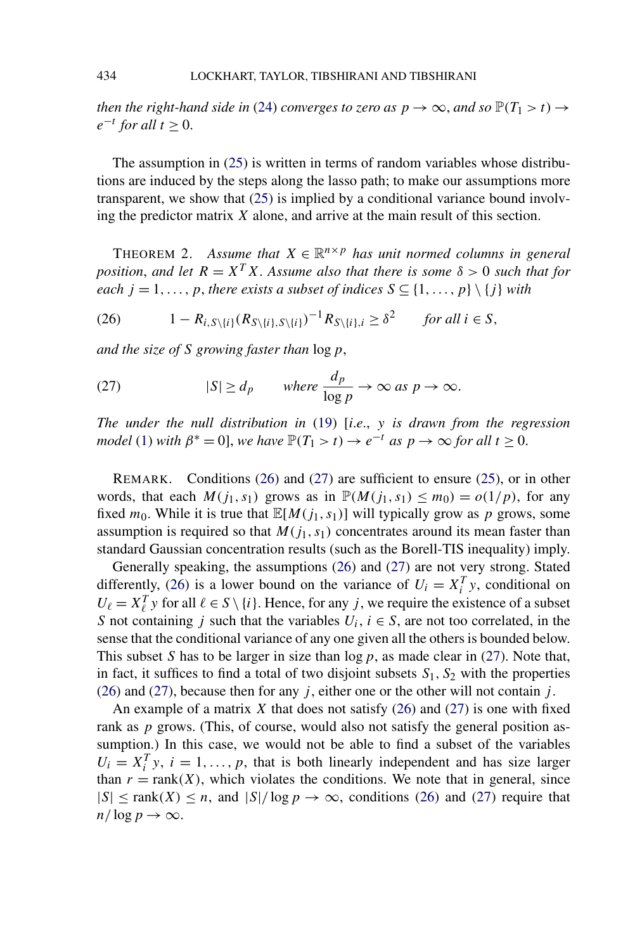<span id="page-21-0"></span>*then the right-hand side in* [\(24\)](#page-20-0) *converges to zero as*  $p \rightarrow \infty$ *, and so*  $\mathbb{P}(T_1 > t) \rightarrow$  $e^{-t}$  *for all*  $t \geq 0$ .

The assumption in [\(25\)](#page-20-0) is written in terms of random variables whose distributions are induced by the steps along the lasso path; to make our assumptions more transparent, we show that [\(25\)](#page-20-0) is implied by a conditional variance bound involving the predictor matrix *X* alone, and arrive at the main result of this section.

THEOREM 2. Assume that  $X \in \mathbb{R}^{n \times p}$  has unit normed columns in general *position, and let*  $R = X^T X$ . Assume also that there is some  $\delta > 0$  such that for *each*  $j = 1, \ldots, p$ , *there exists a subset of indices*  $S \subseteq \{1, \ldots, p\} \setminus \{j\}$  *with* 

(26)  $1 - R_{i, S\setminus\{i\}}(R_{S\setminus\{i\}, S\setminus\{i\}})^{-1}R_{S\setminus\{i\}, i} \ge \delta^2$  *for all i* ∈ *S*,

*and the size of S growing faster than* log*p*,

(27) 
$$
|S| \ge d_p
$$
 where  $\frac{d_p}{\log p} \to \infty$  as  $p \to \infty$ .

*The under the null distribution in* [\(19\)](#page-18-0) [*i*.*e*., *y is drawn from the regression model* [\(1\)](#page-1-0) *with*  $\beta^* = 0$ , *we have*  $\mathbb{P}(T_1 > t) \to e^{-t}$  *as*  $p \to \infty$  *for all*  $t \geq 0$ .

REMARK. Conditions (26) and (27) are sufficient to ensure [\(25\)](#page-20-0), or in other words, that each  $M(j_1, s_1)$  grows as in  $\mathbb{P}(M(j_1, s_1) \le m_0) = o(1/p)$ , for any fixed  $m_0$ . While it is true that  $\mathbb{E}[M(j_1, s_1)]$  will typically grow as p grows, some assumption is required so that  $M(j_1, s_1)$  concentrates around its mean faster than standard Gaussian concentration results (such as the Borell-TIS inequality) imply.

Generally speaking, the assumptions (26) and (27) are not very strong. Stated differently, (26) is a lower bound on the variance of  $U_i = X_i^T y$ , conditional on  $U_{\ell} = X_{\ell}^T y$  for all  $\ell \in S \setminus \{i\}$ . Hence, for any *j*, we require the existence of a subset *S* not containing *j* such that the variables  $U_i$ ,  $i \in S$ , are not too correlated, in the sense that the conditional variance of any one given all the others is bounded below. This subset *S* has to be larger in size than log*p*, as made clear in (27). Note that, in fact, it suffices to find a total of two disjoint subsets  $S_1$ ,  $S_2$  with the properties (26) and (27), because then for any *j* , either one or the other will not contain *j* .

An example of a matrix *X* that does not satisfy (26) and (27) is one with fixed rank as *p* grows. (This, of course, would also not satisfy the general position assumption.) In this case, we would not be able to find a subset of the variables  $U_i = X_i^T y$ ,  $i = 1, \ldots, p$ , that is both linearly independent and has size larger than  $r = \text{rank}(X)$ , which violates the conditions. We note that in general, since  $|S| \le \text{rank}(X) \le n$ , and  $|S|/\log p \to \infty$ , conditions (26) and (27) require that  $n/\log p \to \infty$ .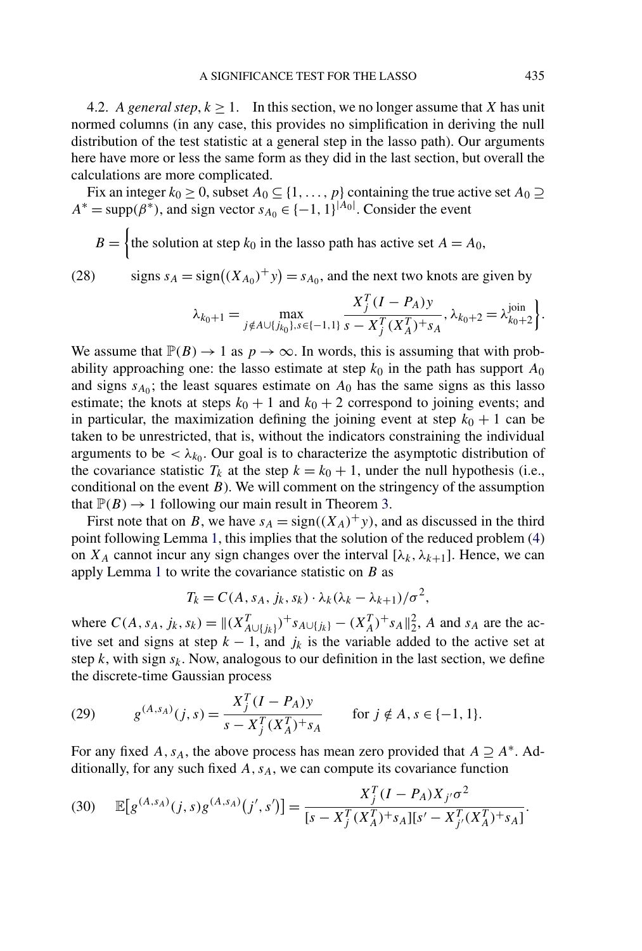<span id="page-22-0"></span>4.2. *A general step,*  $k \ge 1$ . In this section, we no longer assume that *X* has unit normed columns (in any case, this provides no simplification in deriving the null distribution of the test statistic at a general step in the lasso path). Our arguments here have more or less the same form as they did in the last section, but overall the calculations are more complicated.

Fix an integer  $k_0 \geq 0$ , subset  $A_0 \subseteq \{1, \ldots, p\}$  containing the true active set  $A_0 \supseteq$  $A^* = \text{supp}(\beta^*)$ , and sign vector  $s_{A_0} \in \{-1, 1\}^{|A_0|}$ . Consider the event

$$
B = \begin{cases} \text{the solution at step } k_0 \text{ in the lasso path has active set } A = A_0, \end{cases}
$$

(28) signs  $s_A = sign((X_{A_0})^+ y) = s_{A_0}$ , and the next two knots are given by

$$
\lambda_{k_0+1} = \max_{j \notin A \cup \{j_{k_0}\}, s \in \{-1, 1\}} \frac{X_j^T (I - P_A) y}{s - X_j^T (X_A^T)^+ s_A}, \lambda_{k_0+2} = \lambda_{k_0+2}^{\text{join}} \bigg\}.
$$

We assume that  $\mathbb{P}(B) \to 1$  as  $p \to \infty$ . In words, this is assuming that with probability approaching one: the lasso estimate at step  $k_0$  in the path has support  $A_0$ and signs  $s_{A_0}$ ; the least squares estimate on  $A_0$  has the same signs as this lasso estimate; the knots at steps  $k_0 + 1$  and  $k_0 + 2$  correspond to joining events; and in particular, the maximization defining the joining event at step  $k_0 + 1$  can be taken to be unrestricted, that is, without the indicators constraining the individual arguments to be  $\langle \lambda_{k_0}$ . Our goal is to characterize the asymptotic distribution of the covariance statistic  $T_k$  at the step  $k = k_0 + 1$ , under the null hypothesis (i.e., conditional on the event *B*). We will comment on the stringency of the assumption that  $\mathbb{P}(B) \to 1$  following our main result in Theorem [3.](#page-26-0)

First note that on *B*, we have  $s_A = sign((X_A)^+y)$ , and as discussed in the third point following Lemma [1,](#page-9-0) this implies that the solution of the reduced problem [\(4\)](#page-5-0) on  $X_A$  cannot incur any sign changes over the interval  $[\lambda_k, \lambda_{k+1}]$ . Hence, we can apply Lemma [1](#page-9-0) to write the covariance statistic on *B* as

$$
T_k = C(A, s_A, j_k, s_k) \cdot \lambda_k (\lambda_k - \lambda_{k+1})/\sigma^2,
$$

where  $C(A, s_A, j_k, s_k) = ||(X_{A \cup \{j_k\}}^T)^+ s_{A \cup \{j_k\}} - (X_A^T)^+ s_A||_2^2$ , *A* and *s<sub>A</sub>* are the active set and signs at step  $k - 1$ , and  $j_k$  is the variable added to the active set at step  $k$ , with sign  $s_k$ . Now, analogous to our definition in the last section, we define the discrete-time Gaussian process

(29) 
$$
g^{(A,s_A)}(j,s) = \frac{X_j^T (I - P_A) y}{s - X_j^T (X_A^T)^{+} s_A} \quad \text{for } j \notin A, s \in \{-1, 1\}.
$$

For any fixed *A*,  $s_A$ , the above process has mean zero provided that  $A \supseteq A^*$ . Additionally, for any such fixed  $A$ ,  $s_A$ , we can compute its covariance function

(30) 
$$
\mathbb{E}[g^{(A,s_A)}(j,s)g^{(A,s_A)}(j',s')] = \frac{X_j^T(I - P_A)X_{j'}\sigma^2}{[s - X_j^T(X_A^T)^+s_A][s' - X_{j'}^T(X_A^T)^+s_A]}.
$$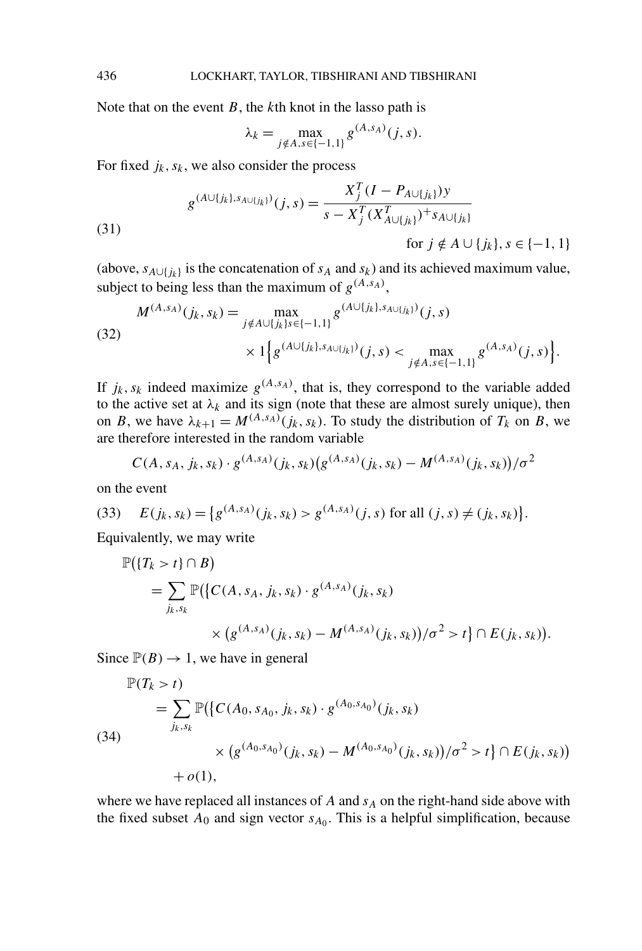Note that on the event *B*, the *k*th knot in the lasso path is

$$
\lambda_k = \max_{j \notin A, s \in \{-1, 1\}} g^{(A, s_A)}(j, s).
$$

For fixed  $j_k$ ,  $s_k$ , we also consider the process

(31)  
\n
$$
g^{(A \cup \{j_k\}, s_{A \cup \{j_k\}})}(j, s) = \frac{X_j^T (I - P_{A \cup \{j_k\}}) y}{s - X_j^T (X_{A \cup \{j_k\}}^T)^{+} s_{A \cup \{j_k\}}}
$$
\nfor  $j \notin A \cup \{j_k\}, s \in \{-1, 1\}$ 

(above,  $s_{A\cup \{j_k\}}$  is the concatenation of  $s_A$  and  $s_k$ ) and its achieved maximum value, subject to being less than the maximum of  $g^{(A,s_A)}$ ,

(32)  

$$
M^{(A,s_A)}(j_k, s_k) = \max_{j \notin A \cup \{j_k\} s \in \{-1,1\}} g^{(A \cup \{j_k\}, s_{A \cup \{j_k\}})}(j, s)
$$

$$
\times 1 \Big\{ g^{(A \cup \{j_k\}, s_{A \cup \{j_k\}})}(j, s) < \max_{j \notin A, s \in \{-1,1\}} g^{(A,s_A)}(j, s) \Big\}.
$$

If  $j_k$ ,  $s_k$  indeed maximize  $g^{(A,s_A)}$ , that is, they correspond to the variable added to the active set at  $\lambda_k$  and its sign (note that these are almost surely unique), then on *B*, we have  $\lambda_{k+1} = M^{(A,s_A)}(j_k, s_k)$ . To study the distribution of  $T_k$  on *B*, we are therefore interested in the random variable

$$
C(A, s_A, j_k, s_k) \cdot g^{(A, s_A)}(j_k, s_k) \big(g^{(A, s_A)}(j_k, s_k) - M^{(A, s_A)}(j_k, s_k)\big) / \sigma^2
$$

on the event

(33) 
$$
E(j_k, s_k) = \{g^{(A, s_A)}(j_k, s_k) > g^{(A, s_A)}(j, s) \text{ for all } (j, s) \neq (j_k, s_k)\}.
$$

Equivalently, we may write

$$
\mathbb{P}(\lbrace T_k > t \rbrace \cap B) = \sum_{j_k, s_k} \mathbb{P}(\lbrace C(A, s_A, j_k, s_k) \cdot g^{(A, s_A)}(j_k, s_k) \times (g^{(A, s_A)}(j_k, s_k) - M^{(A, s_A)}(j_k, s_k) \rbrace / \sigma^2 > t \rbrace \cap E(j_k, s_k)).
$$

Since  $\mathbb{P}(B) \to 1$ , we have in general

$$
\mathbb{P}(T_k > t)
$$
\n
$$
= \sum_{j_k, s_k} \mathbb{P}(\{C(A_0, s_{A_0}, j_k, s_k) \cdot g^{(A_0, s_{A_0})}(j_k, s_k) \times (g^{(A_0, s_{A_0})}(j_k, s_k) - M^{(A_0, s_{A_0})}(j_k, s_k))/\sigma^2 > t\} \cap E(j_k, s_k)) + o(1),
$$

where we have replaced all instances of  $A$  and  $s_A$  on the right-hand side above with the fixed subset  $A_0$  and sign vector  $s_{A_0}$ . This is a helpful simplification, because

<span id="page-23-0"></span>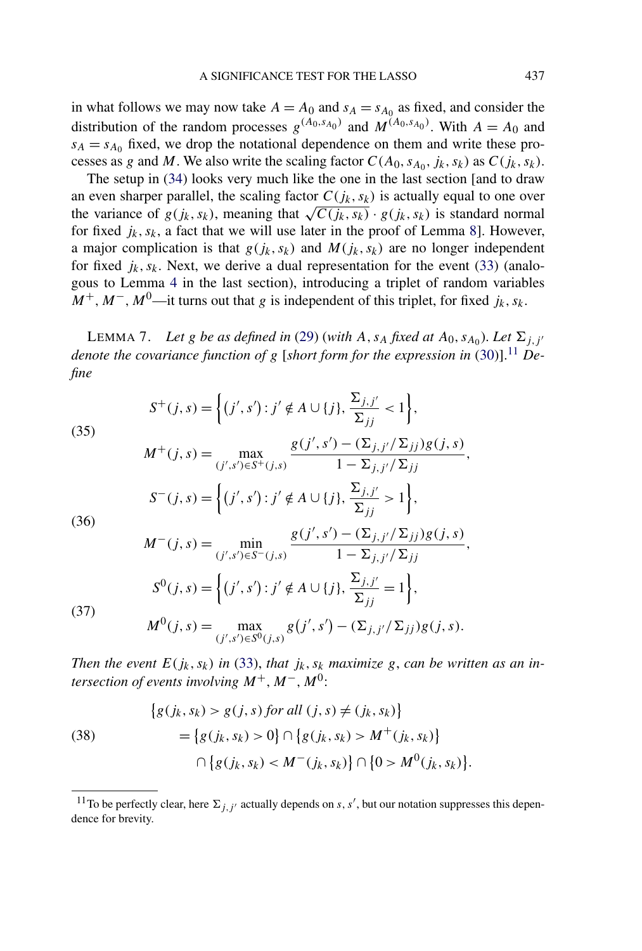<span id="page-24-0"></span>in what follows we may now take  $A = A_0$  and  $s_A = s_{A_0}$  as fixed, and consider the distribution of the random processes  $g^{(A_0, s_{A_0})}$  and  $M^{(A_0, s_{A_0})}$ . With  $A = A_0$  and  $s_A = s_{A_0}$  fixed, we drop the notational dependence on them and write these processes as *g* and *M*. We also write the scaling factor  $C(A_0, s_{A_0}, j_k, s_k)$  as  $C(j_k, s_k)$ .

The setup in [\(34\)](#page-23-0) looks very much like the one in the last section [and to draw an even sharper parallel, the scaling factor  $C(j_k, s_k)$  is actually equal to one over the variance of  $g(j_k, s_k)$ , meaning that  $\sqrt{C(j_k, s_k)} \cdot g(j_k, s_k)$  is standard normal for fixed  $j_k$ ,  $s_k$ , a fact that we will use later in the proof of Lemma [8\]](#page-25-0). However, a major complication is that  $g(j_k, s_k)$  and  $M(j_k, s_k)$  are no longer independent for fixed  $j_k$ ,  $s_k$ . Next, we derive a dual representation for the event [\(33\)](#page-23-0) (analogous to Lemma [4](#page-19-0) in the last section), introducing a triplet of random variables  $M^+$ ,  $M^-$ ,  $M^0$ —it turns out that *g* is independent of this triplet, for fixed *j<sub>k</sub>*, *s<sub>k</sub>*.

LEMMA 7. Let *g* be as defined in [\(29\)](#page-22-0) (with A,  $s_A$  fixed at  $A_0$ ,  $s_{A_0}$ ). Let  $\Sigma_{j,j'}$ *denote the covariance function of g* [*short form for the expression in* [\(30\)](#page-22-0)].<sup>11</sup> *Define*

(35)  
\n
$$
S^{+}(j,s) = \left\{ (j',s') : j' \notin A \cup \{j\}, \frac{\Sigma_{j,j'}}{\Sigma_{jj}} < 1 \right\},
$$
\n
$$
M^{+}(j,s) = \max_{(j',s') \in S^{+}(j,s)} \frac{g(j',s') - (\Sigma_{j,j'}/\Sigma_{jj})g(j,s)}{1 - \Sigma_{j,j'}/\Sigma_{jj}},
$$
\n
$$
S^{-}(j,s) = \left\{ (j',s') : j' \notin A \cup \{j\}, \frac{\Sigma_{j,j'}}{\Sigma_{jj}} > 1 \right\},
$$
\n(36)  
\n
$$
M^{-}(j,s) = \min_{j \neq j} \frac{g(j',s') - (\Sigma_{j,j'}/\Sigma_{jj})g(j,s)}{1 - \Sigma_{j,j'}/\Sigma_{jj'}}.
$$

$$
M^{-}(j,s) = \min_{(j',s') \in S^{-}(j,s)} \frac{g(j',s') - (\sum_{j,j'} / \sum_{jj} g(j,s))}{1 - \sum_{j,j'} / \sum_{jj}} S^{0}(j,s) = \left\{ (j',s') : j' \notin A \cup \{j\}, \frac{\sum_{j,j'} \sum_{jj}}{\sum_{jj}} = 1 \right\},
$$

(37)

$$
M^{0}(j,s) = \max_{(j',s') \in S^{0}(j,s)} g(j',s') - (\Sigma_{j,j'}/\Sigma_{jj}) g(j,s).
$$

*Then the event*  $E(j_k, s_k)$  *in* [\(33\)](#page-23-0), *that*  $j_k, s_k$  *maximize g*, *can be written as an intersection of events involving*  $M^+$ ,  $M^-$ ,  $M^0$ :

(38)  
\n
$$
\{g(j_k, s_k) > g(j, s) \text{ for all } (j, s) \neq (j_k, s_k)\}
$$
\n
$$
= \{g(j_k, s_k) > 0\} \cap \{g(j_k, s_k) > M^+(j_k, s_k)\}
$$
\n
$$
\cap \{g(j_k, s_k) < M^-(j_k, s_k)\} \cap \{0 > M^0(j_k, s_k)\}.
$$

<sup>&</sup>lt;sup>11</sup>To be perfectly clear, here  $\Sigma_{j,j'}$  actually depends on *s*, *s'*, but our notation suppresses this dependence for brevity.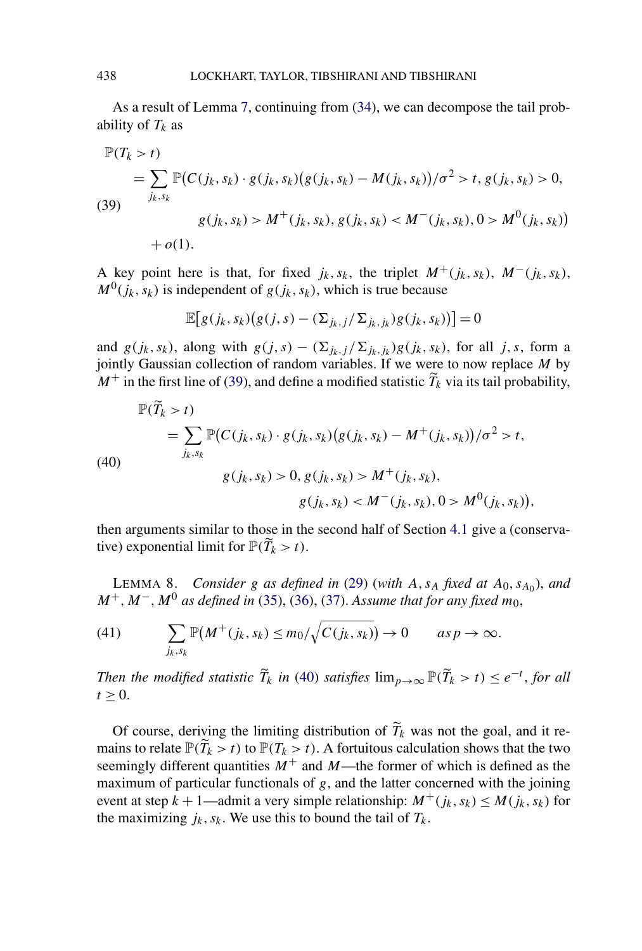As a result of Lemma [7,](#page-24-0) continuing from [\(34\)](#page-23-0), we can decompose the tail probability of  $T_k$  as

$$
\mathbb{P}(T_k > t)
$$
  
=  $\sum_{j_k, s_k} \mathbb{P}(C(j_k, s_k) \cdot g(j_k, s_k)(g(j_k, s_k) - M(j_k, s_k))/\sigma^2 > t, g(j_k, s_k) > 0,$   
(39)  
 $g(j_k, s_k) > M^+(j_k, s_k), g(j_k, s_k) < M^-(j_k, s_k), 0 > M^0(j_k, s_k)$   
+  $o(1).$ 

A key point here is that, for fixed  $j_k$ ,  $s_k$ , the triplet  $M^+(j_k, s_k)$ ,  $M^-(j_k, s_k)$ ,  $M^0(j_k, s_k)$  is independent of  $g(j_k, s_k)$ , which is true because

$$
\mathbb{E}[g(j_k,s_k)(g(j,s)-(\Sigma_{j_k,j}/\Sigma_{j_k,j_k})g(j_k,s_k))]=0
$$

and  $g(j_k, s_k)$ , along with  $g(j, s) - (\sum_{j_k, j} / \sum_{j_k, j_k}) g(j_k, s_k)$ , for all *j*, *s*, form a jointly Gaussian collection of random variables. If we were to now replace *M* by  $M^+$  in the first line of (39), and define a modified statistic  $\widetilde{T}_k$  via its tail probability,

(40)  
\n
$$
\mathbb{P}(\tilde{T}_k > t)
$$
\n
$$
= \sum_{j_k, s_k} \mathbb{P}(C(j_k, s_k) \cdot g(j_k, s_k)(g(j_k, s_k) - M^+(j_k, s_k))/\sigma^2 > t,
$$
\n
$$
g(j_k, s_k) > 0, g(j_k, s_k) > M^+(j_k, s_k),
$$
\n
$$
g(j_k, s_k) < M^-(j_k, s_k), 0 > M^0(j_k, s_k)),
$$

then arguments similar to those in the second half of Section [4.1](#page-18-0) give a (conservative) exponential limit for  $\mathbb{P}(T_k > t)$ .

LEMMA 8. *Consider g as defined in* [\(29\)](#page-22-0) (*with*  $A$ ,  $S_A$  *fixed at*  $A_0$ ,  $S_{A_0}$ *)*, *and M*+*,M*−*,M*<sup>0</sup> *as defined in* [\(35\)](#page-24-0), [\(36\)](#page-24-0), [\(37\)](#page-24-0). *Assume that for any fixed m*0,

(41) 
$$
\sum_{j_k, s_k} \mathbb{P}(M^+(j_k, s_k) \le m_0/\sqrt{C(j_k, s_k)}) \to 0 \quad as \ p \to \infty.
$$

*Then the modified statistic*  $\widetilde{T}_k$  *in* (40) *satisfies*  $\lim_{p\to\infty} \mathbb{P}(\widetilde{T}_k > t) \leq e^{-t}$ , *for all*  $t > 0$ .

Of course, deriving the limiting distribution of  $T_k$  was not the goal, and it remains to relate  $\mathbb{P}(T_k > t)$  to  $\mathbb{P}(T_k > t)$ . A fortuitous calculation shows that the two seemingly different quantities  $M^+$  and  $M$ —the former of which is defined as the maximum of particular functionals of *g*, and the latter concerned with the joining event at step  $k + 1$ —admit a very simple relationship:  $M^+(j_k, s_k) \leq M(j_k, s_k)$  for the maximizing  $j_k$ ,  $s_k$ . We use this to bound the tail of  $T_k$ .

<span id="page-25-0"></span>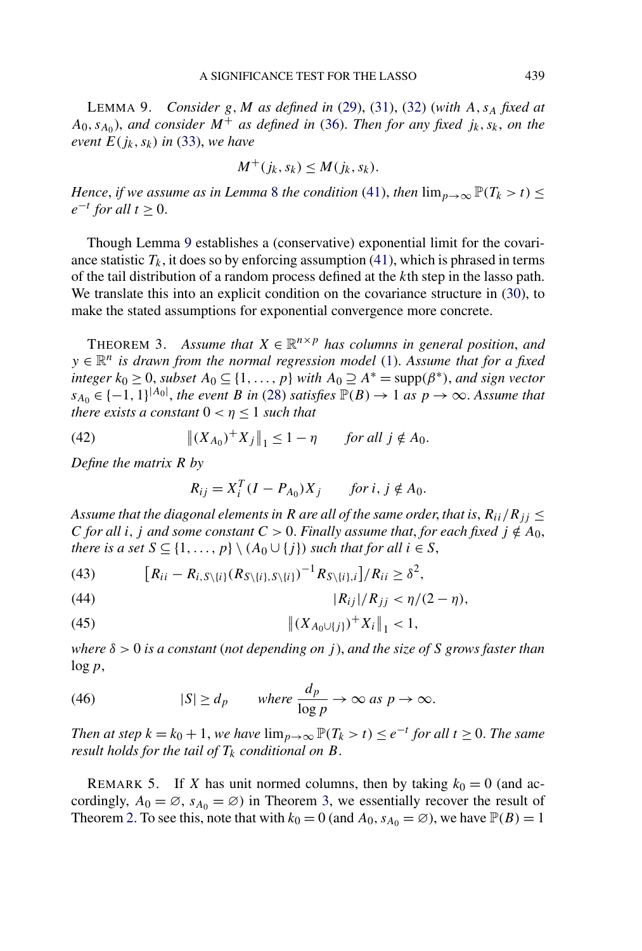<span id="page-26-0"></span>LEMMA 9. *Consider g,M as defined in* [\(29\)](#page-22-0), [\(31\)](#page-23-0), [\(32\)](#page-23-0) (*with A,sA fixed at*  $A_0$ ,  $S_{A_0}$ , *and consider*  $M^+$  *as defined in* [\(36\)](#page-24-0). *Then for any fixed*  $j_k$ ,  $s_k$ , *on the event*  $E(j_k, s_k)$  *in* [\(33\)](#page-23-0), *we have* 

$$
M^+(j_k, s_k) \leq M(j_k, s_k).
$$

*Hence, if we assume as in Lemma* [8](#page-25-0) *the condition* [\(41\)](#page-25-0), *then*  $\lim_{p\to\infty} \mathbb{P}(T_k > t) \leq$  $e^{-t}$  *for all*  $t \geq 0$ .

Though Lemma 9 establishes a (conservative) exponential limit for the covariance statistic  $T_k$ , it does so by enforcing assumption [\(41\)](#page-25-0), which is phrased in terms of the tail distribution of a random process defined at the *k*th step in the lasso path. We translate this into an explicit condition on the covariance structure in [\(30\)](#page-22-0), to make the stated assumptions for exponential convergence more concrete.

THEOREM 3. Assume that  $X \in \mathbb{R}^{n \times p}$  has columns in general position, and *y* ∈  $\mathbb{R}^n$  *is drawn from the normal regression model* [\(1\)](#page-1-0). Assume that for a fixed *integer*  $k_0 \geq 0$ *, subset*  $A_0 \subseteq \{1, ..., p\}$  *with*  $A_0 \supseteq A^* = \text{supp}(\beta^*)$ *, and sign vector*  $s_{A_0} \in \{-1, 1\}^{|A_0|}$ , the event *B* in [\(28\)](#page-22-0) *satisfies*  $\mathbb{P}(B) \to 1$  *as*  $p \to \infty$ . *Assume that there exists a constant*  $0 < \eta \leq 1$  *such that* 

(42) 
$$
\|(X_{A_0})^+ X_j\|_1 \le 1 - \eta \quad \text{for all } j \notin A_0.
$$

*Define the matrix R by*

$$
R_{ij} = X_i^T (I - P_{A_0}) X_j \qquad \text{for } i, j \notin A_0.
$$

*Assume that the diagonal elements in R are all of the same order, that is,*  $R_{ii}/R_{jj} \leq$ *C for all i, j and some constant*  $C > 0$ *. Finally assume that, for each fixed*  $j \notin A_0$ , *there is a set*  $S \subseteq \{1, \ldots, p\} \setminus (A_0 \cup \{j\})$  *such that for all*  $i \in S$ ,

(43) 
$$
[R_{ii} - R_{i,S\setminus\{i\}}(R_{S\setminus\{i\},S\setminus\{i\}})^{-1}R_{S\setminus\{i\},i}]/R_{ii} \geq \delta^2,
$$

(44) 
$$
|R_{ij}|/R_{jj} < \eta/(2-\eta),
$$

(45) 
$$
\|(X_{A_0\cup\{j\}})^+X_i\|_1<1,
$$

*where δ >* 0 *is a constant* (*not depending on j* ), *and the size of S grows faster than* log*p*,

(46) 
$$
|S| \ge d_p
$$
 where  $\frac{d_p}{\log p} \to \infty$  as  $p \to \infty$ .

*Then at step*  $k = k_0 + 1$ , *we have*  $\lim_{p \to \infty} \mathbb{P}(T_k > t) \leq e^{-t}$  *for all*  $t \geq 0$ . *The same result holds for the tail of*  $T_k$  *conditional on*  $B$ .

REMARK 5. If *X* has unit normed columns, then by taking  $k_0 = 0$  (and accordingly,  $A_0 = \emptyset$ ,  $s_{A_0} = \emptyset$ ) in Theorem 3, we essentially recover the result of Theorem [2.](#page-21-0) To see this, note that with  $k_0 = 0$  (and  $A_0$ ,  $s_{A_0} = \emptyset$ ), we have  $\mathbb{P}(B) = 1$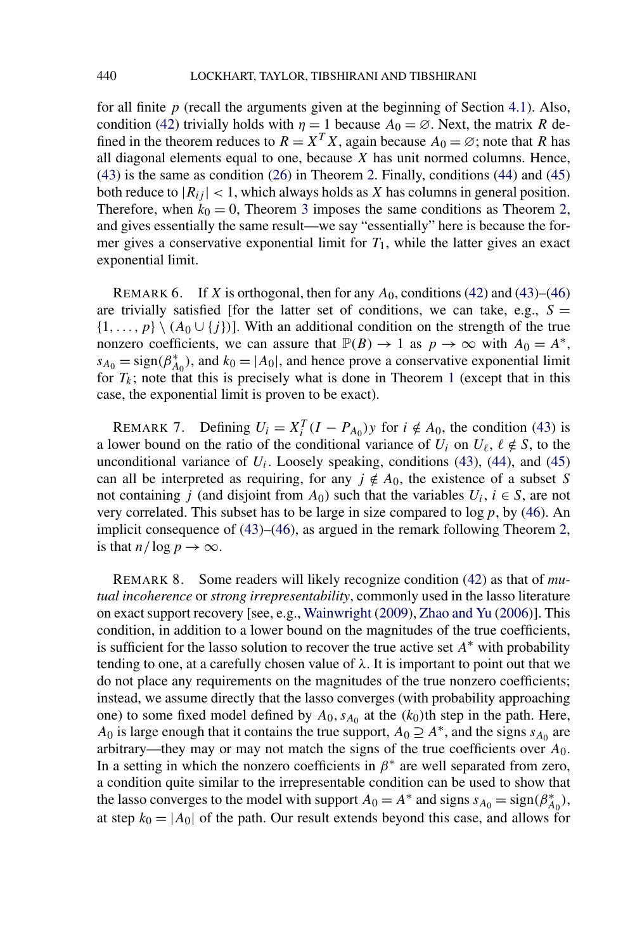for all finite  $p$  (recall the arguments given at the beginning of Section [4.1\)](#page-18-0). Also, condition [\(42\)](#page-26-0) trivially holds with  $\eta = 1$  because  $A_0 = \emptyset$ . Next, the matrix *R* defined in the theorem reduces to  $R = X^T X$ , again because  $A_0 = \emptyset$ ; note that R has all diagonal elements equal to one, because *X* has unit normed columns. Hence, [\(43\)](#page-26-0) is the same as condition [\(26\)](#page-21-0) in Theorem [2.](#page-21-0) Finally, conditions [\(44\)](#page-26-0) and [\(45\)](#page-26-0) both reduce to  $|R_{ij}| < 1$ , which always holds as *X* has columns in general position. Therefore, when  $k_0 = 0$ , Theorem [3](#page-26-0) imposes the same conditions as Theorem [2,](#page-21-0) and gives essentially the same result—we say "essentially" here is because the former gives a conservative exponential limit for  $T_1$ , while the latter gives an exact exponential limit.

REMARK 6. If *X* is orthogonal, then for any *A*0, conditions [\(42\)](#page-26-0) and [\(43\)](#page-26-0)–[\(46\)](#page-26-0) are trivially satisfied [for the latter set of conditions, we can take, e.g.,  $S =$  $\{1,\ldots,p\} \setminus (A_0 \cup \{j\})$ . With an additional condition on the strength of the true nonzero coefficients, we can assure that  $\mathbb{P}(B) \to 1$  as  $p \to \infty$  with  $A_0 = A^*$ ,  $s_{A_0}$  = sign( $\beta_{A_0}^*$ ), and  $k_0 = |A_0|$ , and hence prove a conservative exponential limit for  $T_k$ ; note that this is precisely what is done in Theorem [1](#page-16-0) (except that in this case, the exponential limit is proven to be exact).

REMARK 7. Defining  $U_i = X_i^T (I - P_{A_0}) y$  for  $i \notin A_0$ , the condition [\(43\)](#page-26-0) is a lower bound on the ratio of the conditional variance of  $U_i$  on  $U_\ell$ ,  $\ell \notin S$ , to the unconditional variance of  $U_i$ . Loosely speaking, conditions [\(43\)](#page-26-0), [\(44\)](#page-26-0), and [\(45\)](#page-26-0) can all be interpreted as requiring, for any  $j \notin A_0$ , the existence of a subset *S* not containing *j* (and disjoint from  $A_0$ ) such that the variables  $U_i$ ,  $i \in S$ , are not very correlated. This subset has to be large in size compared to log*p*, by [\(46\)](#page-26-0). An implicit consequence of [\(43\)](#page-26-0)–[\(46\)](#page-26-0), as argued in the remark following Theorem [2,](#page-21-0) is that  $n/\log p \to \infty$ .

REMARK 8. Some readers will likely recognize condition [\(42\)](#page-26-0) as that of *mutual incoherence* or *strong irrepresentability*, commonly used in the lasso literature on exact support recovery [see, e.g., [Wainwright](#page-55-0) [\(2009\)](#page-55-0), [Zhao and Yu](#page-55-0) [\(2006\)](#page-55-0)]. This condition, in addition to a lower bound on the magnitudes of the true coefficients, is sufficient for the lasso solution to recover the true active set  $A^*$  with probability tending to one, at a carefully chosen value of  $\lambda$ . It is important to point out that we do not place any requirements on the magnitudes of the true nonzero coefficients; instead, we assume directly that the lasso converges (with probability approaching one) to some fixed model defined by  $A_0$ ,  $s_{A_0}$  at the  $(k_0)$ th step in the path. Here, *A*<sup>0</sup> is large enough that it contains the true support,  $A_0 \supseteq A^*$ , and the signs  $s_{A_0}$  are arbitrary—they may or may not match the signs of the true coefficients over *A*0. In a setting in which the nonzero coefficients in  $\beta^*$  are well separated from zero, a condition quite similar to the irrepresentable condition can be used to show that the lasso converges to the model with support  $A_0 = A^*$  and signs  $s_{A_0} = \text{sign}(\beta_{A_0}^*)$ , at step  $k_0 = |A_0|$  of the path. Our result extends beyond this case, and allows for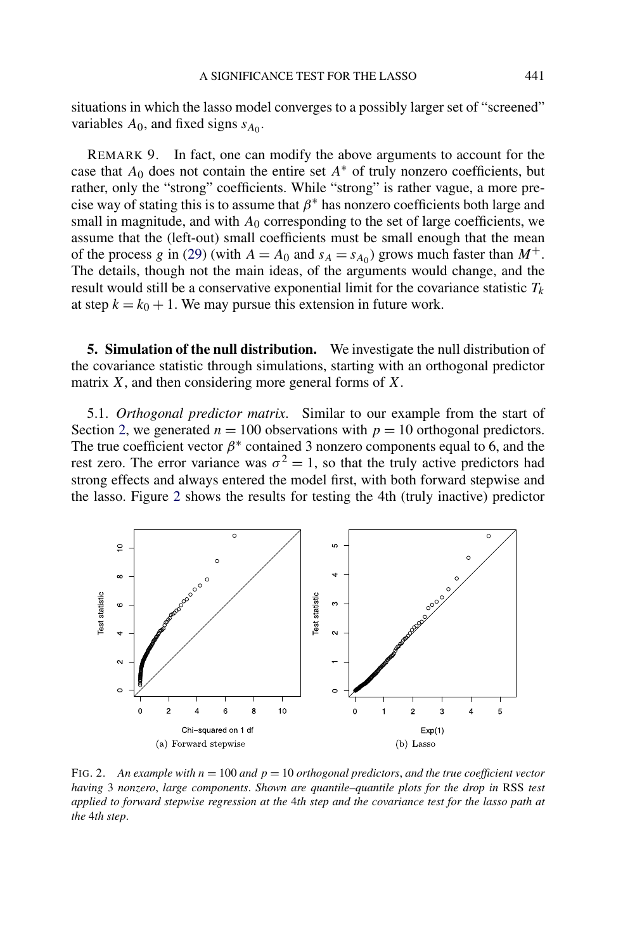<span id="page-28-0"></span>situations in which the lasso model converges to a possibly larger set of "screened" variables  $A_0$ , and fixed signs  $s_{A_0}$ .

REMARK 9. In fact, one can modify the above arguments to account for the case that  $A_0$  does not contain the entire set  $A^*$  of truly nonzero coefficients, but rather, only the "strong" coefficients. While "strong" is rather vague, a more precise way of stating this is to assume that  $\beta^*$  has nonzero coefficients both large and small in magnitude, and with  $A_0$  corresponding to the set of large coefficients, we assume that the (left-out) small coefficients must be small enough that the mean of the process *g* in [\(29\)](#page-22-0) (with  $A = A_0$  and  $s_A = s_{A_0}$ ) grows much faster than  $M^+$ . The details, though not the main ideas, of the arguments would change, and the result would still be a conservative exponential limit for the covariance statistic  $T_k$ at step  $k = k_0 + 1$ . We may pursue this extension in future work.

**5. Simulation of the null distribution.** We investigate the null distribution of the covariance statistic through simulations, starting with an orthogonal predictor matrix *X*, and then considering more general forms of *X*.

5.1. *Orthogonal predictor matrix*. Similar to our example from the start of Section [2,](#page-2-0) we generated  $n = 100$  observations with  $p = 10$  orthogonal predictors. The true coefficient vector  $\beta^*$  contained 3 nonzero components equal to 6, and the rest zero. The error variance was  $\sigma^2 = 1$ , so that the truly active predictors had strong effects and always entered the model first, with both forward stepwise and the lasso. Figure 2 shows the results for testing the 4th (truly inactive) predictor



FIG. 2. *An example with n* = 100 *and p* = 10 *orthogonal predictors*, *and the true coefficient vector having* 3 *nonzero*, *large components*. *Shown are quantile–quantile plots for the drop in* RSS *test applied to forward stepwise regression at the* 4*th step and the covariance test for the lasso path at the* 4*th step*.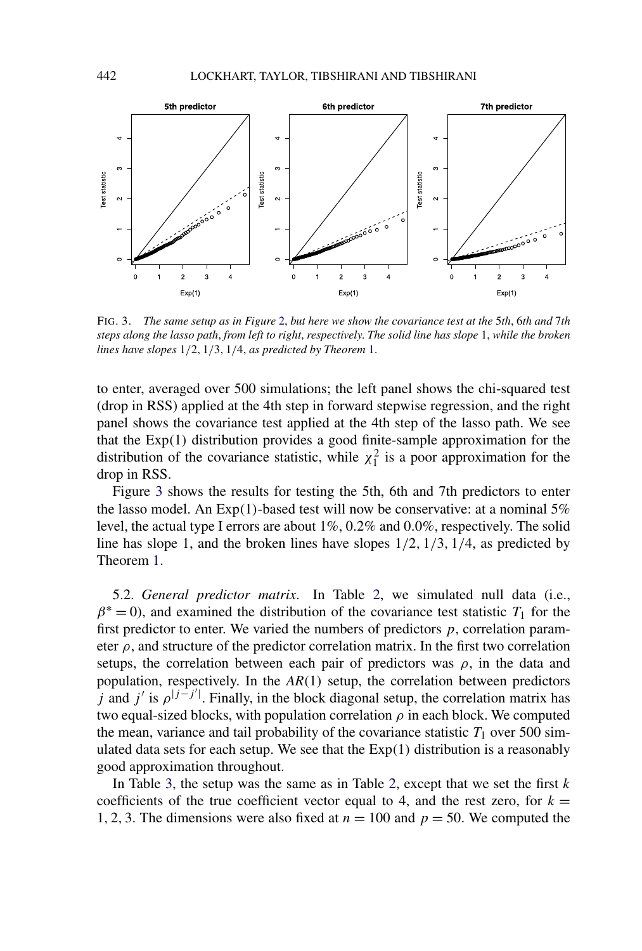

FIG. 3. *The same setup as in Figure* [2,](#page-28-0) *but here we show the covariance test at the* 5*th*, 6*th and* 7*th steps along the lasso path*, *from left to right*, *respectively*. *The solid line has slope* 1, *while the broken lines have slopes* 1*/*2*,* 1*/*3*,* 1*/*4, *as predicted by Theorem* [1.](#page-16-0)

to enter, averaged over 500 simulations; the left panel shows the chi-squared test (drop in RSS) applied at the 4th step in forward stepwise regression, and the right panel shows the covariance test applied at the 4th step of the lasso path. We see that the Exp*(*1*)* distribution provides a good finite-sample approximation for the distribution of the covariance statistic, while  $\chi_1^2$  is a poor approximation for the drop in RSS.

Figure 3 shows the results for testing the 5th, 6th and 7th predictors to enter the lasso model. An Exp*(*1*)*-based test will now be conservative: at a nominal 5% level, the actual type I errors are about 1%, 0*.*2% and 0*.*0%, respectively. The solid line has slope 1, and the broken lines have slopes 1*/*2*,* 1*/*3*,* 1*/*4, as predicted by Theorem [1.](#page-16-0)

5.2. *General predictor matrix*. In Table [2,](#page-30-0) we simulated null data (i.e.,  $\beta^*$  = 0), and examined the distribution of the covariance test statistic *T*<sub>1</sub> for the first predictor to enter. We varied the numbers of predictors *p*, correlation parameter  $\rho$ , and structure of the predictor correlation matrix. In the first two correlation setups, the correlation between each pair of predictors was  $\rho$ , in the data and population, respectively. In the *AR(*1*)* setup, the correlation between predictors *j* and *j'* is  $\rho$ <sup>|*j*−*j'*|. Finally, in the block diagonal setup, the correlation matrix has</sup> two equal-sized blocks, with population correlation  $\rho$  in each block. We computed the mean, variance and tail probability of the covariance statistic  $T_1$  over 500 simulated data sets for each setup. We see that the Exp*(*1*)* distribution is a reasonably good approximation throughout.

In Table [3,](#page-31-0) the setup was the same as in Table [2,](#page-30-0) except that we set the first *k* coefficients of the true coefficient vector equal to 4, and the rest zero, for  $k =$ 1*,* 2*,* 3. The dimensions were also fixed at *n* = 100 and *p* = 50. We computed the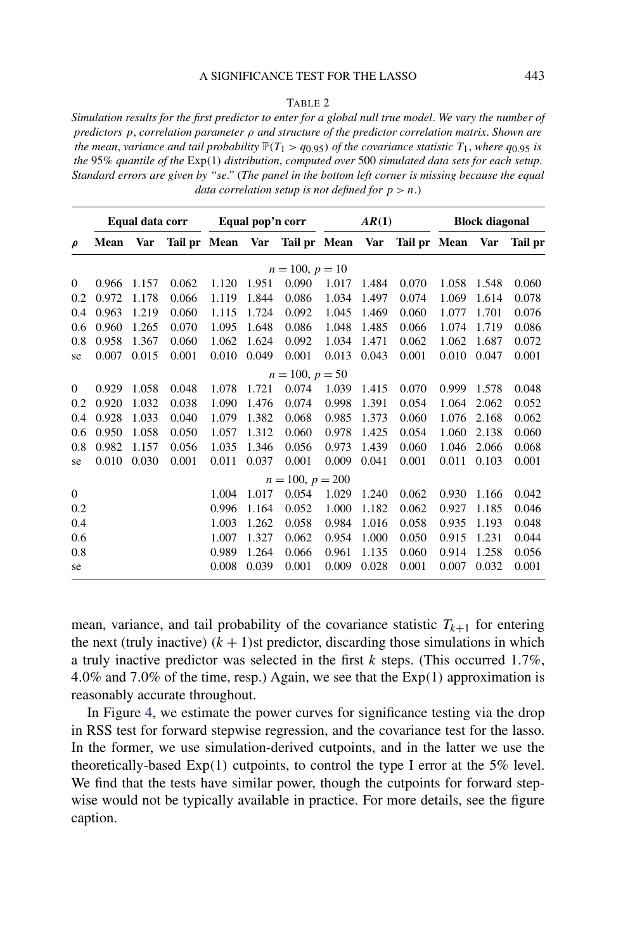## A SIGNIFICANCE TEST FOR THE LASSO 443

#### TABLE 2

<span id="page-30-0"></span>*Simulation results for the first predictor to enter for a global null true model*. *We vary the number of predictors p*, *correlation parameter ρ and structure of the predictor correlation matrix*. *Shown are the mean, variance and tail probability*  $\mathbb{P}(T_1 > q_{0.95})$  *of the covariance statistic*  $T_1$ *, where*  $q_{0.95}$  *is the* 95% *quantile of the* Exp*(*1*) distribution*, *computed over* 500 *simulated data sets for each setup*. *Standard errors are given by "se*.*"* (*The panel in the bottom left corner is missing because the equal data correlation setup is not defined for*  $p > n$ .)

|                  | Equal data corr |       |                  | Equal pop'n corr |       | AR(1)              |       |       | <b>Block diagonal</b> |       |       |                |
|------------------|-----------------|-------|------------------|------------------|-------|--------------------|-------|-------|-----------------------|-------|-------|----------------|
| $\rho$           | Mean            | Var   | Tail pr Mean Var |                  |       | Tail pr Mean       |       | Var   | Tail pr Mean          |       | Var   | <b>Tail</b> pr |
|                  |                 |       |                  |                  |       | $n = 100, p = 10$  |       |       |                       |       |       |                |
| $\mathbf{0}$     | 0.966           | 1.157 | 0.062            | 1.120            | 1.951 | 0.090              | 1.017 | 1.484 | 0.070                 | 1.058 | 1.548 | 0.060          |
| 0.2              | 0.972           | 1.178 | 0.066            | 1.119            | 1.844 | 0.086              | 1.034 | 1.497 | 0.074                 | 1.069 | 1.614 | 0.078          |
| 0.4              | 0.963           | 1.219 | 0.060            | 1.115            | 1.724 | 0.092              | 1.045 | 1.469 | 0.060                 | 1.077 | 1.701 | 0.076          |
| 0.6              | 0.960           | 1.265 | 0.070            | 1.095            | 1.648 | 0.086              | 1.048 | 1.485 | 0.066                 | 1.074 | 1.719 | 0.086          |
| 0.8              | 0.958           | 1.367 | 0.060            | 1.062            | 1.624 | 0.092              | 1.034 | 1.471 | 0.062                 | 1.062 | 1.687 | 0.072          |
| se               | 0.007           | 0.015 | 0.001            | 0.010            | 0.049 | 0.001              | 0.013 | 0.043 | 0.001                 | 0.010 | 0.047 | 0.001          |
|                  |                 |       |                  |                  |       | $n = 100, p = 50$  |       |       |                       |       |       |                |
| $\theta$         | 0.929           | 1.058 | 0.048            | 1.078            | 1.721 | 0.074              | 1.039 | 1.415 | 0.070                 | 0.999 | 1.578 | 0.048          |
| 0.2              | 0.920           | 1.032 | 0.038            | 1.090            | 1.476 | 0.074              | 0.998 | 1.391 | 0.054                 | 1.064 | 2.062 | 0.052          |
| 0.4              | 0.928           | 1.033 | 0.040            | 1.079            | 1.382 | 0.068              | 0.985 | 1.373 | 0.060                 | 1.076 | 2.168 | 0.062          |
| 0.6              | 0.950           | 1.058 | 0.050            | 1.057            | 1.312 | 0.060              | 0.978 | 1.425 | 0.054                 | 1.060 | 2.138 | 0.060          |
| 0.8              | 0.982           | 1.157 | 0.056            | 1.035            | 1.346 | 0.056              | 0.973 | 1.439 | 0.060                 | 1.046 | 2.066 | 0.068          |
| se               | 0.010           | 0.030 | 0.001            | 0.011            | 0.037 | 0.001              | 0.009 | 0.041 | 0.001                 | 0.011 | 0.103 | 0.001          |
|                  |                 |       |                  |                  |       | $n = 100, p = 200$ |       |       |                       |       |       |                |
| $\boldsymbol{0}$ |                 |       |                  | 1.004            | 1.017 | 0.054              | 1.029 | 1.240 | 0.062                 | 0.930 | 1.166 | 0.042          |
| 0.2              |                 |       |                  | 0.996            | 1.164 | 0.052              | 1.000 | 1.182 | 0.062                 | 0.927 | 1.185 | 0.046          |
| 0.4              |                 |       |                  | 1.003            | 1.262 | 0.058              | 0.984 | 1.016 | 0.058                 | 0.935 | 1.193 | 0.048          |
| 0.6              |                 |       |                  | 1.007            | 1.327 | 0.062              | 0.954 | 1.000 | 0.050                 | 0.915 | 1.231 | 0.044          |
| 0.8              |                 |       |                  | 0.989            | 1.264 | 0.066              | 0.961 | 1.135 | 0.060                 | 0.914 | 1.258 | 0.056          |
| se               |                 |       |                  | 0.008            | 0.039 | 0.001              | 0.009 | 0.028 | 0.001                 | 0.007 | 0.032 | 0.001          |

mean, variance, and tail probability of the covariance statistic  $T_{k+1}$  for entering the next (truly inactive)  $(k + 1)$ st predictor, discarding those simulations in which a truly inactive predictor was selected in the first *k* steps. (This occurred 1*.*7%, 4*.*0% and 7*.*0% of the time, resp.) Again, we see that the Exp*(*1*)* approximation is reasonably accurate throughout.

In Figure [4,](#page-32-0) we estimate the power curves for significance testing via the drop in RSS test for forward stepwise regression, and the covariance test for the lasso. In the former, we use simulation-derived cutpoints, and in the latter we use the theoretically-based Exp*(*1*)* cutpoints, to control the type I error at the 5% level. We find that the tests have similar power, though the cutpoints for forward stepwise would not be typically available in practice. For more details, see the figure caption.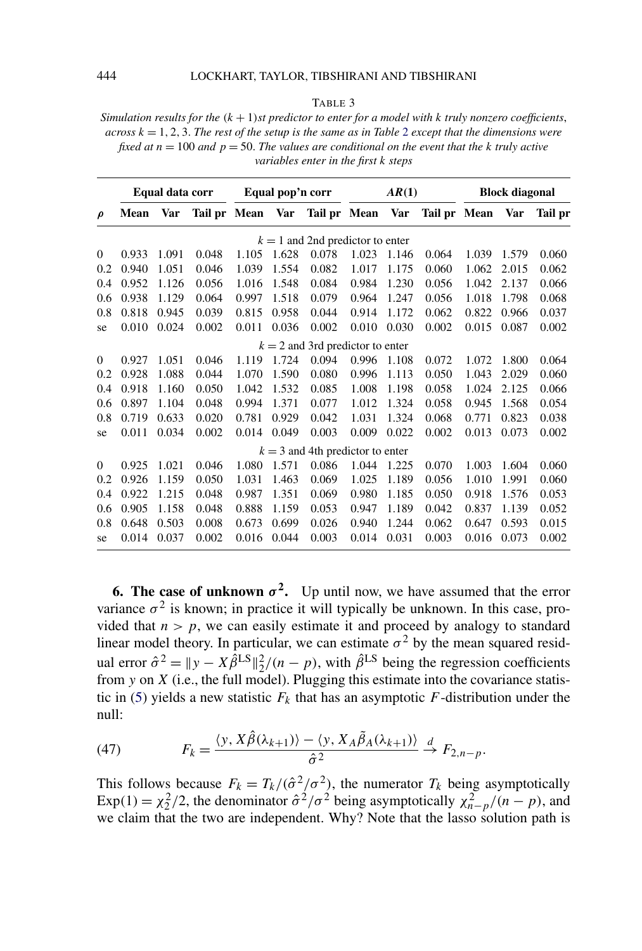#### <span id="page-31-0"></span>444 LOCKHART, TAYLOR, TIBSHIRANI AND TIBSHIRANI

TABLE 3

*Simulation results for the (k* + 1*)st predictor to enter for a model with k truly nonzero coefficients*, *across*  $k = 1, 2, 3$  $k = 1, 2, 3$  $k = 1, 2, 3$ . *The rest of the setup is the same as in Table* 2 *except that the dimensions were fixed at*  $n = 100$  *and*  $p = 50$ *. The values are conditional on the event that the k truly active variables enter in the first k steps*

|          | Equal data corr |       | Equal pop'n corr |       | AR(1) |                                    |       | <b>Block diagonal</b> |              |       |       |         |
|----------|-----------------|-------|------------------|-------|-------|------------------------------------|-------|-----------------------|--------------|-------|-------|---------|
| ρ        | <b>Mean</b>     | Var   | Tail pr Mean     |       | Var   | Tail pr Mean                       |       | Var                   | Tail pr Mean |       | Var   | Tail pr |
|          |                 |       |                  |       |       | $k = 1$ and 2nd predictor to enter |       |                       |              |       |       |         |
| $\theta$ | 0.933           | 1.091 | 0.048            | 1.105 | 1.628 | 0.078                              | 1.023 | 1.146                 | 0.064        | 1.039 | 1.579 | 0.060   |
| 0.2      | 0.940           | 1.051 | 0.046            | 1.039 | 1.554 | 0.082                              | 1.017 | 1.175                 | 0.060        | 1.062 | 2.015 | 0.062   |
| 0.4      | 0.952           | 1.126 | 0.056            | 1.016 | 1.548 | 0.084                              | 0.984 | 1.230                 | 0.056        | 1.042 | 2.137 | 0.066   |
| 0.6      | 0.938           | 1.129 | 0.064            | 0.997 | 1.518 | 0.079                              | 0.964 | 1.247                 | 0.056        | 1.018 | 1.798 | 0.068   |
| 0.8      | 0.818           | 0.945 | 0.039            | 0.815 | 0.958 | 0.044                              | 0.914 | 1.172                 | 0.062        | 0.822 | 0.966 | 0.037   |
| se       | 0.010           | 0.024 | 0.002            | 0.011 | 0.036 | 0.002                              | 0.010 | 0.030                 | 0.002        | 0.015 | 0.087 | 0.002   |
|          |                 |       |                  |       |       | $k = 2$ and 3rd predictor to enter |       |                       |              |       |       |         |
| $\theta$ | 0.927           | 1.051 | 0.046            | 1.119 | 1.724 | 0.094                              | 0.996 | 1.108                 | 0.072        | 1.072 | 1.800 | 0.064   |
| 0.2      | 0.928           | 1.088 | 0.044            | 1.070 | 1.590 | 0.080                              | 0.996 | 1.113                 | 0.050        | 1.043 | 2.029 | 0.060   |
| 0.4      | 0.918           | 1.160 | 0.050            | 1.042 | 1.532 | 0.085                              | 1.008 | 1.198                 | 0.058        | 1.024 | 2.125 | 0.066   |
| 0.6      | 0.897           | 1.104 | 0.048            | 0.994 | 1.371 | 0.077                              | 1.012 | 1.324                 | 0.058        | 0.945 | 1.568 | 0.054   |
| 0.8      | 0.719           | 0.633 | 0.020            | 0.781 | 0.929 | 0.042                              | 1.031 | 1.324                 | 0.068        | 0.771 | 0.823 | 0.038   |
| se       | 0.011           | 0.034 | 0.002            | 0.014 | 0.049 | 0.003                              | 0.009 | 0.022                 | 0.002        | 0.013 | 0.073 | 0.002   |
|          |                 |       |                  |       |       | $k = 3$ and 4th predictor to enter |       |                       |              |       |       |         |
| $\Omega$ | 0.925           | 1.021 | 0.046            | 1.080 | 1.571 | 0.086                              | 1.044 | 1.225                 | 0.070        | 1.003 | 1.604 | 0.060   |
| 0.2      | 0.926           | 1.159 | 0.050            | 1.031 | 1.463 | 0.069                              | 1.025 | 1.189                 | 0.056        | 1.010 | 1.991 | 0.060   |
| 0.4      | 0.922           | 1.215 | 0.048            | 0.987 | 1.351 | 0.069                              | 0.980 | 1.185                 | 0.050        | 0.918 | 1.576 | 0.053   |
| 0.6      | 0.905           | 1.158 | 0.048            | 0.888 | 1.159 | 0.053                              | 0.947 | 1.189                 | 0.042        | 0.837 | 1.139 | 0.052   |
| 0.8      | 0.648           | 0.503 | 0.008            | 0.673 | 0.699 | 0.026                              | 0.940 | 1.244                 | 0.062        | 0.647 | 0.593 | 0.015   |
| se       | 0.014           | 0.037 | 0.002            | 0.016 | 0.044 | 0.003                              | 0.014 | 0.031                 | 0.003        | 0.016 | 0.073 | 0.002   |

**6. The case of unknown**  $\sigma^2$ . Up until now, we have assumed that the error variance  $\sigma^2$  is known; in practice it will typically be unknown. In this case, provided that  $n > p$ , we can easily estimate it and proceed by analogy to standard linear model theory. In particular, we can estimate  $\sigma^2$  by the mean squared residual error  $\hat{\sigma}^2 = ||y - X\hat{\beta}^{LS}||_2^2/(n-p)$ , with  $\hat{\beta}^{LS}$  being the regression coefficients from *y* on *X* (i.e., the full model). Plugging this estimate into the covariance statis-tic in [\(5\)](#page-5-0) yields a new statistic  $F_k$  that has an asymptotic  $F$ -distribution under the null:

(47) 
$$
F_k = \frac{\langle y, X\hat{\beta}(\lambda_{k+1})\rangle - \langle y, X_A\tilde{\beta}_A(\lambda_{k+1})\rangle}{\hat{\sigma}^2} \stackrel{d}{\rightarrow} F_{2,n-p}.
$$

This follows because  $F_k = T_k/(\hat{\sigma}^2/\sigma^2)$ , the numerator  $T_k$  being asymptotically  $\exp(1) = \chi_2^2/2$ , the denominator  $\hat{\sigma}^2/\sigma^2$  being asymptotically  $\chi_{n-p}^2/(n-p)$ , and we claim that the two are independent. Why? Note that the lasso solution path is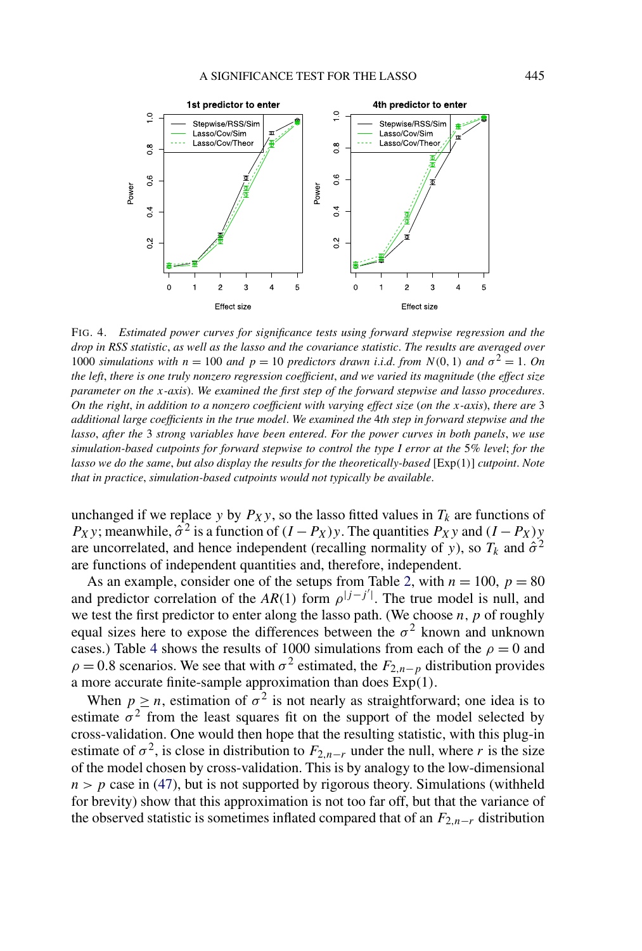<span id="page-32-0"></span>

FIG. 4. *Estimated power curves for significance tests using forward stepwise regression and the drop in RSS statistic*, *as well as the lasso and the covariance statistic*. *The results are averaged over* 1000 *simulations with*  $n = 100$  *and*  $p = 10$  *predictors drawn i.i.d. from*  $N(0, 1)$  *and*  $\sigma^2 = 1$ *. On the left*, *there is one truly nonzero regression coefficient*, *and we varied its magnitude* (*the effect size parameter on the x-axis*). *We examined the first step of the forward stepwise and lasso procedures*. *On the right*, *in addition to a nonzero coefficient with varying effect size* (*on the x-axis*), *there are* 3 *additional large coefficients in the true model*. *We examined the* 4*th step in forward stepwise and the lasso*, *after the* 3 *strong variables have been entered*. *For the power curves in both panels*, *we use simulation-based cutpoints for forward stepwise to control the type I error at the* 5*% level*; *for the lasso we do the same*, *but also display the results for the theoretically-based* [Exp*(*1*)*] *cutpoint*. *Note that in practice*, *simulation-based cutpoints would not typically be available*.

unchanged if we replace *y* by  $P_Xy$ , so the lasso fitted values in  $T_k$  are functions of *P<sub>X</sub>y*; meanwhile,  $\hat{\sigma}^2$  is a function of  $(I - P_X)y$ . The quantities  $P_X^y y$  and  $(I - P_X)y$ are uncorrelated, and hence independent (recalling normality of *y*), so  $T_k$  and  $\hat{\sigma}^2$ are functions of independent quantities and, therefore, independent.

As an example, consider one of the setups from Table [2,](#page-30-0) with  $n = 100$ ,  $p = 80$ and predictor correlation of the  $AR(1)$  form  $\rho^{|j-j'|}$ . The true model is null, and we test the first predictor to enter along the lasso path. (We choose  $n, p$  of roughly equal sizes here to expose the differences between the  $\sigma^2$  known and unknown cases.) Table [4](#page-33-0) shows the results of 1000 simulations from each of the  $\rho = 0$  and  $\rho = 0.8$  scenarios. We see that with  $\sigma^2$  estimated, the  $F_{2,n-p}$  distribution provides a more accurate finite-sample approximation than does Exp*(*1*)*.

When  $p \ge n$ , estimation of  $\sigma^2$  is not nearly as straightforward; one idea is to estimate  $\sigma^2$  from the least squares fit on the support of the model selected by cross-validation. One would then hope that the resulting statistic, with this plug-in estimate of  $\sigma^2$ , is close in distribution to  $F_{2,n-r}$  under the null, where *r* is the size of the model chosen by cross-validation. This is by analogy to the low-dimensional  $n > p$  case in [\(47\)](#page-31-0), but is not supported by rigorous theory. Simulations (withheld for brevity) show that this approximation is not too far off, but that the variance of the observed statistic is sometimes inflated compared that of an  $F_{2,n-r}$  distribution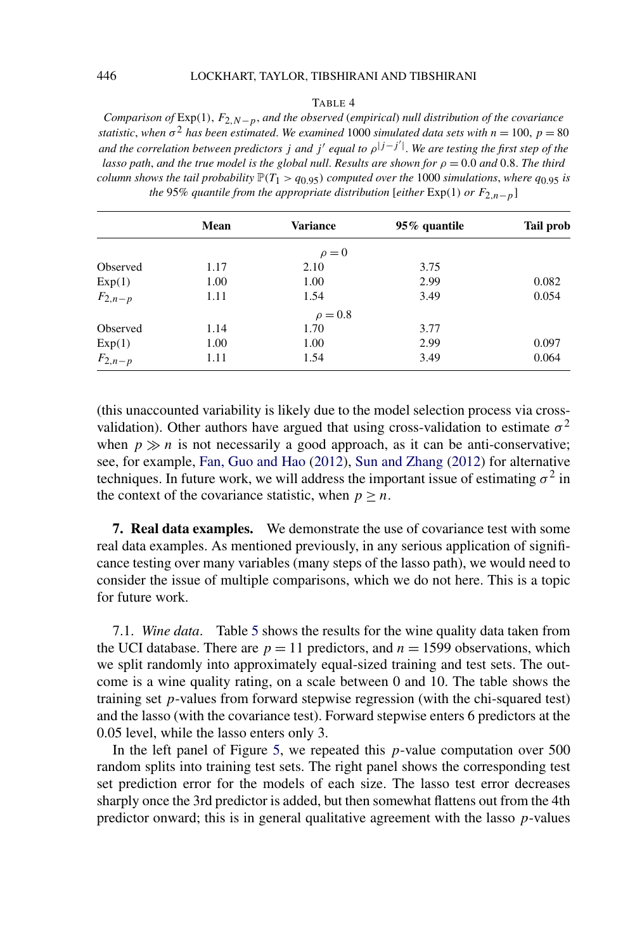## <span id="page-33-0"></span>446 LOCKHART, TAYLOR, TIBSHIRANI AND TIBSHIRANI

#### TABLE 4

*Comparison of* Exp*(*1*)*, *F*2*,N*−*p*, *and the observed* (*empirical*) *null distribution of the covariance statistic*, when  $\sigma^2$  *has been estimated. We examined* 1000 *simulated data sets with*  $n = 100$ ,  $p = 80$ *and the correlation between predictors <sup>j</sup> and <sup>j</sup> equal to <sup>ρ</sup>*|*j*−*<sup>j</sup>* | . *We are testing the first step of the lasso path, and the true model is the global null. Results are shown for*  $\rho = 0.0$  *and* 0*.8. The third column shows the tail probability*  $P(T_1 > q_0, q_5)$  *computed over the* 1000 *simulations*, *where*  $q_0, q_5$  *is the* 95% *quantile from the appropriate distribution* [*either*  $Exp(1)$  *or*  $F_{2,n-p}$ ]

|             | Mean | Variance     | 95% quantile | <b>Tail prob</b> |
|-------------|------|--------------|--------------|------------------|
|             |      | $\rho = 0$   |              |                  |
| Observed    | 1.17 | 2.10         | 3.75         |                  |
| Exp(1)      | 1.00 | 1.00         | 2.99         | 0.082            |
| $F_{2,n-p}$ | 1.11 | 1.54         | 3.49         | 0.054            |
|             |      | $\rho = 0.8$ |              |                  |
| Observed    | 1.14 | 1.70         | 3.77         |                  |
| Exp(1)      | 1.00 | 1.00         | 2.99         | 0.097            |
| $F_{2,n-p}$ | 1.11 | 1.54         | 3.49         | 0.064            |

(this unaccounted variability is likely due to the model selection process via crossvalidation). Other authors have argued that using cross-validation to estimate  $\sigma^2$ when  $p \gg n$  is not necessarily a good approach, as it can be anti-conservative; see, for example, [Fan, Guo and Hao](#page-54-0) [\(2012\)](#page-54-0), [Sun and Zhang](#page-55-0) [\(2012\)](#page-55-0) for alternative techniques. In future work, we will address the important issue of estimating  $\sigma^2$  in the context of the covariance statistic, when  $p \geq n$ .

**7. Real data examples.** We demonstrate the use of covariance test with some real data examples. As mentioned previously, in any serious application of significance testing over many variables (many steps of the lasso path), we would need to consider the issue of multiple comparisons, which we do not here. This is a topic for future work.

7.1. *Wine data*. Table [5](#page-34-0) shows the results for the wine quality data taken from the UCI database. There are  $p = 11$  predictors, and  $n = 1599$  observations, which we split randomly into approximately equal-sized training and test sets. The outcome is a wine quality rating, on a scale between 0 and 10. The table shows the training set *p*-values from forward stepwise regression (with the chi-squared test) and the lasso (with the covariance test). Forward stepwise enters 6 predictors at the 0.05 level, while the lasso enters only 3.

In the left panel of Figure [5,](#page-34-0) we repeated this *p*-value computation over 500 random splits into training test sets. The right panel shows the corresponding test set prediction error for the models of each size. The lasso test error decreases sharply once the 3rd predictor is added, but then somewhat flattens out from the 4th predictor onward; this is in general qualitative agreement with the lasso *p*-values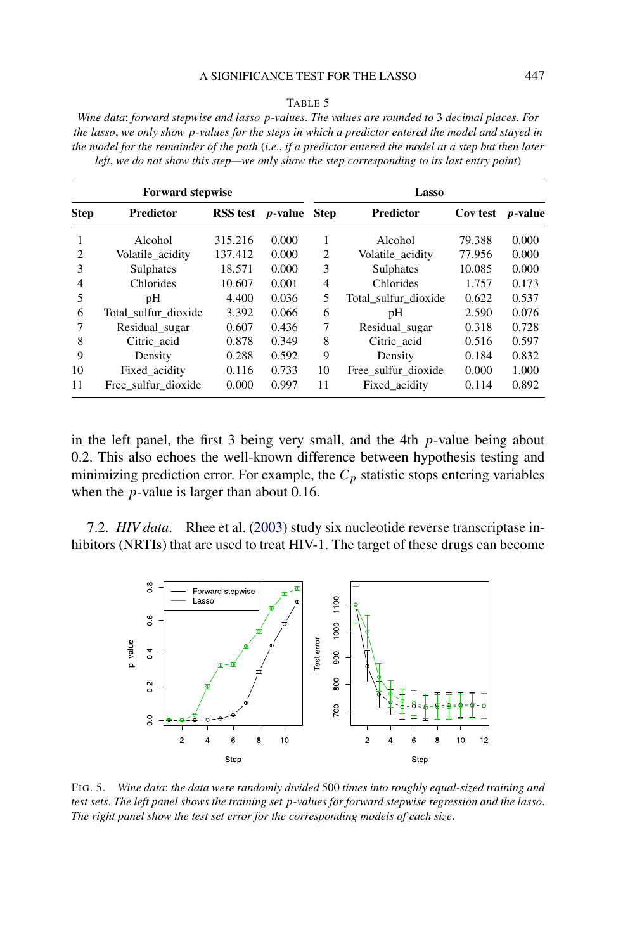#### A SIGNIFICANCE TEST FOR THE LASSO 447

#### TABLE 5

<span id="page-34-0"></span>*Wine data*: *forward stepwise and lasso p-values*. *The values are rounded to* 3 *decimal places*. *For the lasso*, *we only show p-values for the steps in which a predictor entered the model and stayed in the model for the remainder of the path* (*i*.*e*., *if a predictor entered the model at a step but then later left*, *we do not show this step—we only show the step corresponding to its last entry point*)

|             | <b>Forward stepwise</b> |                                 |       | Lasso          |                      |          |                 |  |  |  |
|-------------|-------------------------|---------------------------------|-------|----------------|----------------------|----------|-----------------|--|--|--|
| <b>Step</b> | <b>Predictor</b>        | <b>RSS</b> test <i>p</i> -value |       | <b>Step</b>    | <b>Predictor</b>     | Cov test | <i>p</i> -value |  |  |  |
|             | Alcohol                 | 315.216                         | 0.000 | 1              | Alcohol              | 79.388   | 0.000           |  |  |  |
| 2           | Volatile_acidity        | 137.412                         | 0.000 | $\overline{c}$ | Volatile acidity     | 77.956   | 0.000           |  |  |  |
| 3           | Sulphates               | 18.571                          | 0.000 | 3              | Sulphates            | 10.085   | 0.000           |  |  |  |
| 4           | Chlorides               | 10.607                          | 0.001 | 4              | Chlorides            | 1.757    | 0.173           |  |  |  |
| 5           | pΗ                      | 4.400                           | 0.036 | 5              | Total_sulfur_dioxide | 0.622    | 0.537           |  |  |  |
| 6           | Total_sulfur_dioxide    | 3.392                           | 0.066 | 6              | pH                   | 2.590    | 0.076           |  |  |  |
| 7           | Residual_sugar          | 0.607                           | 0.436 | 7              | Residual_sugar       | 0.318    | 0.728           |  |  |  |
| 8           | Citric acid             | 0.878                           | 0.349 | 8              | Citric acid          | 0.516    | 0.597           |  |  |  |
| 9           | Density                 | 0.288                           | 0.592 | 9              | Density              | 0.184    | 0.832           |  |  |  |
| 10          | Fixed acidity           | 0.116                           | 0.733 | 10             | Free sulfur dioxide  | 0.000    | 1.000           |  |  |  |
| 11          | Free sulfur dioxide     | 0.000                           | 0.997 | 11             | Fixed acidity        | 0.114    | 0.892           |  |  |  |

in the left panel, the first 3 being very small, and the 4th *p*-value being about 0.2. This also echoes the well-known difference between hypothesis testing and minimizing prediction error. For example, the  $C_p$  statistic stops entering variables when the *p*-value is larger than about 0.16.

7.2. *HIV data*. Rhee et al. [\(2003\)](#page-55-0) study six nucleotide reverse transcriptase inhibitors (NRTIs) that are used to treat HIV-1. The target of these drugs can become



FIG. 5. *Wine data*: *the data were randomly divided* 500 *times into roughly equal-sized training and test sets*. *The left panel shows the training set p-values for forward stepwise regression and the lasso*. *The right panel show the test set error for the corresponding models of each size*.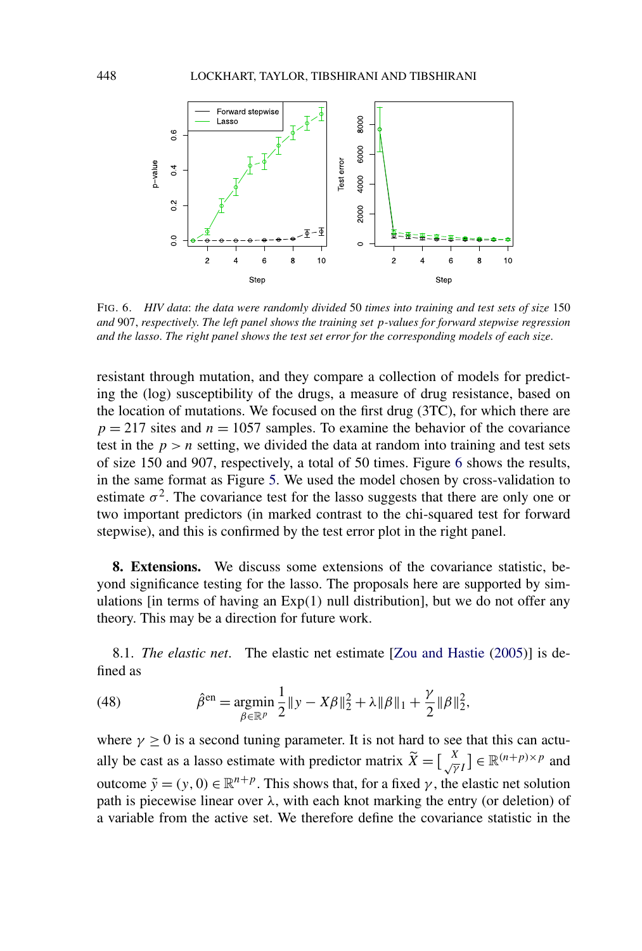<span id="page-35-0"></span>

FIG. 6. *HIV data*: *the data were randomly divided* 50 *times into training and test sets of size* 150 *and* 907, *respectively*. *The left panel shows the training set p-values for forward stepwise regression and the lasso*. *The right panel shows the test set error for the corresponding models of each size*.

resistant through mutation, and they compare a collection of models for predicting the (log) susceptibility of the drugs, a measure of drug resistance, based on the location of mutations. We focused on the first drug (3TC), for which there are  $p = 217$  sites and  $n = 1057$  samples. To examine the behavior of the covariance test in the  $p > n$  setting, we divided the data at random into training and test sets of size 150 and 907, respectively, a total of 50 times. Figure 6 shows the results, in the same format as Figure [5.](#page-34-0) We used the model chosen by cross-validation to estimate  $\sigma^2$ . The covariance test for the lasso suggests that there are only one or two important predictors (in marked contrast to the chi-squared test for forward stepwise), and this is confirmed by the test error plot in the right panel.

**8. Extensions.** We discuss some extensions of the covariance statistic, beyond significance testing for the lasso. The proposals here are supported by simulations [in terms of having an Exp*(*1*)* null distribution], but we do not offer any theory. This may be a direction for future work.

8.1. *The elastic net*. The elastic net estimate [\[Zou and Hastie](#page-55-0) [\(2005\)](#page-55-0)] is defined as

(48) 
$$
\hat{\beta}^{\text{en}} = \underset{\beta \in \mathbb{R}^p}{\text{argmin}} \frac{1}{2} \|y - X\beta\|_2^2 + \lambda \|\beta\|_1 + \frac{\gamma}{2} \|\beta\|_2^2,
$$

where  $\gamma \geq 0$  is a second tuning parameter. It is not hard to see that this can actually be cast as a lasso estimate with predictor matrix  $\widetilde{X} = \begin{bmatrix} X \\ \sqrt{\gamma}I \end{bmatrix} \in \mathbb{R}^{(n+p)\times p}$  and outcome  $\tilde{y}$  = *(y, 0)* ∈  $\mathbb{R}^{n+p}$ . This shows that, for a fixed *γ*, the elastic net solution path is piecewise linear over  $\lambda$ , with each knot marking the entry (or deletion) of a variable from the active set. We therefore define the covariance statistic in the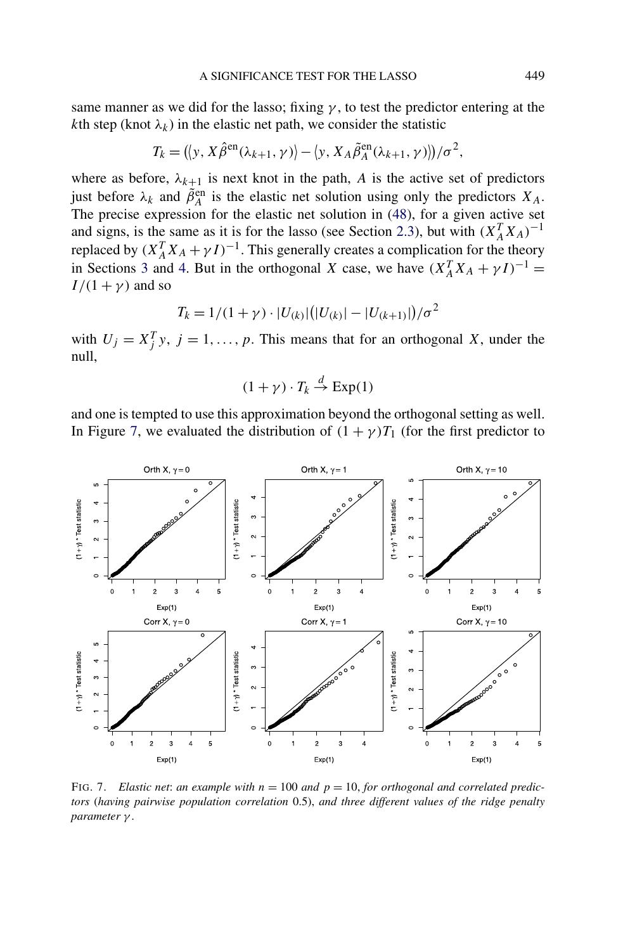same manner as we did for the lasso; fixing  $\gamma$ , to test the predictor entering at the *k*th step (knot  $\lambda_k$ ) in the elastic net path, we consider the statistic

$$
T_k = (\langle y, X\hat{\beta}^{\text{en}}(\lambda_{k+1}, \gamma) \rangle - \langle y, X_A\tilde{\beta}_A^{\text{en}}(\lambda_{k+1}, \gamma) \rangle)/\sigma^2,
$$

where as before,  $\lambda_{k+1}$  is next knot in the path, *A* is the active set of predictors just before  $\lambda_k$  and  $\tilde{\beta}_A^{\text{en}}$  is the elastic net solution using only the predictors  $X_A$ . The precise expression for the elastic net solution in [\(48\)](#page-35-0), for a given active set and signs, is the same as it is for the lasso (see Section [2.3\)](#page-8-0), but with  $(X_A^T X_A)^{-1}$ replaced by  $(X_A^T X_A + \gamma I)^{-1}$ . This generally creates a complication for the theory in Sections [3](#page-12-0) and [4.](#page-17-0) But in the orthogonal *X* case, we have  $(X_A^T X_A + \gamma I)^{-1}$  =  $I/(1 + \gamma)$  and so

$$
T_k = 1/(1+\gamma) \cdot |U_{(k)}| (|U_{(k)}| - |U_{(k+1)}|)/\sigma^2
$$

with  $U_j = X_j^T y$ ,  $j = 1, ..., p$ . This means that for an orthogonal *X*, under the null,

$$
(1+\gamma)\cdot T_k \stackrel{d}{\to} \text{Exp}(1)
$$

and one is tempted to use this approximation beyond the orthogonal setting as well. In Figure 7, we evaluated the distribution of  $(1 + \gamma)T_1$  (for the first predictor to



FIG. 7. *Elastic net: an example with*  $n = 100$  *and*  $p = 10$ , *for orthogonal and correlated predictors* (*having pairwise population correlation* 0.5), *and three different values of the ridge penalty parameter γ* .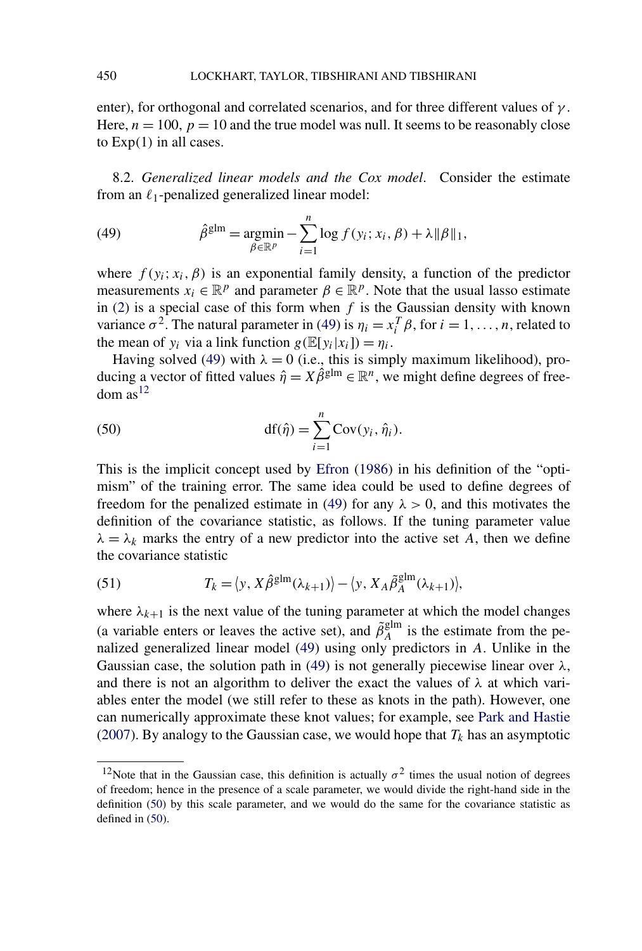<span id="page-37-0"></span>enter), for orthogonal and correlated scenarios, and for three different values of *γ* . Here,  $n = 100$ ,  $p = 10$  and the true model was null. It seems to be reasonably close to Exp*(*1*)* in all cases.

8.2. *Generalized linear models and the Cox model*. Consider the estimate from an  $\ell_1$ -penalized generalized linear model:

(49) 
$$
\hat{\beta}^{\text{glm}} = \underset{\beta \in \mathbb{R}^p}{\text{argmin}} - \sum_{i=1}^n \log f(y_i; x_i, \beta) + \lambda \|\beta\|_1,
$$

where  $f(y_i; x_i, \beta)$  is an exponential family density, a function of the predictor measurements  $x_i \in \mathbb{R}^p$  and parameter  $\beta \in \mathbb{R}^p$ . Note that the usual lasso estimate in  $(2)$  is a special case of this form when *f* is the Gaussian density with known variance  $\sigma^2$ . The natural parameter in (49) is  $\eta_i = x_i^T \beta$ , for  $i = 1, ..., n$ , related to the mean of  $y_i$  via a link function  $g(\mathbb{E}[y_i|x_i]) = \eta_i$ .

Having solved (49) with  $\lambda = 0$  (i.e., this is simply maximum likelihood), producing a vector of fitted values  $\hat{\eta} = X\hat{\beta}^{glm} \in \mathbb{R}^n$ , we might define degrees of free $dom$  as<sup>12</sup>

(50) 
$$
df(\hat{\eta}) = \sum_{i=1}^{n} Cov(y_i, \hat{\eta}_i).
$$

This is the implicit concept used by [Efron](#page-54-0) [\(1986\)](#page-54-0) in his definition of the "optimism" of the training error. The same idea could be used to define degrees of freedom for the penalized estimate in (49) for any  $\lambda > 0$ , and this motivates the definition of the covariance statistic, as follows. If the tuning parameter value  $\lambda = \lambda_k$  marks the entry of a new predictor into the active set *A*, then we define the covariance statistic

(51) 
$$
T_k = \langle y, X\hat{\beta}^{\text{glm}}(\lambda_{k+1}) \rangle - \langle y, X_A\tilde{\beta}_A^{\text{glm}}(\lambda_{k+1}) \rangle,
$$

where  $\lambda_{k+1}$  is the next value of the tuning parameter at which the model changes (a variable enters or leaves the active set), and  $\tilde{\beta}_A^{\text{glm}}$  is the estimate from the penalized generalized linear model (49) using only predictors in *A*. Unlike in the Gaussian case, the solution path in (49) is not generally piecewise linear over  $\lambda$ , and there is not an algorithm to deliver the exact the values of  $\lambda$  at which variables enter the model (we still refer to these as knots in the path). However, one can numerically approximate these knot values; for example, see [Park and Hastie](#page-55-0) [\(2007\)](#page-55-0). By analogy to the Gaussian case, we would hope that  $T_k$  has an asymptotic

<sup>&</sup>lt;sup>12</sup>Note that in the Gaussian case, this definition is actually  $\sigma^2$  times the usual notion of degrees of freedom; hence in the presence of a scale parameter, we would divide the right-hand side in the definition (50) by this scale parameter, and we would do the same for the covariance statistic as defined in (50).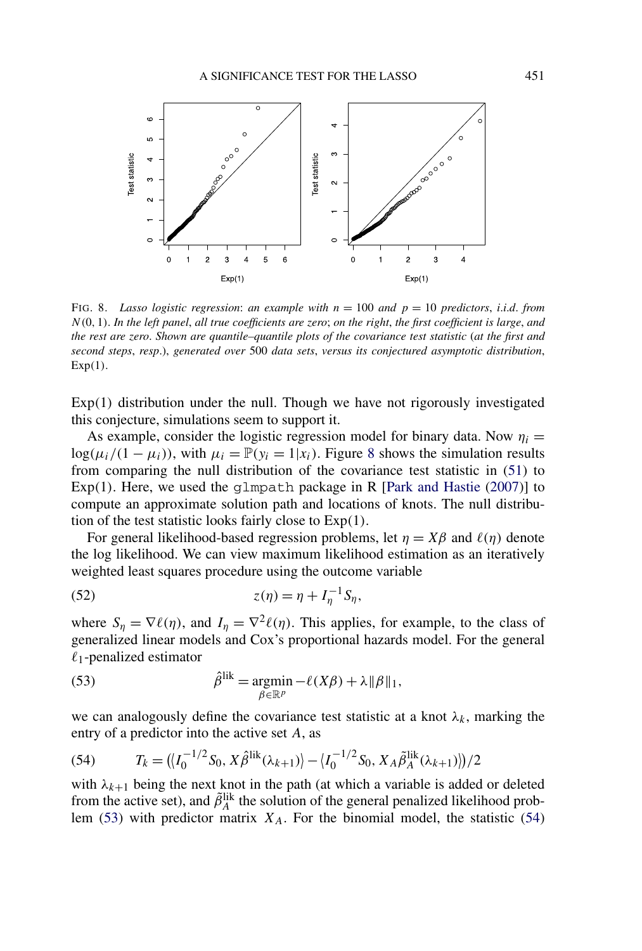<span id="page-38-0"></span>

FIG. 8. *Lasso logistic regression: an example with*  $n = 100$  *and*  $p = 10$  *predictors, i.i.d. from N(*0*,* 1*)*. *In the left panel*, *all true coefficients are zero*; *on the right*, *the first coefficient is large*, *and the rest are zero*. *Shown are quantile–quantile plots of the covariance test statistic* (*at the first and second steps*, *resp*.), *generated over* 500 *data sets*, *versus its conjectured asymptotic distribution*, Exp*(*1*)*.

Exp*(*1*)* distribution under the null. Though we have not rigorously investigated this conjecture, simulations seem to support it.

As example, consider the logistic regression model for binary data. Now  $\eta_i =$  $log(\mu_i/(1 - \mu_i))$ , with  $\mu_i = \mathbb{P}(\nu_i = 1 | x_i)$ . Figure 8 shows the simulation results from comparing the null distribution of the covariance test statistic in [\(51\)](#page-37-0) to Exp $(1)$ . Here, we used the glmpath package in R [\[Park and Hastie](#page-55-0)  $(2007)$ ] to compute an approximate solution path and locations of knots. The null distribution of the test statistic looks fairly close to Exp*(*1*)*.

For general likelihood-based regression problems, let  $\eta = X\beta$  and  $\ell(\eta)$  denote the log likelihood. We can view maximum likelihood estimation as an iteratively weighted least squares procedure using the outcome variable

$$
(52) \t\t\t z(\eta) = \eta + I_{\eta}^{-1} S_{\eta},
$$

where  $S_n = \nabla \ell(\eta)$ , and  $I_n = \nabla^2 \ell(\eta)$ . This applies, for example, to the class of generalized linear models and Cox's proportional hazards model. For the general  $\ell_1$ -penalized estimator

(53) 
$$
\hat{\beta}^{\text{lik}} = \underset{\beta \in \mathbb{R}^p}{\text{argmin}} - \ell(X\beta) + \lambda \|\beta\|_1,
$$

we can analogously define the covariance test statistic at a knot  $\lambda_k$ , marking the entry of a predictor into the active set *A*, as

(54) 
$$
T_k = (\langle I_0^{-1/2} S_0, X \hat{\beta}^{\text{lik}}(\lambda_{k+1}) \rangle - \langle I_0^{-1/2} S_0, X_A \tilde{\beta}_A^{\text{lik}}(\lambda_{k+1}) \rangle)/2
$$

with  $\lambda_{k+1}$  being the next knot in the path (at which a variable is added or deleted from the active set), and  $\tilde{\beta}_A^{\text{lik}}$  the solution of the general penalized likelihood problem (53) with predictor matrix  $X_A$ . For the binomial model, the statistic (54)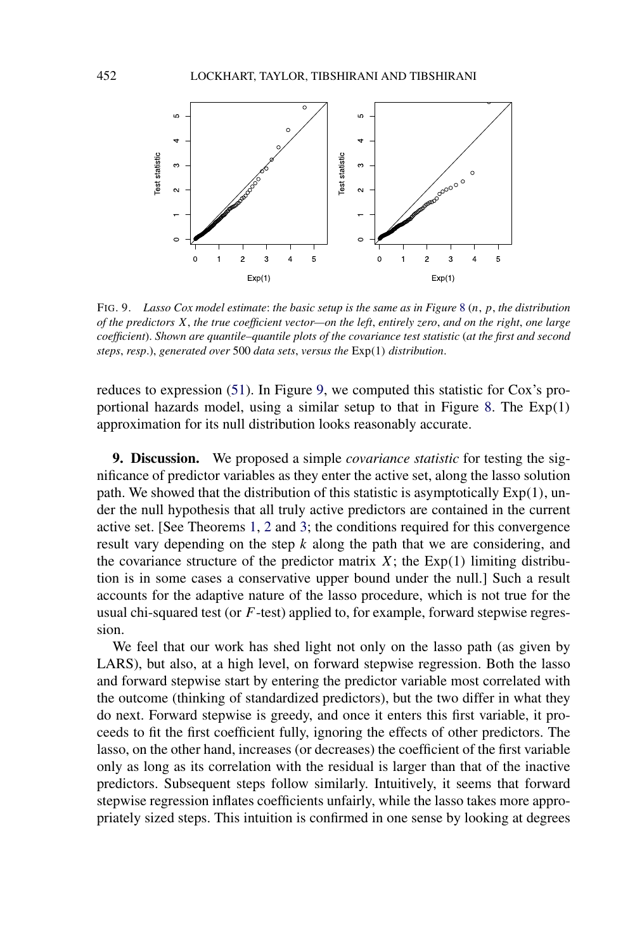<span id="page-39-0"></span>

FIG. 9. *Lasso Cox model estimate*: *the basic setup is the same as in Figure* [8](#page-38-0) (*n*, *p*, *the distribution of the predictors X*, *the true coefficient vector—on the left*, *entirely zero*, *and on the right*, *one large coefficient*). *Shown are quantile–quantile plots of the covariance test statistic* (*at the first and second steps*, *resp*.), *generated over* 500 *data sets*, *versus the* Exp*(*1*) distribution*.

reduces to expression [\(51\)](#page-37-0). In Figure 9, we computed this statistic for Cox's proportional hazards model, using a similar setup to that in Figure [8.](#page-38-0) The Exp*(*1*)* approximation for its null distribution looks reasonably accurate.

**9. Discussion.** We proposed a simple *covariance statistic* for testing the significance of predictor variables as they enter the active set, along the lasso solution path. We showed that the distribution of this statistic is asymptotically Exp*(*1*)*, under the null hypothesis that all truly active predictors are contained in the current active set. [See Theorems [1,](#page-16-0) [2](#page-21-0) and [3;](#page-26-0) the conditions required for this convergence result vary depending on the step *k* along the path that we are considering, and the covariance structure of the predictor matrix  $X$ ; the  $Exp(1)$  limiting distribution is in some cases a conservative upper bound under the null.] Such a result accounts for the adaptive nature of the lasso procedure, which is not true for the usual chi-squared test (or *F*-test) applied to, for example, forward stepwise regression.

We feel that our work has shed light not only on the lasso path (as given by LARS), but also, at a high level, on forward stepwise regression. Both the lasso and forward stepwise start by entering the predictor variable most correlated with the outcome (thinking of standardized predictors), but the two differ in what they do next. Forward stepwise is greedy, and once it enters this first variable, it proceeds to fit the first coefficient fully, ignoring the effects of other predictors. The lasso, on the other hand, increases (or decreases) the coefficient of the first variable only as long as its correlation with the residual is larger than that of the inactive predictors. Subsequent steps follow similarly. Intuitively, it seems that forward stepwise regression inflates coefficients unfairly, while the lasso takes more appropriately sized steps. This intuition is confirmed in one sense by looking at degrees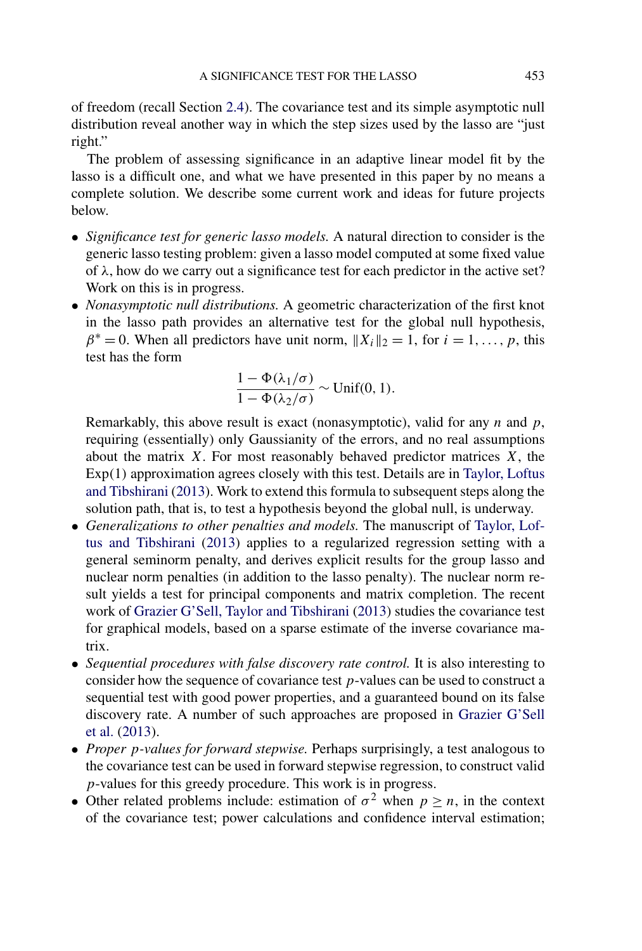of freedom (recall Section [2.4\)](#page-10-0). The covariance test and its simple asymptotic null distribution reveal another way in which the step sizes used by the lasso are "just right."

The problem of assessing significance in an adaptive linear model fit by the lasso is a difficult one, and what we have presented in this paper by no means a complete solution. We describe some current work and ideas for future projects below.

- *Significance test for generic lasso models.* A natural direction to consider is the generic lasso testing problem: given a lasso model computed at some fixed value of  $\lambda$ , how do we carry out a significance test for each predictor in the active set? Work on this is in progress.
- *Nonasymptotic null distributions.* A geometric characterization of the first knot in the lasso path provides an alternative test for the global null hypothesis,  $\beta^* = 0$ . When all predictors have unit norm,  $||X_i||_2 = 1$ , for  $i = 1, ..., p$ , this test has the form

$$
\frac{1-\Phi(\lambda_1/\sigma)}{1-\Phi(\lambda_2/\sigma)} \sim \text{Unif}(0,1).
$$

Remarkably, this above result is exact (nonasymptotic), valid for any *n* and *p*, requiring (essentially) only Gaussianity of the errors, and no real assumptions about the matrix *X*. For most reasonably behaved predictor matrices *X*, the Exp*(*1*)* approximation agrees closely with this test. Details are in [Taylor, Loftus](#page-55-0) [and Tibshirani](#page-55-0) [\(2013\)](#page-55-0). Work to extend this formula to subsequent steps along the solution path, that is, to test a hypothesis beyond the global null, is underway.

- *Generalizations to other penalties and models.* The manuscript of [Taylor, Lof](#page-55-0)[tus and Tibshirani](#page-55-0) [\(2013\)](#page-55-0) applies to a regularized regression setting with a general seminorm penalty, and derives explicit results for the group lasso and nuclear norm penalties (in addition to the lasso penalty). The nuclear norm result yields a test for principal components and matrix completion. The recent work of [Grazier G'Sell, Taylor and Tibshirani](#page-54-0) [\(2013\)](#page-54-0) studies the covariance test for graphical models, based on a sparse estimate of the inverse covariance matrix.
- *Sequential procedures with false discovery rate control.* It is also interesting to consider how the sequence of covariance test *p*-values can be used to construct a sequential test with good power properties, and a guaranteed bound on its false discovery rate. A number of such approaches are proposed in [Grazier G'Sell](#page-54-0) [et al.](#page-54-0) [\(2013\)](#page-54-0).
- *Proper p-values for forward stepwise.* Perhaps surprisingly, a test analogous to the covariance test can be used in forward stepwise regression, to construct valid *p*-values for this greedy procedure. This work is in progress.
- Other related problems include: estimation of  $\sigma^2$  when  $p \ge n$ , in the context of the covariance test; power calculations and confidence interval estimation;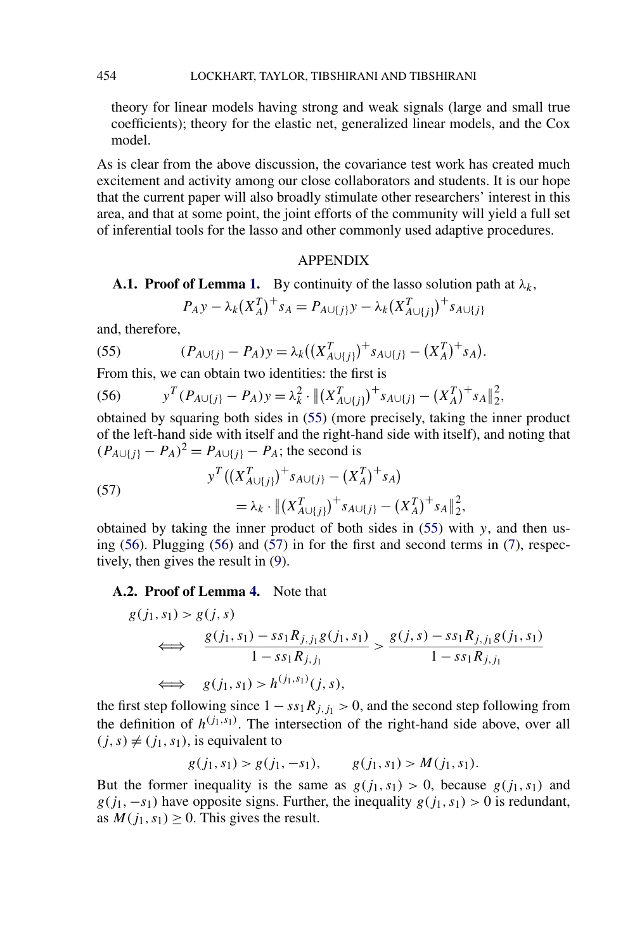<span id="page-41-0"></span>theory for linear models having strong and weak signals (large and small true coefficients); theory for the elastic net, generalized linear models, and the Cox model.

As is clear from the above discussion, the covariance test work has created much excitement and activity among our close collaborators and students. It is our hope that the current paper will also broadly stimulate other researchers' interest in this area, and that at some point, the joint efforts of the community will yield a full set of inferential tools for the lasso and other commonly used adaptive procedures.

## APPENDIX

# **A.1. Proof of Lemma [1.](#page-9-0)** By continuity of the lasso solution path at *λk*,

$$
P_A y - \lambda_k (X_A^T)^{+} s_A = P_{A \cup \{j\}} y - \lambda_k (X_{A \cup \{j\}}^T)^{+} s_{A \cup \{j\}}
$$

and, therefore,

(55) 
$$
(P_{A\cup\{j\}} - P_A)y = \lambda_k((X_{A\cup\{j\}}^T)^+ s_{A\cup\{j\}} - (X_A^T)^+ s_A).
$$

From this, we can obtain two identities: the first is

(56) 
$$
y^{T} (P_{A \cup \{j\}} - P_{A}) y = \lambda_{k}^{2} \cdot \| (X_{A \cup \{j\}}^{T})^{+} s_{A \cup \{j\}} - (X_{A}^{T})^{+} s_{A} \|_{2}^{2},
$$

obtained by squaring both sides in (55) (more precisely, taking the inner product of the left-hand side with itself and the right-hand side with itself), and noting that  $(P_{A \cup \{j\}} - P_A)^2 = P_{A \cup \{j\}} - P_A$ ; the second is

(57) 
$$
y^T \left( \left( X_{A \cup \{j\}}^T \right)^+ s_{A \cup \{j\}} - \left( X_A^T \right)^+ s_A \right) \\
= \lambda_k \cdot \| \left( X_{A \cup \{j\}}^T \right)^+ s_{A \cup \{j\}} - \left( X_A^T \right)^+ s_A \|_2^2,
$$

obtained by taking the inner product of both sides in (55) with *y*, and then using (56). Plugging (56) and (57) in for the first and second terms in [\(7\)](#page-8-0), respectively, then gives the result in [\(9\)](#page-9-0).

# **A.2. Proof of Lemma [4.](#page-19-0)** Note that

$$
g(j_1, s_1) > g(j, s)
$$
  
\n
$$
\iff \frac{g(j_1, s_1) - ss_1 R_{j, j_1} g(j_1, s_1)}{1 - ss_1 R_{j, j_1}} > \frac{g(j, s) - ss_1 R_{j, j_1} g(j_1, s_1)}{1 - ss_1 R_{j, j_1}}
$$
  
\n
$$
\iff g(j_1, s_1) > h^{(j_1, s_1)}(j, s),
$$

the first step following since  $1 - ss_1 R_{j,j_1} > 0$ , and the second step following from the definition of  $h^{(j_1, s_1)}$ . The intersection of the right-hand side above, over all  $(j, s) \neq (j_1, s_1)$ , is equivalent to

$$
g(j_1, s_1) > g(j_1, -s_1),
$$
  $g(j_1, s_1) > M(j_1, s_1).$ 

But the former inequality is the same as  $g(j_1, s_1) > 0$ , because  $g(j_1, s_1)$  and  $g(j_1, -s_1)$  have opposite signs. Further, the inequality  $g(j_1, s_1) > 0$  is redundant, as  $M(j_1, s_1) \geq 0$ . This gives the result.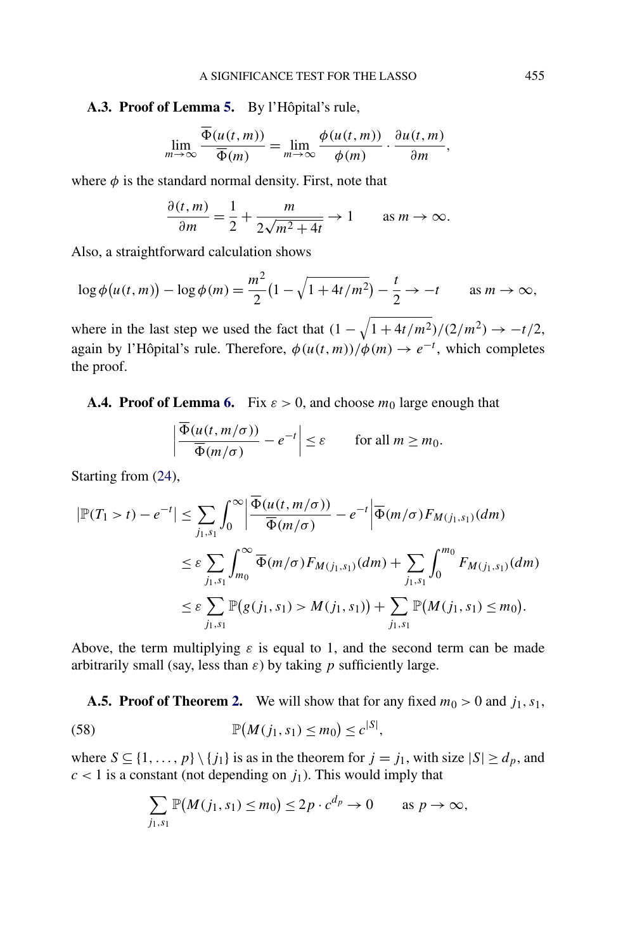# <span id="page-42-0"></span>**A.3. Proof of Lemma [5.](#page-20-0)** By l'Hôpital's rule,

$$
\lim_{m \to \infty} \frac{\overline{\Phi}(u(t, m))}{\overline{\Phi}(m)} = \lim_{m \to \infty} \frac{\phi(u(t, m))}{\phi(m)} \cdot \frac{\partial u(t, m)}{\partial m},
$$

where  $\phi$  is the standard normal density. First, note that

$$
\frac{\partial(t,m)}{\partial m} = \frac{1}{2} + \frac{m}{2\sqrt{m^2 + 4t}} \to 1 \quad \text{as } m \to \infty.
$$

Also, a straightforward calculation shows

 $\overline{\phantom{a}}$ İ  $\overline{\phantom{a}}$  $\overline{\phantom{a}}$ 

$$
\log \phi(u(t,m)) - \log \phi(m) = \frac{m^2}{2} \left(1 - \sqrt{1 + 4t/m^2}\right) - \frac{t}{2} \to -t \quad \text{as } m \to \infty,
$$

where in the last step we used the fact that  $(1 - \sqrt{1 + 4t/m^2})/(2/m^2) \rightarrow -t/2$ , again by l'Hôpital's rule. Therefore,  $\phi(u(t,m))/\phi(m) \rightarrow e^{-t}$ , which completes the proof.

**A.4. Proof of Lemma [6.](#page-20-0)** Fix  $\varepsilon > 0$ , and choose  $m_0$  large enough that

$$
\frac{\overline{\Phi}(u(t, m/\sigma))}{\overline{\Phi}(m/\sigma)} - e^{-t} \Big| \le \varepsilon \quad \text{for all } m \ge m_0.
$$

Starting from [\(24\)](#page-20-0),

$$
\left|\mathbb{P}(T_1 > t) - e^{-t}\right| \leq \sum_{j_1, s_1} \int_0^{\infty} \left|\frac{\overline{\Phi}(u(t, m/\sigma))}{\overline{\Phi}(m/\sigma)} - e^{-t}\right| \overline{\Phi}(m/\sigma) F_{M(j_1, s_1)}(dm)
$$
  

$$
\leq \varepsilon \sum_{j_1, s_1} \int_{m_0}^{\infty} \overline{\Phi}(m/\sigma) F_{M(j_1, s_1)}(dm) + \sum_{j_1, s_1} \int_0^{m_0} F_{M(j_1, s_1)}(dm)
$$
  

$$
\leq \varepsilon \sum_{j_1, s_1} \mathbb{P}(g(j_1, s_1) > M(j_1, s_1)) + \sum_{j_1, s_1} \mathbb{P}(M(j_1, s_1) \leq m_0).
$$

Above, the term multiplying  $\varepsilon$  is equal to 1, and the second term can be made arbitrarily small (say, less than *ε*) by taking *p* sufficiently large.

**A.5. Proof of Theorem [2.](#page-21-0)** We will show that for any fixed  $m_0 > 0$  and  $j_1, s_1$ ,

(58) 
$$
\mathbb{P}(M(j_1, s_1) \leq m_0) \leq c^{|S|},
$$

where  $S \subseteq \{1, ..., p\} \setminus \{j_1\}$  is as in the theorem for  $j = j_1$ , with size  $|S| \ge d_p$ , and  $c < 1$  is a constant (not depending on  $j_1$ ). This would imply that

$$
\sum_{j_1,s_1} \mathbb{P}(M(j_1,s_1) \le m_0) \le 2p \cdot c^{d_p} \to 0 \quad \text{as } p \to \infty,
$$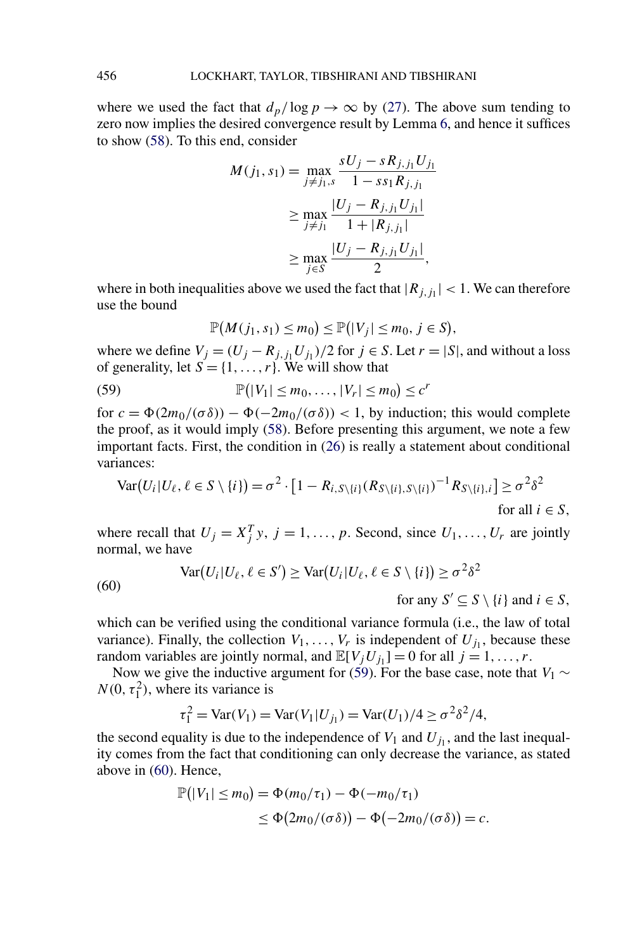<span id="page-43-0"></span>where we used the fact that  $d_p / \log p \to \infty$  by [\(27\)](#page-21-0). The above sum tending to zero now implies the desired convergence result by Lemma [6,](#page-20-0) and hence it suffices to show [\(58\)](#page-42-0). To this end, consider

$$
M(j_1, s_1) = \max_{j \neq j_1, s} \frac{sU_j - sR_{j, j_1}U_{j_1}}{1 - s s_1 R_{j, j_1}} \\
\geq \max_{j \neq j_1} \frac{|U_j - R_{j, j_1}U_{j_1}|}{1 + |R_{j, j_1}|} \\
\geq \max_{j \in S} \frac{|U_j - R_{j, j_1}U_{j_1}|}{2},
$$

where in both inequalities above we used the fact that  $|R_{j,j}| < 1$ . We can therefore use the bound

$$
\mathbb{P}(M(j_1, s_1) \le m_0) \le \mathbb{P}(|V_j| \le m_0, j \in S),
$$

where we define  $V_j = (U_j - R_{j,j} U_{j})/2$  for  $j \in S$ . Let  $r = |S|$ , and without a loss of generality, let  $S = \{1, \ldots, r\}$ . We will show that

P -|*V*1| ≤ *m*0*,...,*|*Vr*| ≤ *m*<sup>0</sup> ≤ *c<sup>r</sup>* (59)

for  $c = \Phi(2m_0/(\sigma \delta)) - \Phi(-2m_0/(\sigma \delta)) < 1$ , by induction; this would complete the proof, as it would imply [\(58\)](#page-42-0). Before presenting this argument, we note a few important facts. First, the condition in [\(26\)](#page-21-0) is really a statement about conditional variances:

$$
\text{Var}(U_i | U_\ell, \ell \in S \setminus \{i\}) = \sigma^2 \cdot [1 - R_{i, S \setminus \{i\}} (R_{S \setminus \{i\}}, S \setminus \{i\})^{-1} R_{S \setminus \{i\}, i}] \ge \sigma^2 \delta^2
$$
\nfor all  $i \in S$ ,

where recall that  $U_j = X_j^T y$ ,  $j = 1, ..., p$ . Second, since  $U_1, ..., U_r$  are jointly normal, we have

(60) 
$$
\text{Var}(U_i | U_\ell, \ell \in S') \geq \text{Var}(U_i | U_\ell, \ell \in S \setminus \{i\}) \geq \sigma^2 \delta^2
$$

for any  $S' \subseteq S \setminus \{i\}$  and  $i \in S$ ,

which can be verified using the conditional variance formula (i.e., the law of total variance). Finally, the collection  $V_1, \ldots, V_r$  is independent of  $U_{i_1}$ , because these random variables are jointly normal, and  $\mathbb{E}[V_jU_{j_1}] = 0$  for all  $j = 1, \ldots, r$ .

Now we give the inductive argument for (59). For the base case, note that *V*<sub>1</sub> ∼  $N(0, \tau_1^2)$ , where its variance is

$$
\tau_1^2 = \text{Var}(V_1) = \text{Var}(V_1 | U_{j_1}) = \text{Var}(U_1) / 4 \ge \sigma^2 \delta^2 / 4,
$$

the second equality is due to the independence of  $V_1$  and  $U_{j_1}$ , and the last inequality comes from the fact that conditioning can only decrease the variance, as stated above in (60). Hence,

$$
\mathbb{P}(|V_1| \le m_0) = \Phi(m_0/\tau_1) - \Phi(-m_0/\tau_1)
$$
  
\n
$$
\le \Phi(2m_0/(\sigma \delta)) - \Phi(-2m_0/(\sigma \delta)) = c.
$$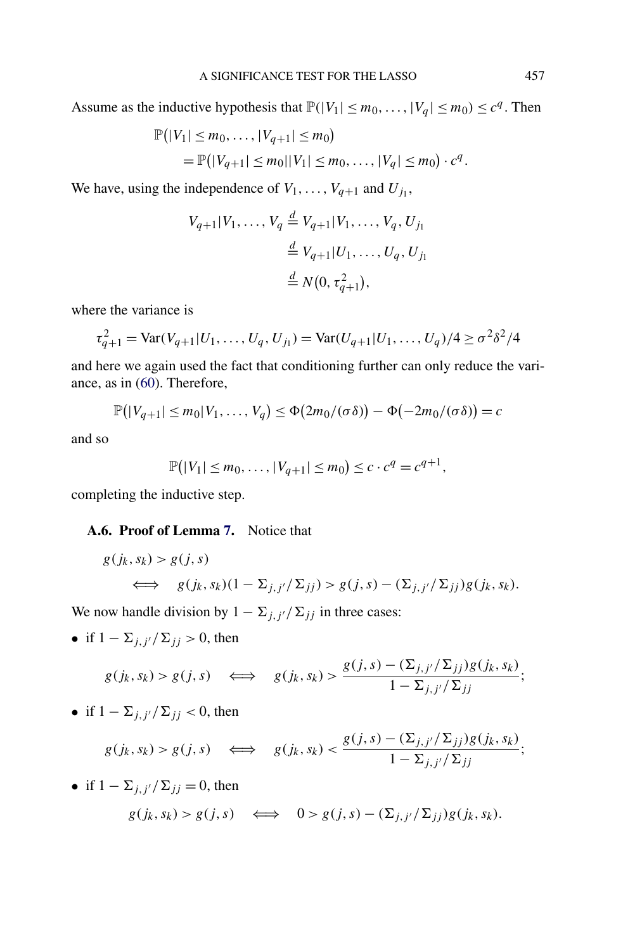Assume as the inductive hypothesis that  $\mathbb{P}(|V_1| \le m_0, \ldots, |V_q| \le m_0) \le c^q$ . Then

$$
\mathbb{P}(|V_1| \le m_0, \ldots, |V_{q+1}| \le m_0)
$$
  
=  $\mathbb{P}(|V_{q+1}| \le m_0||V_1| \le m_0, \ldots, |V_q| \le m_0) \cdot c^q$ .

We have, using the independence of  $V_1, \ldots, V_{q+1}$  and  $U_{j_1}$ ,

$$
V_{q+1}|V_1, ..., V_q \stackrel{d}{=} V_{q+1}|V_1, ..., V_q, U_{j_1}
$$
  

$$
\stackrel{d}{=} V_{q+1}|U_1, ..., U_q, U_{j_1}
$$
  

$$
\stackrel{d}{=} N(0, \tau_{q+1}^2),
$$

where the variance is

$$
\tau_{q+1}^2 = \text{Var}(V_{q+1}|U_1,\ldots,U_q,U_{j_1}) = \text{Var}(U_{q+1}|U_1,\ldots,U_q)/4 \ge \sigma^2 \delta^2/4
$$

and here we again used the fact that conditioning further can only reduce the variance, as in [\(60\)](#page-43-0). Therefore,

$$
\mathbb{P}(|V_{q+1}| \leq m_0|V_1,\ldots,V_q) \leq \Phi(2m_0/(\sigma\delta)) - \Phi(-2m_0/(\sigma\delta)) = c
$$

and so

$$
\mathbb{P}(|V_1| \le m_0, \ldots, |V_{q+1}| \le m_0) \le c \cdot c^q = c^{q+1},
$$

completing the inductive step.

# **A.6. Proof of Lemma [7.](#page-24-0)** Notice that

$$
g(j_k, s_k) > g(j, s)
$$
  

$$
\iff g(j_k, s_k)(1 - \Sigma_{j, j'} / \Sigma_{jj}) > g(j, s) - (\Sigma_{j, j'} / \Sigma_{jj})g(j_k, s_k).
$$

We now handle division by  $1 - \sum_{j,j'} / \sum_{jj}$  in three cases:

• if  $1 - \sum_{j,j'} / \sum_{jj} > 0$ , then

$$
g(j_k, s_k) > g(j, s) \iff g(j_k, s_k) > \frac{g(j, s) - (\Sigma_{j, j'}/\Sigma_{jj})g(j_k, s_k)}{1 - \Sigma_{j, j'}/\Sigma_{jj}};
$$

• if 
$$
1 - \sum_{j,j'} / \sum_{j,j} < 0
$$
, then

$$
g(j_k, s_k) > g(j, s) \iff g(j_k, s_k) < \frac{g(j, s) - (\Sigma_{j, j'}/\Sigma_{jj})g(j_k, s_k)}{1 - \Sigma_{j, j'}/\Sigma_{jj}};
$$

• if 
$$
1 - \sum_{j,j'} / \sum_{jj} = 0
$$
, then  
\n $g(j_k, s_k) > g(j, s) \iff 0 > g(j, s) - (\sum_{j,j'} / \sum_{jj}) g(j_k, s_k).$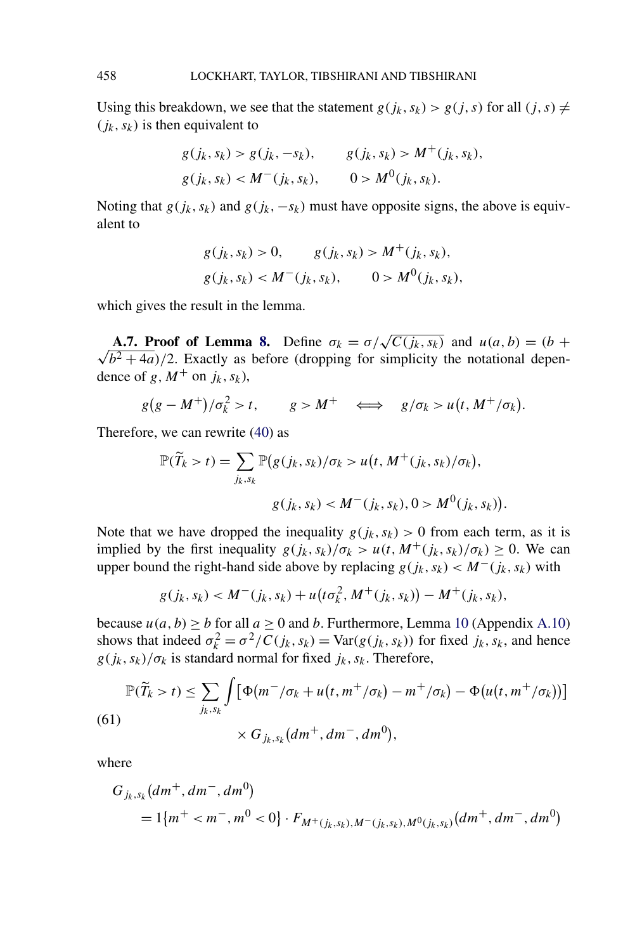Using this breakdown, we see that the statement  $g(j_k, s_k) > g(j, s)$  for all  $(j, s) \neq$  $(j_k, s_k)$  is then equivalent to

$$
g(j_k, s_k) > g(j_k, -s_k), \t g(j_k, s_k) > M^+(j_k, s_k),
$$
  

$$
g(j_k, s_k) < M^-(j_k, s_k), \t 0 > M^0(j_k, s_k).
$$

Noting that  $g(j_k, s_k)$  and  $g(j_k, -s_k)$  must have opposite signs, the above is equivalent to

$$
g(j_k, s_k) > 0, \t g(j_k, s_k) > M^+(j_k, s_k),
$$
  

$$
g(j_k, s_k) < M^-(j_k, s_k), \t 0 > M^0(j_k, s_k),
$$

which gives the result in the lemma.

**A.7. Proof of Lemma [8.](#page-25-0)** Define  $\sigma_k = \sigma/\sqrt{C(j_k, s_k)}$  and  $u(a, b) = (b + b)$ √  $\sqrt{b^2 + 4a}$ )/2. Exactly as before (dropping for simplicity the notational dependence of *g*,  $M^+$  on  $j_k$ ,  $s_k$ ),

$$
g(g-M^+)/\sigma_k^2>t
$$
,  $g>M^+$   $\iff$   $g/\sigma_k > u(t, M^+/\sigma_k)$ .

Therefore, we can rewrite [\(40\)](#page-25-0) as

$$
\mathbb{P}(\widetilde{T}_k > t) = \sum_{j_k, s_k} \mathbb{P}\big(g(j_k, s_k)/\sigma_k > u\big(t, M^+(j_k, s_k)/\sigma_k\big),
$$
\n
$$
g(j_k, s_k) < M^-(j_k, s_k), 0 > M^0(j_k, s_k)\big).
$$

Note that we have dropped the inequality  $g(j_k, s_k) > 0$  from each term, as it is implied by the first inequality  $g(j_k, s_k)/\sigma_k > u(t, M^+(j_k, s_k)/\sigma_k) \geq 0$ . We can upper bound the right-hand side above by replacing  $g(j_k, s_k) < M^-(j_k, s_k)$  with

$$
g(j_k, s_k) < M^-(j_k, s_k) + u\big(t\sigma_k^2, M^+(j_k, s_k)\big) - M^+(j_k, s_k),
$$

because  $u(a, b) \ge b$  for all  $a \ge 0$  and *b*. Furthermore, Lemma [10](#page-50-0) (Appendix [A.10\)](#page-50-0) shows that indeed  $\sigma_k^2 = \sigma^2/C(j_k, s_k) = \text{Var}(g(j_k, s_k))$  for fixed  $j_k, s_k$ , and hence  $g(j_k, s_k)/\sigma_k$  is standard normal for fixed  $j_k, s_k$ . Therefore,

$$
\mathbb{P}(\widetilde{T}_k > t) \le \sum_{j_k, s_k} \int \left[ \Phi(m^-/\sigma_k + u(t, m^+/\sigma_k) - m^+/\sigma_k) - \Phi(u(t, m^+/\sigma_k)) \right] \times G_{j_k, s_k}(dm^+, dm^-, dm^0),
$$

where

$$
G_{j_k, s_k}(dm^+, dm^-, dm^0)
$$
  
= 1{ $m^+ < m^-, m^0 < 0$ } \cdot F\_{M^+(j\_k, s\_k), M^-(j\_k, s\_k), M^0(j\_k, s\_k)}(dm^+, dm^-, dm^0)

<span id="page-45-0"></span>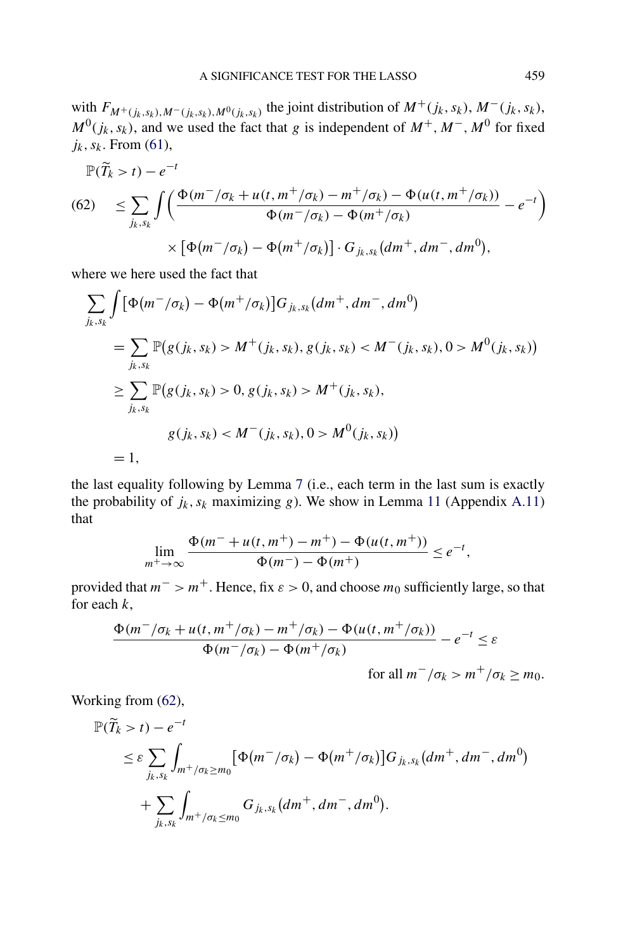with  $F_{M^+(j_k,s_k),M^-(j_k,s_k),M^0(j_k,s_k)}$  the joint distribution of  $M^+(j_k,s_k),M^-(j_k,s_k)$ ,  $M^0(j_k, s_k)$ , and we used the fact that *g* is independent of  $M^+$ ,  $M^-$ ,  $M^0$  for fixed  $j_k$ ,  $s_k$ . From [\(61\)](#page-45-0),

$$
\mathbb{P}(\widetilde{T}_k > t) - e^{-t}
$$
\n
$$
(62) \leq \sum_{j_k, s_k} \int \left( \frac{\Phi(m^-/\sigma_k + u(t, m^+/\sigma_k) - m^+/\sigma_k) - \Phi(u(t, m^+/\sigma_k))}{\Phi(m^-/\sigma_k) - \Phi(m^+/\sigma_k)} - e^{-t} \right)
$$
\n
$$
\times \left[ \Phi(m^-/\sigma_k) - \Phi(m^+/\sigma_k) \right] \cdot G_{j_k, s_k} \left( dm^+, dm^-, dm^0 \right),
$$

where we here used the fact that

$$
\sum_{j_k, s_k} \int \left[ \Phi(m^-/\sigma_k) - \Phi(m^+/\sigma_k) \right] G_{j_k, s_k} (dm^+, dm^-, dm^0)
$$
  
= 
$$
\sum_{j_k, s_k} \mathbb{P}(g(j_k, s_k) > M^+(j_k, s_k), g(j_k, s_k) < M^-(j_k, s_k), 0 > M^0(j_k, s_k))
$$
  

$$
\geq \sum_{j_k, s_k} \mathbb{P}(g(j_k, s_k) > 0, g(j_k, s_k) > M^+(j_k, s_k),
$$
  

$$
g(j_k, s_k) < M^-(j_k, s_k), 0 > M^0(j_k, s_k))
$$
  
= 1,

the last equality following by Lemma [7](#page-24-0) (i.e., each term in the last sum is exactly the probability of  $j_k$ ,  $s_k$  maximizing  $g$ ). We show in Lemma [11](#page-51-0) (Appendix [A.11\)](#page-51-0) that

$$
\lim_{m^+\to\infty} \frac{\Phi(m^- + u(t, m^+) - m^+) - \Phi(u(t, m^+))}{\Phi(m^-) - \Phi(m^+)} \le e^{-t},
$$

provided that  $m^{-} > m^{+}$ . Hence, fix  $\varepsilon > 0$ , and choose  $m_0$  sufficiently large, so that for each *k*,

$$
\frac{\Phi(m^{-}/\sigma_{k}+u(t,m^{+}/\sigma_{k})-m^{+}/\sigma_{k})-\Phi(u(t,m^{+}/\sigma_{k}))}{\Phi(m^{-}/\sigma_{k})-\Phi(m^{+}/\sigma_{k})}-e^{-t}\leq\varepsilon
$$

for all  $m^-/\sigma_k > m^+/\sigma_k \geq m_0$ .

Working from (62),

$$
\mathbb{P}(\widetilde{T}_k > t) - e^{-t}
$$
  
\n
$$
\leq \varepsilon \sum_{j_k, s_k} \int_{m^+/\sigma_k \geq m_0} [\Phi(m^-/\sigma_k) - \Phi(m^+/\sigma_k)] G_{j_k, s_k}(dm^+, dm^-, dm^0)
$$
  
\n
$$
+ \sum_{j_k, s_k} \int_{m^+/\sigma_k \leq m_0} G_{j_k, s_k}(dm^+, dm^-, dm^0).
$$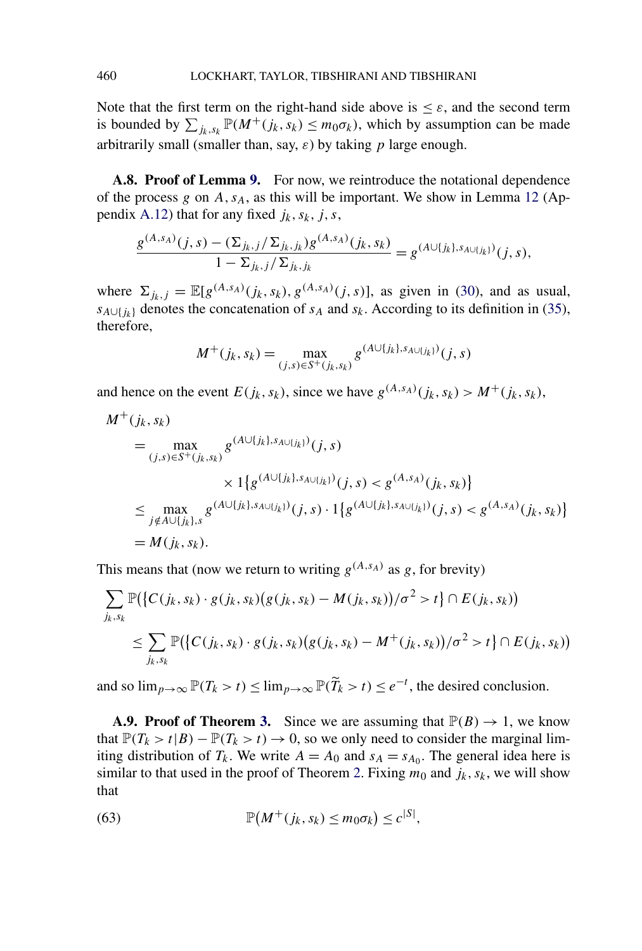Note that the first term on the right-hand side above is  $\leq \varepsilon$ , and the second term is bounded by  $\sum_{j_k, s_k} \mathbb{P}(M^+(j_k, s_k) \leq m_0 \sigma_k)$ , which by assumption can be made arbitrarily small (smaller than, say, *ε*) by taking *p* large enough.

**A.8. Proof of Lemma [9.](#page-26-0)** For now, we reintroduce the notational dependence of the process *g* on *A,sA*, as this will be important. We show in Lemma [12](#page-52-0) (Ap-pendix [A.12\)](#page-52-0) that for any fixed  $j_k$ ,  $s_k$ ,  $j$ ,  $s$ ,

$$
\frac{g^{(A,s_A)}(j,s) - (\sum_{j_k,j}/\sum_{j_k,j_k})g^{(A,s_A)}(j_k,s_k)}{1 - \sum_{j_k,j}/\sum_{j_k,j_k}} = g^{(A \cup \{j_k\},s_{A \cup \{j_k\}})}(j,s),
$$

where  $\Sigma_{j_k,j} = \mathbb{E}[g^{(A,s_A)}(j_k,s_k), g^{(A,s_A)}(j,s)]$ , as given in [\(30\)](#page-22-0), and as usual,  $s_{A\cup\{j_k\}}$  denotes the concatenation of  $s_A$  and  $s_k$ . According to its definition in [\(35\)](#page-24-0), therefore,

$$
M^+(j_k, s_k) = \max_{(j,s) \in S^+(j_k, s_k)} g^{(A \cup \{j_k\}, s_{A \cup \{j_k\}})}(j, s)
$$

and hence on the event  $E(j_k, s_k)$ , since we have  $g^{(A,s_A)}(j_k, s_k) > M^+(j_k, s_k)$ ,

$$
M^{+}(j_{k}, s_{k})
$$
\n
$$
= \max_{(j,s)\in S^{+}(j_{k}, s_{k})} g^{(A\cup\{j_{k}\}, s_{A\cup\{j_{k}\}})}(j, s)
$$
\n
$$
\times 1\{g^{(A\cup\{j_{k}\}, s_{A\cup\{j_{k}\}})}(j, s) < g^{(A, s_{A})}(j_{k}, s_{k})\}
$$
\n
$$
\leq \max_{j \notin A\cup\{j_{k}\}, s} g^{(A\cup\{j_{k}\}, s_{A\cup\{j_{k}\}})}(j, s) \cdot 1\{g^{(A\cup\{j_{k}\}, s_{A\cup\{j_{k}\}})}(j, s) < g^{(A, s_{A})}(j_{k}, s_{k})\}
$$
\n
$$
= M(j_{k}, s_{k}).
$$

This means that (now we return to writing  $g^{(A,s_A)}$  as g, for brevity)

$$
\sum_{j_k, s_k} \mathbb{P}\big(\big\{C(j_k, s_k) \cdot g(j_k, s_k)(g(j_k, s_k) - M(j_k, s_k)\big)/\sigma^2 > t\big\} \cap E(j_k, s_k)\big) \n\leq \sum_{j_k, s_k} \mathbb{P}\big(\big\{C(j_k, s_k) \cdot g(j_k, s_k)(g(j_k, s_k) - M^+(j_k, s_k)\big)/\sigma^2 > t\big\} \cap E(j_k, s_k)\big)
$$

and so  $\lim_{p\to\infty} \mathbb{P}(T_k > t) \le \lim_{p\to\infty} \mathbb{P}(\widetilde{T}_k > t) \le e^{-t}$ , the desired conclusion.

**A.9. Proof of Theorem [3.](#page-26-0)** Since we are assuming that  $\mathbb{P}(B) \to 1$ , we know that  $\mathbb{P}(T_k > t | B) - \mathbb{P}(T_k > t) \to 0$ , so we only need to consider the marginal limiting distribution of  $T_k$ . We write  $A = A_0$  and  $s_A = s_{A_0}$ . The general idea here is similar to that used in the proof of Theorem [2.](#page-21-0) Fixing  $m_0$  and  $j_k$ ,  $s_k$ , we will show that

(63) 
$$
\mathbb{P}(M^+(j_k,s_k)\leq m_0\sigma_k)\leq c^{|S|},
$$

<span id="page-47-0"></span>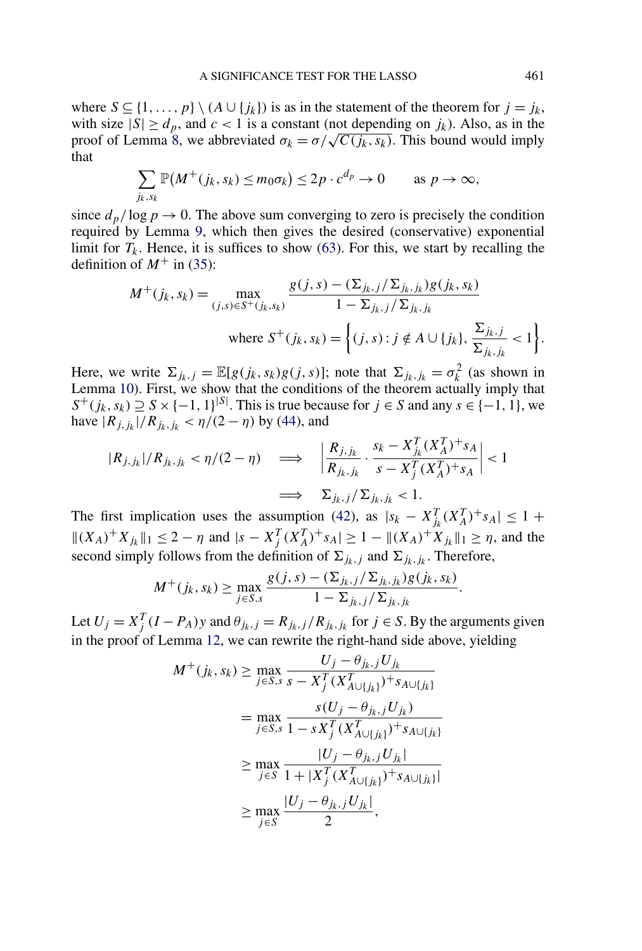where  $S \subseteq \{1, ..., p\} \setminus (A \cup \{j_k\})$  is as in the statement of the theorem for  $j = j_k$ , with size  $|S| \ge d_p$ , and  $c < 1$  is a constant (not depending on  $j_k$ ). Also, as in the proof of Lemma [8,](#page-25-0) we abbreviated  $\sigma_k = \sigma / \sqrt{C(j_k, s_k)}$ . This bound would imply that

$$
\sum_{j_k, s_k} \mathbb{P}(M^+(j_k, s_k) \le m_0 \sigma_k) \le 2p \cdot c^{d_p} \to 0 \quad \text{as } p \to \infty,
$$

since  $d_p/\log p \to 0$ . The above sum converging to zero is precisely the condition required by Lemma [9,](#page-26-0) which then gives the desired (conservative) exponential limit for  $T_k$ . Hence, it is suffices to show [\(63\)](#page-47-0). For this, we start by recalling the definition of  $M^+$  in [\(35\)](#page-24-0):

$$
M^{+}(j_{k}, s_{k}) = \max_{(j,s) \in S^{+}(j_{k}, s_{k})} \frac{g(j,s) - (\Sigma_{j_{k},j} / \Sigma_{j_{k},j_{k}})g(j_{k}, s_{k})}{1 - \Sigma_{j_{k},j} / \Sigma_{j_{k},j_{k}}}
$$
  
where  $S^{+}(j_{k}, s_{k}) = \left\{(j,s) : j \notin A \cup \{j_{k}\}, \frac{\Sigma_{j_{k},j}}{\Sigma_{j_{k},j_{k}}} < 1\right\}.$ 

Here, we write  $\Sigma_{jk,j} = \mathbb{E}[g(j_k, s_k)g(j, s)]$ ; note that  $\Sigma_{jk,jk} = \sigma_k^2$  (as shown in Lemma [10\)](#page-50-0). First, we show that the conditions of the theorem actually imply that  $S^+(j_k, s_k) \supseteq S \times \{-1, 1\}^{|S|}$ . This is true because for  $j \in S$  and any  $s \in \{-1, 1\}$ , we have  $|R_{i,jk}|/R_{ik,jk} < \eta/(2-\eta)$  by [\(44\)](#page-26-0), and

$$
|R_{j,j_k}|/R_{j_k,j_k} < \eta/(2-\eta) \quad \Longrightarrow \quad \left| \frac{R_{j,j_k}}{R_{j_k,j_k}} \cdot \frac{s_k - X_{j_k}^T (X_A^T)^+ s_A}{s - X_j^T (X_A^T)^+ s_A} \right| < 1
$$

$$
\Longrightarrow \quad \Sigma_{j_k,j} / \Sigma_{j_k,j_k} < 1.
$$

The first implication uses the assumption [\(42\)](#page-26-0), as  $|s_k - X_{jk}^T (X_A^T)^+ s_A| \leq 1 + \frac{1}{2}$  $||(X_A)^+X_{j_k}||_1 \leq 2 - \eta$  and  $|s - X_j^T (X_A^T)^+ s_A| \geq 1 - ||(X_A)^+ X_{j_k}||_1 \geq \eta$ , and the second simply follows from the definition of  $\Sigma_{j_k,j}$  and  $\Sigma_{j_k,j_k}$ . Therefore,

$$
M^{+}(j_{k}, s_{k}) \geq \max_{j \in S, s} \frac{g(j, s) - (\sum_{j_{k}, j} / \sum_{j_{k}, j_{k}}) g(j_{k}, s_{k})}{1 - \sum_{j_{k}, j} / \sum_{j_{k}, j_{k}}}.
$$

Let  $U_j = X_j^T (I - P_A) y$  and  $\theta_{j_k, j} = R_{j_k, j} / R_{j_k, j_k}$  for  $j \in S$ . By the arguments given in the proof of Lemma [12,](#page-52-0) we can rewrite the right-hand side above, yielding

$$
M^{+}(j_{k}, s_{k}) \geq \max_{j \in S, s} \frac{U_{j} - \theta_{j_{k}, j} U_{j_{k}}}{s - X_{j}^{T} (X_{A \cup \{j_{k}\}}^{T})^{+} s_{A \cup \{j_{k}\}}}
$$
  
= 
$$
\max_{j \in S, s} \frac{s(U_{j} - \theta_{j_{k}, j} U_{j_{k}})}{1 - s X_{j}^{T} (X_{A \cup \{j_{k}\}}^{T})^{+} s_{A \cup \{j_{k}\}}}
$$
  

$$
\geq \max_{j \in S} \frac{|U_{j} - \theta_{j_{k}, j} U_{j_{k}}|}{1 + |X_{j}^{T} (X_{A \cup \{j_{k}\}}^{T})^{+} s_{A \cup \{j_{k}\}}|}
$$
  

$$
\geq \max_{j \in S} \frac{|U_{j} - \theta_{j_{k}, j} U_{j_{k}}|}{2},
$$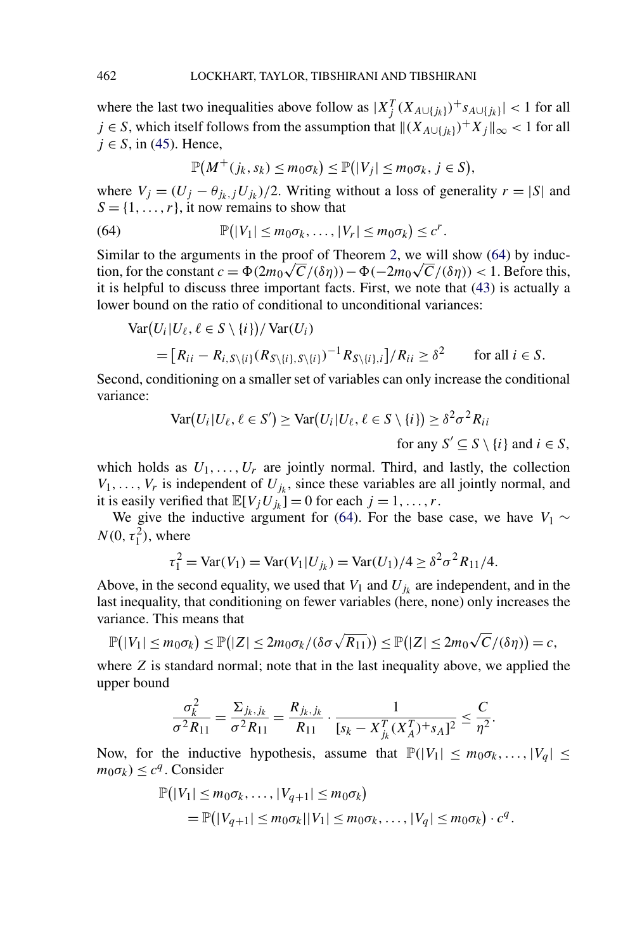where the last two inequalities above follow as  $|X_j^T(X_{A\cup\{j_k\}})^+s_{A\cup\{j_k\}}| < 1$  for all *j* ∈ *S*, which itself follows from the assumption that  $\|(X_{A\cup\{i_k\}})^+X_i\|_{\infty}$  < 1 for all  $j \in S$ , in [\(45\)](#page-26-0). Hence,

$$
\mathbb{P}(M^+(j_k,s_k)\leq m_0\sigma_k)\leq \mathbb{P}(|V_j|\leq m_0\sigma_k,\,j\in S),
$$

where  $V_j = (U_j - \theta_{j_k}, jU_{j_k})/2$ . Writing without a loss of generality  $r = |S|$  and  $S = \{1, \ldots, r\}$ , it now remains to show that

(64) 
$$
\mathbb{P}(|V_1| \leq m_0 \sigma_k, \ldots, |V_r| \leq m_0 \sigma_k) \leq c^r.
$$

Similar to the arguments in the proof of Theorem [2,](#page-21-0) we will show (64) by induc-Similar to the arguments in the proof of Theorem 2, we will show (64) by induction, for the constant  $c = \Phi(2m_0\sqrt{C}/(\delta\eta)) - \Phi(-2m_0\sqrt{C}/(\delta\eta)) < 1$ . Before this, it is helpful to discuss three important facts. First, we note that [\(43\)](#page-26-0) is actually a lower bound on the ratio of conditional to unconditional variances:

$$
\operatorname{Var}(U_i | U_\ell, \ell \in S \setminus \{i\}) / \operatorname{Var}(U_i)
$$
  
=  $[R_{ii} - R_{i, S \setminus \{i\}} (R_{S \setminus \{i\}, S \setminus \{i\}})^{-1} R_{S \setminus \{i\}, i}] / R_{ii} \ge \delta^2$  for all  $i \in S$ .

Second, conditioning on a smaller set of variables can only increase the conditional variance:

$$
\operatorname{Var}(U_i | U_\ell, \ell \in S') \ge \operatorname{Var}(U_i | U_\ell, \ell \in S \setminus \{i\}) \ge \delta^2 \sigma^2 R_{ii}
$$
\n
$$
\text{for any } S' \subseteq S \setminus \{i\} \text{ and } i \in S,
$$

which holds as  $U_1, \ldots, U_r$  are jointly normal. Third, and lastly, the collection  $V_1, \ldots, V_r$  is independent of  $U_{i_k}$ , since these variables are all jointly normal, and it is easily verified that  $\mathbb{E}[V_jU_{jk}] = 0$  for each  $j = 1, \ldots, r$ .

We give the inductive argument for (64). For the base case, we have  $V_1 \sim$  $N(0, \tau_1^2)$ , where

$$
\tau_1^2 = \text{Var}(V_1) = \text{Var}(V_1 | U_{jk}) = \text{Var}(U_1)/4 \ge \delta^2 \sigma^2 R_{11}/4.
$$

Above, in the second equality, we used that  $V_1$  and  $U_{j_k}$  are independent, and in the last inequality, that conditioning on fewer variables (here, none) only increases the variance. This means that √

$$
\mathbb{P}(|V_1| \leq m_0 \sigma_k) \leq \mathbb{P}(|Z| \leq 2m_0 \sigma_k/(\delta \sigma \sqrt{R_{11}})) \leq \mathbb{P}(|Z| \leq 2m_0 \sqrt{C}/(\delta \eta)) = c,
$$

where *Z* is standard normal; note that in the last inequality above, we applied the upper bound

$$
\frac{\sigma_k^2}{\sigma^2 R_{11}} = \frac{\Sigma_{j_k, j_k}}{\sigma^2 R_{11}} = \frac{R_{j_k, j_k}}{R_{11}} \cdot \frac{1}{[s_k - X_{j_k}^T (X_A^T)^+ s_A]^2} \le \frac{C}{\eta^2}.
$$

Now, for the inductive hypothesis, assume that  $\mathbb{P}(|V_1| \leq m_0 \sigma_k, \ldots, |V_q| \leq$  $m_0 \sigma_k \leq c^q$ . Consider

$$
\mathbb{P}(|V_1| \leq m_0 \sigma_k, \ldots, |V_{q+1}| \leq m_0 \sigma_k)
$$
  
= 
$$
\mathbb{P}(|V_{q+1}| \leq m_0 \sigma_k ||V_1| \leq m_0 \sigma_k, \ldots, |V_q| \leq m_0 \sigma_k) \cdot c^q.
$$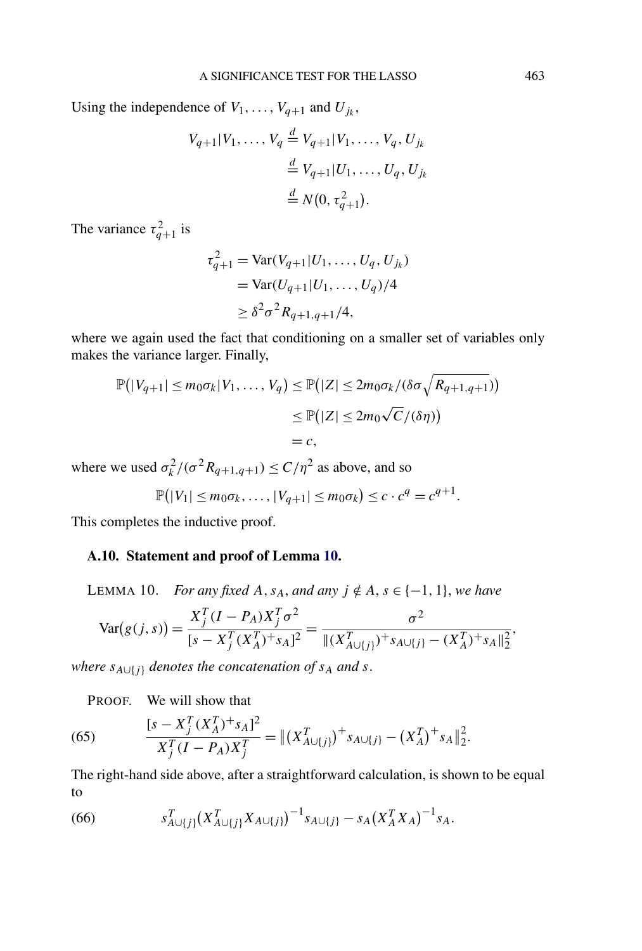<span id="page-50-0"></span>Using the independence of  $V_1, \ldots, V_{q+1}$  and  $U_{j_k}$ ,

$$
V_{q+1}|V_1, ..., V_q \stackrel{d}{=} V_{q+1}|V_1, ..., V_q, U_{j_k}
$$
  

$$
\stackrel{d}{=} V_{q+1}|U_1, ..., U_q, U_{j_k}
$$
  

$$
\stackrel{d}{=} N(0, \tau_{q+1}^2).
$$

The variance  $\tau_{q+1}^2$  is

$$
\tau_{q+1}^2 = \text{Var}(V_{q+1}|U_1, ..., U_q, U_{j_k})
$$
  
= 
$$
\text{Var}(U_{q+1}|U_1, ..., U_q)/4
$$
  

$$
\geq \delta^2 \sigma^2 R_{q+1,q+1}/4,
$$

where we again used the fact that conditioning on a smaller set of variables only makes the variance larger. Finally,

$$
\mathbb{P}(|V_{q+1}| \le m_0 \sigma_k | V_1, \dots, V_q) \le \mathbb{P}(|Z| \le 2m_0 \sigma_k / (\delta \sigma \sqrt{R_{q+1,q+1}}))
$$
  

$$
\le \mathbb{P}(|Z| \le 2m_0 \sqrt{C}/(\delta \eta))
$$
  

$$
= c,
$$

where we used  $\sigma_k^2/(\sigma^2 R_{q+1,q+1}) \le C/\eta^2$  as above, and so

$$
\mathbb{P}(|V_1| \leq m_0 \sigma_k, \ldots, |V_{q+1}| \leq m_0 \sigma_k) \leq c \cdot c^q = c^{q+1}.
$$

This completes the inductive proof.

# **A.10. Statement and proof of Lemma 10.**

LEMMA 10. *For any fixed*  $A$ ,  $s_A$ , and any  $j \notin A$ ,  $s \in \{-1, 1\}$ , we have

$$
\text{Var}(g(j,s)) = \frac{X_j^T (I - P_A) X_j^T \sigma^2}{[s - X_j^T (X_A^T)^+ s_A]^2} = \frac{\sigma^2}{\|(X_{A \cup \{j\}}^T)^+ s_{A \cup \{j\}} - (X_A^T)^+ s_A\|_2^2},
$$

*where*  $s_{A\cup\{j\}}$  *denotes the concatenation of*  $s_A$  *and*  $s$ .

PROOF. We will show that

(65) 
$$
\frac{[s - X_j^T (X_A^T)^+ s_A]^2}{X_j^T (I - P_A) X_j^T} = || (X_{A \cup \{j\}}^T)^+ s_{A \cup \{j\}} - (X_A^T)^+ s_A ||_2^2.
$$

The right-hand side above, after a straightforward calculation, is shown to be equal to

(66) 
$$
s_{A\cup\{j\}}^T (X_{A\cup\{j\}}^T X_{A\cup\{j\}})^{-1} s_{A\cup\{j\}} - s_A (X_A^T X_A)^{-1} s_A.
$$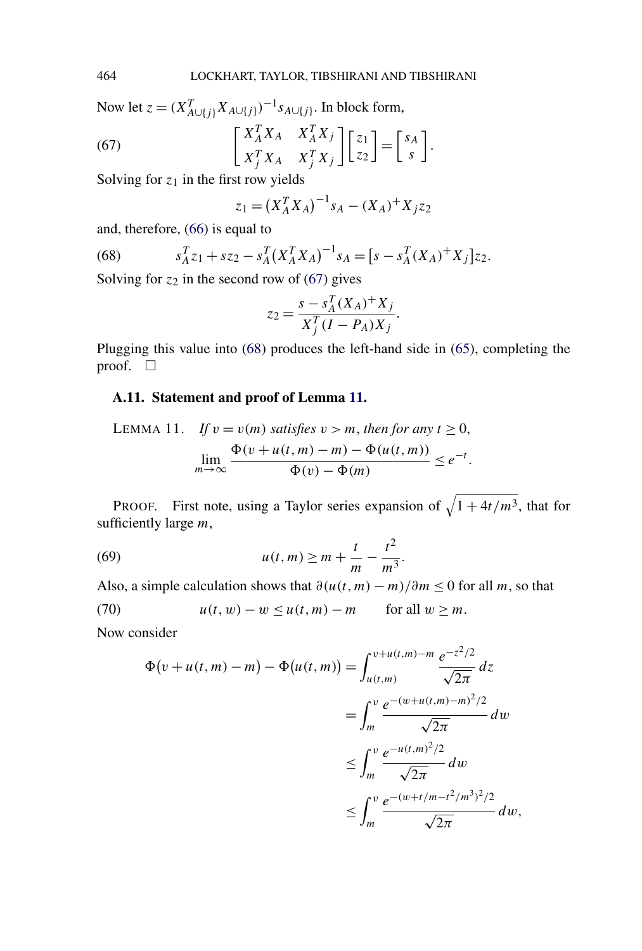<span id="page-51-0"></span>Now let  $z = (X_{A\cup\{j\}}^T X_{A\cup\{j\}})^{-1} s_{A\cup\{j\}}$ . In block form,

(67) 
$$
\begin{bmatrix} X_A^T X_A & X_A^T X_j \\ X_J^T X_A & X_J^T X_j \end{bmatrix} \begin{bmatrix} z_1 \\ z_2 \end{bmatrix} = \begin{bmatrix} s_A \\ s \end{bmatrix}.
$$

Solving for  $z_1$  in the first row yields

$$
z_1 = (X_A^T X_A)^{-1} s_A - (X_A)^+ X_j z_2
$$

and, therefore, [\(66\)](#page-50-0) is equal to

(68) 
$$
s_A^T z_1 + s z_2 - s_A^T (X_A^T X_A)^{-1} s_A = [s - s_A^T (X_A)^+ X_j] z_2.
$$

Solving for  $z_2$  in the second row of (67) gives

$$
z_2 = \frac{s - s_A^T (X_A)^+ X_j}{X_j^T (I - P_A) X_j}.
$$

Plugging this value into (68) produces the left-hand side in [\(65\)](#page-50-0), completing the proof.  $\Box$ 

# **A.11. Statement and proof of Lemma 11.**

LEMMA 11. If 
$$
v = v(m)
$$
 satisfies  $v > m$ , then for any  $t \ge 0$ ,  
\n
$$
\lim_{m \to \infty} \frac{\Phi(v + u(t, m) - m) - \Phi(u(t, m))}{\Phi(v) - \Phi(m)} \le e^{-t}.
$$

PROOF. First note, using a Taylor series expansion of  $\sqrt{1 + 4t/m^3}$ , that for sufficiently large *m*,

(69) 
$$
u(t,m) \ge m + \frac{t}{m} - \frac{t^2}{m^3}.
$$

Also, a simple calculation shows that  $\frac{\partial(u(t,m) - m)}{\partial m} \leq 0$  for all *m*, so that

(70) 
$$
u(t, w) - w \le u(t, m) - m \quad \text{for all } w \ge m.
$$

Now consider

$$
\Phi(v+u(t,m)-m) - \Phi(u(t,m)) = \int_{u(t,m)}^{v+u(t,m)-m} \frac{e^{-z^2/2}}{\sqrt{2\pi}} dz
$$
  
= 
$$
\int_{m}^{v} \frac{e^{-(w+u(t,m)-m)^2/2}}{\sqrt{2\pi}} dw
$$
  

$$
\leq \int_{m}^{v} \frac{e^{-u(t,m)^2/2}}{\sqrt{2\pi}} dw
$$
  

$$
\leq \int_{m}^{v} \frac{e^{-(w+t/m-t^2/m^3)^2/2}}{\sqrt{2\pi}} dw,
$$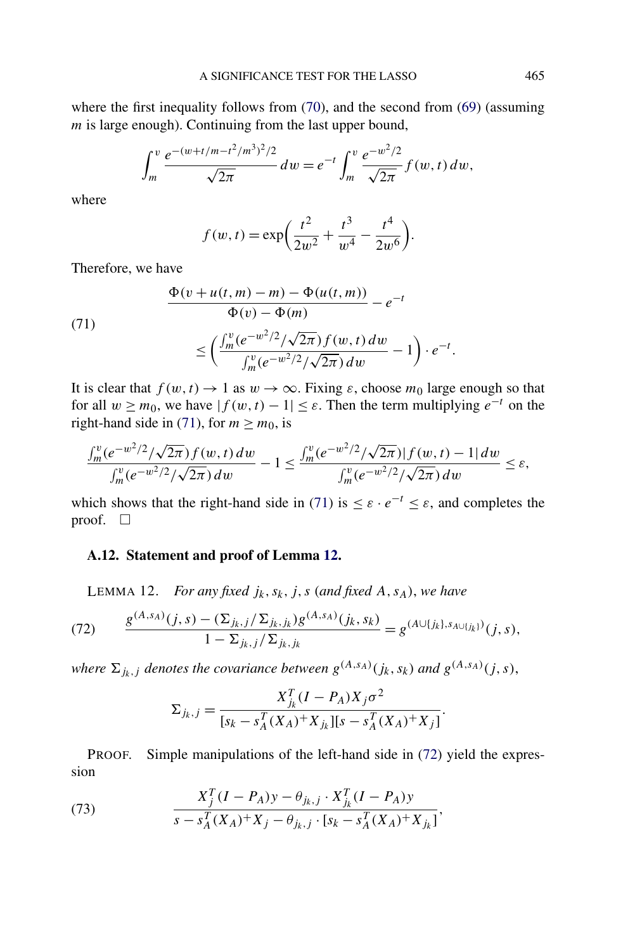<span id="page-52-0"></span>where the first inequality follows from [\(70\)](#page-51-0), and the second from [\(69\)](#page-51-0) (assuming *m* is large enough). Continuing from the last upper bound,

$$
\int_{m}^{v} \frac{e^{-(w+t/m-t^2/m^3)^2/2}}{\sqrt{2\pi}} dw = e^{-t} \int_{m}^{v} \frac{e^{-w^2/2}}{\sqrt{2\pi}} f(w, t) dw,
$$

where

$$
f(w, t) = \exp\left(\frac{t^2}{2w^2} + \frac{t^3}{w^4} - \frac{t^4}{2w^6}\right).
$$

Therefore, we have

(71)  
\n
$$
\frac{\Phi(v+u(t,m)-m)-\Phi(u(t,m))}{\Phi(v)-\Phi(m)}-e^{-t}
$$
\n
$$
\leq \left(\frac{\int_{m}^{v} (e^{-w^{2}/2}/\sqrt{2\pi}) f(w,t) dw}{\int_{m}^{v} (e^{-w^{2}/2}/\sqrt{2\pi}) dw}-1\right)\cdot e^{-t}
$$

It is clear that  $f(w, t) \to 1$  as  $w \to \infty$ . Fixing  $\varepsilon$ , choose  $m_0$  large enough so that for all  $w \ge m_0$ , we have  $|f(w, t) - 1| \le \varepsilon$ . Then the term multiplying  $e^{-t}$  on the right-hand side in (71), for  $m \ge m_0$ , is

$$
\frac{\int_m^v (e^{-w^2/2}/\sqrt{2\pi}) f(w,t) dw}{\int_m^v (e^{-w^2/2}/\sqrt{2\pi}) dw} - 1 \le \frac{\int_m^v (e^{-w^2/2}/\sqrt{2\pi}) |f(w,t) - 1| dw}{\int_m^v (e^{-w^2/2}/\sqrt{2\pi}) dw} \le \varepsilon,
$$

which shows that the right-hand side in (71) is  $\leq \varepsilon \cdot e^{-t} \leq \varepsilon$ , and completes the proof.  $\Box$ 

# **A.12. Statement and proof of Lemma 12.**

LEMMA 12. *For any fixed*  $j_k$ ,  $s_k$ ,  $j$ ,  $s$  (and fixed  $A$ ,  $s_A$ ), we have

(72) 
$$
\frac{g^{(A,s_A)}(j,s) - (\sum_{j_k,j}/\sum_{j_k,j_k})g^{(A,s_A)}(j_k,s_k)}{1 - \sum_{j_k,j}/\sum_{j_k,j_k}} = g^{(A \cup \{j_k\},s_{A \cup \{j_k\}})}(j,s),
$$

*where*  $\Sigma_{jk,j}$  *denotes the covariance between*  $g^{(A,s_A)}(j_k,s_k)$  *and*  $g^{(A,s_A)}(j,s)$ *,* 

$$
\Sigma_{j_k,j} = \frac{X_{j_k}^T (I - P_A) X_j \sigma^2}{[s_k - s_A^T (X_A)^+ X_{j_k}][s - s_A^T (X_A)^+ X_j]}.
$$

PROOF. Simple manipulations of the left-hand side in (72) yield the expression

(73) 
$$
\frac{X_j^T (I - P_A) y - \theta_{j_k, j} \cdot X_{j_k}^T (I - P_A) y}{s - s_A^T (X_A)^+ X_j - \theta_{j_k, j} \cdot [s_k - s_A^T (X_A)^+ X_{j_k}]},
$$

*.*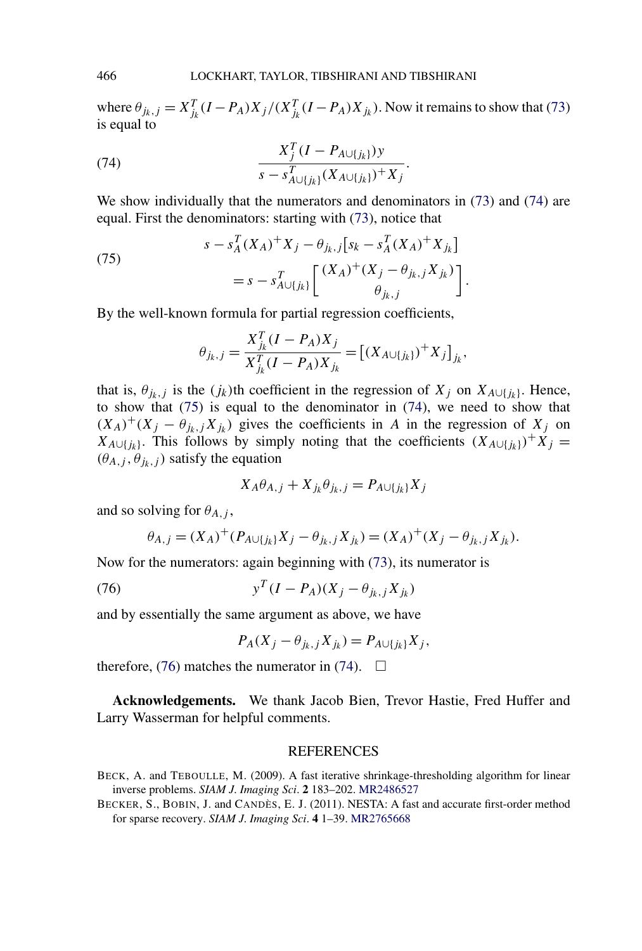where  $\theta_{j_k,j} = X_{j_k}^T (I - P_A) X_j / (X_{j_k}^T (I - P_A) X_{j_k})$ . Now it remains to show that [\(73\)](#page-52-0) is equal to

(74) 
$$
\frac{X_j^T (I - P_{A \cup \{j_k\}}) y}{s - s_{A \cup \{j_k\}}^T (X_{A \cup \{j_k\}})^+ X_j}.
$$

We show individually that the numerators and denominators in [\(73\)](#page-52-0) and (74) are equal. First the denominators: starting with [\(73\)](#page-52-0), notice that

(75) 
$$
s - s_A^T (X_A)^+ X_j - \theta_{j_k,j} [s_k - s_A^T (X_A)^+ X_{j_k}]
$$

$$
= s - s_{A \cup \{j_k\}}^T \left[ \frac{(X_A)^+ (X_j - \theta_{j_k,j} X_{j_k})}{\theta_{j_k,j}} \right].
$$

By the well-known formula for partial regression coefficients,

$$
\theta_{j_k,j} = \frac{X_{j_k}^T (I - P_A) X_j}{X_{j_k}^T (I - P_A) X_{j_k}} = [(X_{A \cup \{j_k\}})^+ X_j]_{j_k},
$$

that is,  $\theta_{jk}$ , *j* is the  $(j_k)$ th coefficient in the regression of  $X_j$  on  $X_{A\cup \{j_k\}}$ . Hence, to show that (75) is equal to the denominator in (74), we need to show that  $(X_A)^+(X_j - \theta_{ik,j}X_{ik})$  gives the coefficients in *A* in the regression of  $X_j$  on *X*<sub>*A*∪{*j<sub>k</sub>*}</sub>. This follows by simply noting that the coefficients  $(X_{A\cup \{j_k\}})^+X_j =$  $(\theta_{A,j}, \theta_{j_k,j})$  satisfy the equation

$$
X_A \theta_{A,j} + X_{jk} \theta_{jk,j} = P_{A \cup \{j_k\}} X_j
$$

and so solving for  $\theta_{A,i}$ ,

$$
\theta_{A,j} = (X_A)^+ (P_{A \cup \{j_k\}} X_j - \theta_{j_k,j} X_{j_k}) = (X_A)^+ (X_j - \theta_{j_k,j} X_{j_k}).
$$

Now for the numerators: again beginning with [\(73\)](#page-52-0), its numerator is

(76) 
$$
y^{T}(I - P_{A})(X_{j} - \theta_{j_{k},j}X_{j_{k}})
$$

and by essentially the same argument as above, we have

$$
P_A(X_j - \theta_{j_k,j}X_{j_k}) = P_{A \cup \{j_k\}}X_j,
$$

therefore, (76) matches the numerator in (74).  $\Box$ 

**Acknowledgements.** We thank Jacob Bien, Trevor Hastie, Fred Huffer and Larry Wasserman for helpful comments.

## REFERENCES

<span id="page-53-0"></span>

BECK, A. and TEBOULLE, M. (2009). A fast iterative shrinkage-thresholding algorithm for linear inverse problems. *SIAM J*. *Imaging Sci*. **2** 183–202. [MR2486527](http://www.ams.org/mathscinet-getitem?mr=2486527)

BECKER, S., BOBIN, J. and CANDÈS, E. J. (2011). NESTA: A fast and accurate first-order method for sparse recovery. *SIAM J*. *Imaging Sci*. **4** 1–39. [MR2765668](http://www.ams.org/mathscinet-getitem?mr=2765668)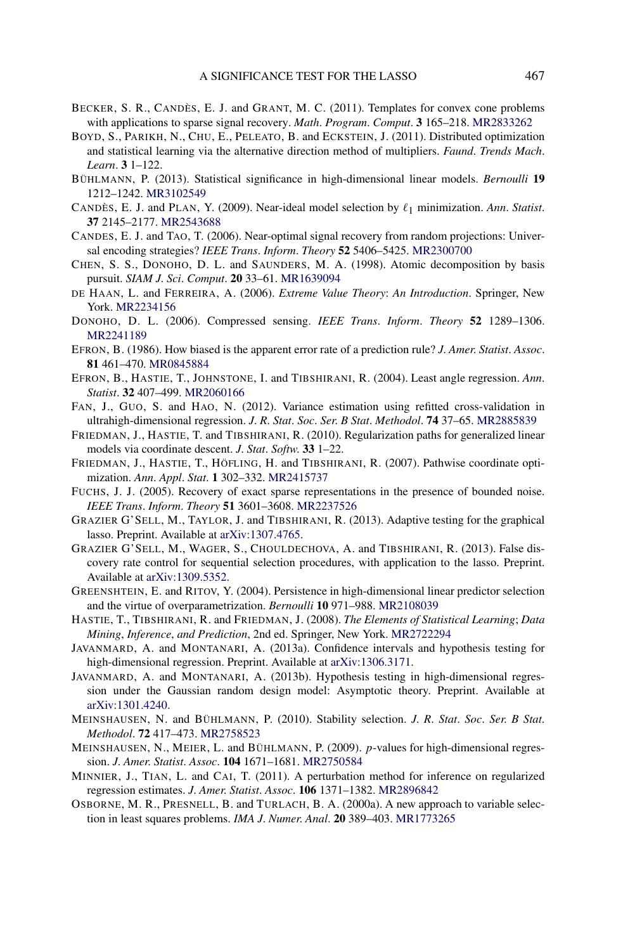- <span id="page-54-0"></span>BECKER, S. R., CANDÈS, E. J. and GRANT, M. C. (2011). Templates for convex cone problems with applications to sparse signal recovery. *Math*. *Program*. *Comput*. **3** 165–218. [MR2833262](http://www.ams.org/mathscinet-getitem?mr=2833262)
- BOYD, S., PARIKH, N., CHU, E., PELEATO, B. and ECKSTEIN, J. (2011). Distributed optimization and statistical learning via the alternative direction method of multipliers. *Faund*. *Trends Mach*. *Learn*. **3** 1–122.
- BÜHLMANN, P. (2013). Statistical significance in high-dimensional linear models. *Bernoulli* **19** 1212–1242. [MR3102549](http://www.ams.org/mathscinet-getitem?mr=3102549)
- CANDÈS, E. J. and PLAN, Y. (2009). Near-ideal model selection by  $\ell_1$  minimization. *Ann. Statist.* **37** 2145–2177. [MR2543688](http://www.ams.org/mathscinet-getitem?mr=2543688)
- CANDES, E. J. and TAO, T. (2006). Near-optimal signal recovery from random projections: Universal encoding strategies? *IEEE Trans*. *Inform*. *Theory* **52** 5406–5425. [MR2300700](http://www.ams.org/mathscinet-getitem?mr=2300700)
- CHEN, S. S., DONOHO, D. L. and SAUNDERS, M. A. (1998). Atomic decomposition by basis pursuit. *SIAM J*. *Sci*. *Comput*. **20** 33–61. [MR1639094](http://www.ams.org/mathscinet-getitem?mr=1639094)
- DE HAAN, L. and FERREIRA, A. (2006). *Extreme Value Theory*: *An Introduction*. Springer, New York. [MR2234156](http://www.ams.org/mathscinet-getitem?mr=2234156)
- DONOHO, D. L. (2006). Compressed sensing. *IEEE Trans*. *Inform*. *Theory* **52** 1289–1306. [MR2241189](http://www.ams.org/mathscinet-getitem?mr=2241189)
- EFRON, B. (1986). How biased is the apparent error rate of a prediction rule? *J*. *Amer*. *Statist*. *Assoc*. **81** 461–470. [MR0845884](http://www.ams.org/mathscinet-getitem?mr=0845884)
- EFRON, B., HASTIE, T., JOHNSTONE, I. and TIBSHIRANI, R. (2004). Least angle regression. *Ann*. *Statist*. **32** 407–499. [MR2060166](http://www.ams.org/mathscinet-getitem?mr=2060166)
- FAN, J., GUO, S. and HAO, N. (2012). Variance estimation using refitted cross-validation in ultrahigh-dimensional regression. *J*. *R*. *Stat*. *Soc*. *Ser*. *B Stat*. *Methodol*. **74** 37–65. [MR2885839](http://www.ams.org/mathscinet-getitem?mr=2885839)
- FRIEDMAN, J., HASTIE, T. and TIBSHIRANI, R. (2010). Regularization paths for generalized linear models via coordinate descent. *J*. *Stat*. *Softw*. **33** 1–22.
- FRIEDMAN, J., HASTIE, T., HÖFLING, H. and TIBSHIRANI, R. (2007). Pathwise coordinate optimization. *Ann*. *Appl*. *Stat*. **1** 302–332. [MR2415737](http://www.ams.org/mathscinet-getitem?mr=2415737)
- FUCHS, J. J. (2005). Recovery of exact sparse representations in the presence of bounded noise. *IEEE Trans*. *Inform*. *Theory* **51** 3601–3608. [MR2237526](http://www.ams.org/mathscinet-getitem?mr=2237526)
- GRAZIER G'SELL, M., TAYLOR, J. and TIBSHIRANI, R. (2013). Adaptive testing for the graphical lasso. Preprint. Available at [arXiv:1307.4765](http://arxiv.org/abs/arXiv:1307.4765).
- GRAZIER G'SELL, M., WAGER, S., CHOULDECHOVA, A. and TIBSHIRANI, R. (2013). False discovery rate control for sequential selection procedures, with application to the lasso. Preprint. Available at [arXiv:1309.5352.](http://arxiv.org/abs/arXiv:1309.5352)
- GREENSHTEIN, E. and RITOV, Y. (2004). Persistence in high-dimensional linear predictor selection and the virtue of overparametrization. *Bernoulli* **10** 971–988. [MR2108039](http://www.ams.org/mathscinet-getitem?mr=2108039)
- HASTIE, T., TIBSHIRANI, R. and FRIEDMAN, J. (2008). *The Elements of Statistical Learning*; *Data Mining*, *Inference*, *and Prediction*, 2nd ed. Springer, New York. [MR2722294](http://www.ams.org/mathscinet-getitem?mr=2722294)
- JAVANMARD, A. and MONTANARI, A. (2013a). Confidence intervals and hypothesis testing for high-dimensional regression. Preprint. Available at [arXiv:1306.3171](http://arxiv.org/abs/arXiv:1306.3171).
- JAVANMARD, A. and MONTANARI, A. (2013b). Hypothesis testing in high-dimensional regression under the Gaussian random design model: Asymptotic theory. Preprint. Available at [arXiv:1301.4240.](http://arxiv.org/abs/arXiv:1301.4240)
- MEINSHAUSEN, N. and BÜHLMANN, P. (2010). Stability selection. *J*. *R*. *Stat*. *Soc*. *Ser*. *B Stat*. *Methodol*. **72** 417–473. [MR2758523](http://www.ams.org/mathscinet-getitem?mr=2758523)
- MEINSHAUSEN, N., MEIER, L. and BÜHLMANN, P. (2009). *p*-values for high-dimensional regression. *J*. *Amer*. *Statist*. *Assoc*. **104** 1671–1681. [MR2750584](http://www.ams.org/mathscinet-getitem?mr=2750584)
- MINNIER, J., TIAN, L. and CAI, T. (2011). A perturbation method for inference on regularized regression estimates. *J*. *Amer*. *Statist*. *Assoc*. **106** 1371–1382. [MR2896842](http://www.ams.org/mathscinet-getitem?mr=2896842)
- OSBORNE, M. R., PRESNELL, B. and TURLACH, B. A. (2000a). A new approach to variable selection in least squares problems. *IMA J*. *Numer*. *Anal*. **20** 389–403. [MR1773265](http://www.ams.org/mathscinet-getitem?mr=1773265)